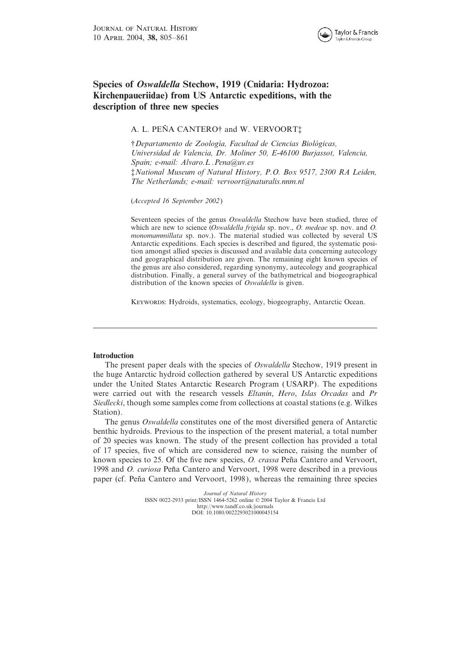

# **Species of** *Oswaldella* **Stechow, 1919 (Cnidaria: Hydrozoa: Kirchenpaueriidae) from US Antarctic expeditions, with the description of three new species**

A. L. PEÑA CANTERO† and W. VERVOORT‡

†*Departamento de Zoologı´a, Facultad de Ciencias Biolo´gicas, Universidad de Valencia, Dr. Moliner 50, E-46100 Burjassot, Valencia, Spain; e-mail: Alvaro.L .Pena@uv.es* ‡*National Museum of Natural History, P.O. Box 9517, 2300 RA Leiden, The Netherlands; e-mail: vervoort@naturalis.nnm.nl*

(*Accepted 16 September 2002*)

Seventeen species of the genus *Oswaldella* Stechow have been studied, three of which are new to science (*Oswaldella frigida* sp. nov., *O. medeae* sp. nov. and *O. monomammillata* sp. nov.). The material studied was collected by several US Antarctic expeditions. Each species is described and figured, the systematic position amongst allied species is discussed and available data concerning autecology and geographical distribution are given. The remaining eight known species of the genus are also considered, regarding synonymy, autecology and geographical distribution. Finally, a general survey of the bathymetrical and biogeographical distribution of the known species of *Oswaldella* is given.

KEYWORDS: Hydroids, systematics, ecology, biogeography, Antarctic Ocean.

## **Introduction**

The present paper deals with the species of *Oswaldella* Stechow, 1919 present in the huge Antarctic hydroid collection gathered by several US Antarctic expeditions under the United States Antarctic Research Program (USARP). The expeditions were carried out with the research vessels *Eltanin*, *Hero*, *Islas Orcadas* and *Pr Siedlecki*, though some samples come from collections at coastal stations (e.g. Wilkes Station).

The genus *Oswaldella* constitutes one of the most diversified genera of Antarctic benthic hydroids. Previous to the inspection of the present material, a total number of 20 species was known. The study of the present collection has provided a total of 17 species, five of which are considered new to science, raising the number of known species to 25. Of the five new species, *O. crassa* Peña Cantero and Vervoort, 1998 and *O. curiosa* Peña Cantero and Vervoort, 1998 were described in a previous paper (cf. Peña Cantero and Vervoort, 1998), whereas the remaining three species

> *Journal of Natural History* ISSN 0022-2933 print/ISSN 1464-5262 online © 2004 Taylor & Francis Ltd http://www.tandf.co.uk/journals DOI: 10.1080/0022293021000045154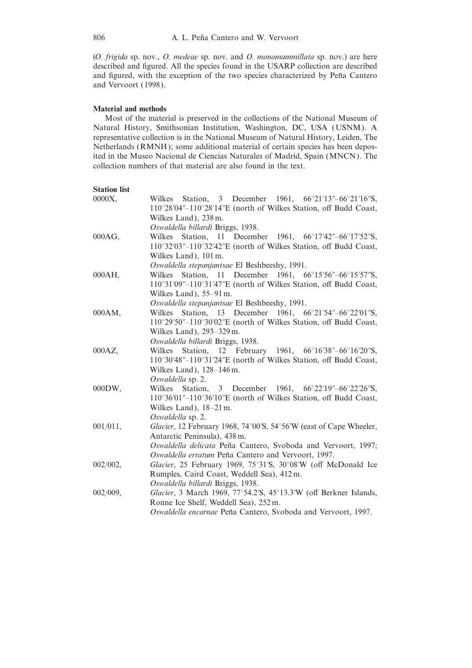(*O. frigida* sp. nov., *O. medeae* sp. nov. and *O. monomammillata* sp. nov.) are here described and figured. All the species found in the USARP collection are described and figured, with the exception of the two species characterized by Peña Cantero and Vervoort (1998).

# **Material and methods**

Most of the material is preserved in the collections of the National Museum of Natural History, Smithsonian Institution, Washington, DC, USA (USNM). A representative collection is in the National Museum of Natural History, Leiden, The Netherlands (RMNH); some additional material of certain species has been deposited in the Museo Nacional de Ciencias Naturales of Madrid, Spain (MNCN). The collection numbers of that material are also found in the text.

| <b>Station list</b> |                                                                                      |  |  |  |  |  |  |  |
|---------------------|--------------------------------------------------------------------------------------|--|--|--|--|--|--|--|
| $0000X$ ,           | Wilkes Station, 3 December 1961, 66°21'13″–66°21'16″S,                               |  |  |  |  |  |  |  |
|                     | $110^{\circ}28'04'' - 110^{\circ}28'14''E$ (north of Wilkes Station, off Budd Coast, |  |  |  |  |  |  |  |
|                     | Wilkes Land), 238 m.                                                                 |  |  |  |  |  |  |  |
|                     | Oswaldella billardi Briggs, 1938.                                                    |  |  |  |  |  |  |  |
| $000AG$ ,           | Station, 11 December 1961, 66°17′42″–66°17′52″S,<br>Wilkes                           |  |  |  |  |  |  |  |
|                     | 110°32'03"-110°32'42"E (north of Wilkes Station, off Budd Coast,                     |  |  |  |  |  |  |  |
|                     | Wilkes Land), 101 m.                                                                 |  |  |  |  |  |  |  |
|                     | Oswaldella stepanjantsae El Beshbeeshy, 1991.                                        |  |  |  |  |  |  |  |
| $000AH$ ,           | Station, 11 December 1961, 66°15′56″–66°15′57″S,<br>Wilkes                           |  |  |  |  |  |  |  |
|                     | $110^{\circ}31'09'' - 110^{\circ}31'47''E$ (north of Wilkes Station, off Budd Coast, |  |  |  |  |  |  |  |
|                     | Wilkes Land), 55–91 m.                                                               |  |  |  |  |  |  |  |
|                     | Oswaldella stepanjantsae El Beshbeeshy, 1991.                                        |  |  |  |  |  |  |  |
| 000AM,              | Station, 13 December 1961, 66°21′54″–66°22′01″S,<br>Wilkes                           |  |  |  |  |  |  |  |
|                     | 110°29'50"-110°30'02"E (north of Wilkes Station, off Budd Coast,                     |  |  |  |  |  |  |  |
|                     | Wilkes Land), 293-329 m.                                                             |  |  |  |  |  |  |  |
|                     | Oswaldella billardi Briggs, 1938.                                                    |  |  |  |  |  |  |  |
| 000AZ,              | Wilkes Station, 12 February 1961, 66°16'38"–66°16'20"S,                              |  |  |  |  |  |  |  |
|                     | 110°30'48"-110°31'24"E (north of Wilkes Station, off Budd Coast,                     |  |  |  |  |  |  |  |
|                     | Wilkes Land), 128-146 m.                                                             |  |  |  |  |  |  |  |
|                     | Oswaldella sp. 2.                                                                    |  |  |  |  |  |  |  |
| $000DW$ ,           | 3 December 1961, 66°22'19"–66°22'26"S,<br>Wilkes Station,                            |  |  |  |  |  |  |  |
|                     | 110°36'01"-110°36'10"E (north of Wilkes Station, off Budd Coast,                     |  |  |  |  |  |  |  |
|                     | Wilkes Land), $18-21$ m.                                                             |  |  |  |  |  |  |  |
|                     | Oswaldella sp. 2.                                                                    |  |  |  |  |  |  |  |
| 001/011,            | Glacier, 12 February 1968, 74°00′S, 54°56′W (east of Cape Wheeler,                   |  |  |  |  |  |  |  |
|                     | Antarctic Peninsula), 438 m.                                                         |  |  |  |  |  |  |  |
|                     | Oswaldella delicata Peña Cantero, Svoboda and Vervoort, 1997;                        |  |  |  |  |  |  |  |
|                     | Oswaldella erratum Peña Cantero and Vervoort, 1997.                                  |  |  |  |  |  |  |  |
| 002/002,            | Glacier, 25 February 1969, 75°31′S, 30°08′W (off McDonald Ice                        |  |  |  |  |  |  |  |
|                     | Rumples, Caird Coast, Weddell Sea), 412 m.                                           |  |  |  |  |  |  |  |
|                     | Oswaldella billardi Briggs, 1938.                                                    |  |  |  |  |  |  |  |
| 002/009,            | Glacier, 3 March 1969, 77°54.2′S, 45°13.3′W (off Berkner Islands,                    |  |  |  |  |  |  |  |
|                     | Ronne Ice Shelf, Weddell Sea), 252 m.                                                |  |  |  |  |  |  |  |
|                     | Oswaldella encarnae Peña Cantero, Svoboda and Vervoort, 1997.                        |  |  |  |  |  |  |  |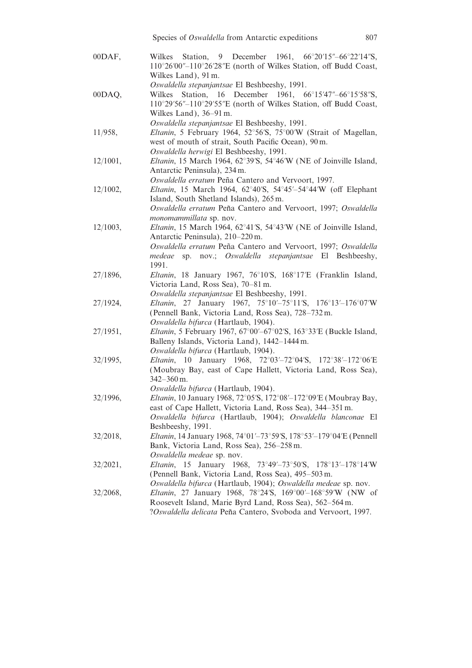00DAF, Wilkes Station, 9 December 1961, 66°20′15″–66°22′14″S, 110°26∞00◊–110°26∞28◊E (north of Wilkes Station, off Budd Coast, Wilkes Land), 91 m. *Oswaldella stepanjantsae* El Beshbeeshy, 1991. 00DAQ, Wilkes Station, 16 December 1961, 66°15′47″–66°15′58″S,  $110°29′56″–110°29′55″E$  (north of Wilkes Station, off Budd Coast, Wilkes Land), 36–91 m. *Oswaldella stepanjantsae* El Beshbeeshy, 1991. 11/958, *Eltanin*, 5 February 1964, 52°56∞S, 75°00∞W (Strait of Magellan, west of mouth of strait, South Pacific Ocean), 90 m. *Oswaldella herwigi* El Beshbeeshy, 1991. 12/1001, *Eltanin*, 15 March 1964, 62°39∞S, 54°46∞W (NE of Joinville Island, Antarctic Peninsula), 234 m. Oswaldella erratum Peña Cantero and Vervoort, 1997. 12/1002, *Eltanin*, 15 March 1964, 62°40′S, 54°45′–54°44′W (off Elephant Island, South Shetland Islands), 265 m. *Oswaldella erratum* Pen˜a Cantero and Vervoort, 1997; *Oswaldella monomammillata* sp. nov. 12/1003, *Eltanin*, 15 March 1964, 62°41′S, 54°43′W (NE of Joinville Island, Antarctic Peninsula), 210–220 m. *Oswaldella erratum* Pen˜a Cantero and Vervoort, 1997; *Oswaldella medeae* sp. nov.; *Oswaldella stepanjantsae* El Beshbeeshy, 1991. 27/1896, *Eltanin*, 18 January 1967, 76°10∞S, 168°17∞E (Franklin Island, Victoria Land, Ross Sea), 70–81 m. *Oswaldella stepanjantsae* El Beshbeeshy, 1991. 27/1924, *Eltanin*, 27 January 1967, 75°10′–75°11′S, 176°13′–176°07′W (Pennell Bank, Victoria Land, Ross Sea), 728–732 m. *Oswaldella bifurca* (Hartlaub, 1904). 27/1951, *Eltanin*, 5 February 1967, 67°00′–67°02′S, 163°33′E (Buckle Island, Balleny Islands, Victoria Land), 1442–1444 m. *Oswaldella bifurca* (Hartlaub, 1904). 32/1995, *Eltanin*, 10 January 1968, 72°03′–72°04′S, 172°38′–172°06′E (Moubray Bay, east of Cape Hallett, Victoria Land, Ross Sea), 342–360 m. *Oswaldella bifurca* (Hartlaub, 1904). 32/1996, *Eltanin*, 10 January 1968, 72°05′S, 172°08′–172°09′E (Moubray Bay, east of Cape Hallett, Victoria Land, Ross Sea), 344–351 m. *Oswaldella bifurca* (Hartlaub, 1904); *Oswaldella blanconae* El Beshbeeshy, 1991. 32/2018, *Eltanin*, 14 January 1968, 74°01′–73°59′S, 178°53′–179°04′E (Pennell Bank, Victoria Land, Ross Sea), 256–258 m. *Oswaldella medeae* sp. nov. 32/2021, *Eltanin*, 15 January 1968, 73°49′–73°50′S, 178°13′–178°14′W (Pennell Bank, Victoria Land, Ross Sea), 495–503 m. *Oswaldella bifurca* (Hartlaub, 1904); *Oswaldella medeae* sp. nov. 32/2068, *Eltanin*, 27 January 1968, 78°24′S, 169°00′–168°59′W (NW of Roosevelt Island, Marie Byrd Land, Ross Sea), 562–564 m. ?*Oswaldella delicata* Peña Cantero, Svoboda and Vervoort, 1997.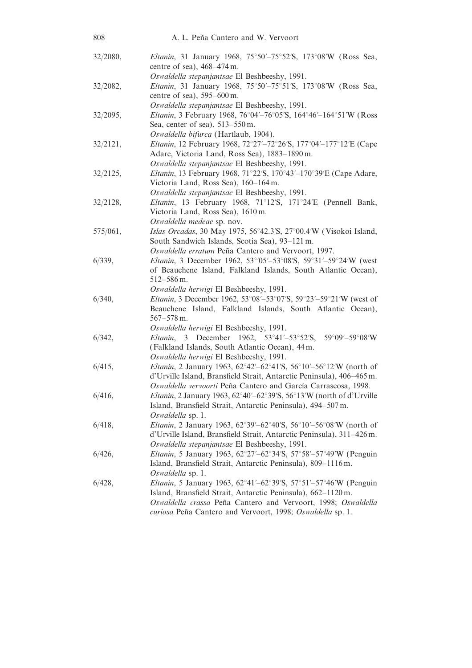| 808       | A. L. Peña Cantero and W. Vervoort                                                                                                                                                                                                                                                                    |
|-----------|-------------------------------------------------------------------------------------------------------------------------------------------------------------------------------------------------------------------------------------------------------------------------------------------------------|
| 32/2080,  | Eltanin, 31 January 1968, 75°50′–75°52′S, 173°08′W (Ross Sea,<br>centre of sea), $468-474$ m.                                                                                                                                                                                                         |
| 32/2082,  | Oswaldella stepanjantsae El Beshbeeshy, 1991.<br>Eltanin, 31 January 1968, 75°50′–75°51′S, 173°08′W (Ross Sea,<br>centre of sea), $595-600$ m.                                                                                                                                                        |
| 32/2095,  | Oswaldella stepanjantsae El Beshbeeshy, 1991.<br>Eltanin, 3 February 1968, 76°04′-76°05′S, 164°46′-164°51′W (Ross                                                                                                                                                                                     |
|           | Sea, center of sea), $513-550$ m.<br>Oswaldella bifurca (Hartlaub, 1904).                                                                                                                                                                                                                             |
| 32/2121,  | Eltanin, 12 February 1968, 72°27′–72°26′S, 177°04′–177°12′E (Cape<br>Adare, Victoria Land, Ross Sea), 1883-1890 m.                                                                                                                                                                                    |
| 32/2125,  | Oswaldella stepanjantsae El Beshbeeshy, 1991.<br>Eltanin, 13 February 1968, 71°22′S, 170°43′–170°39′E (Cape Adare,<br>Victoria Land, Ross Sea), 160-164 m.                                                                                                                                            |
| 32/2128,  | Oswaldella stepanjantsae El Beshbeeshy, 1991.<br>Eltanin, 13 February 1968, 71°12'S, 171°24'E (Pennell Bank,<br>Victoria Land, Ross Sea), 1610 m.                                                                                                                                                     |
| 575/061,  | Oswaldella medeae sp. nov.<br>Islas Orcadas, 30 May 1975, 56°42.3'S, 27°00.4'W (Visokoi Island,<br>South Sandwich Islands, Scotia Sea), 93-121 m.                                                                                                                                                     |
| 6/339,    | Oswaldella erratum Peña Cantero and Vervoort, 1997.<br>Eltanin, 3 December 1962, 53°/05′-53°08′S, 59°31′-59°24′W (west<br>of Beauchene Island, Falkland Islands, South Atlantic Ocean),<br>512-586 m.                                                                                                 |
| 6/340,    | Oswaldella herwigi El Beshbeeshy, 1991.<br>Eltanin, 3 December 1962, 53°08′–53°07′S, 59°23′–59°21′W (west of<br>Beauchene Island, Falkland Islands, South Atlantic Ocean),<br>$567 - 578$ m.                                                                                                          |
| 6/342,    | Oswaldella herwigi El Beshbeeshy, 1991.<br><i>Eltanin</i> , 3 December 1962, $53^{\circ}41' - 53^{\circ}52'S$ ,<br>59°09′-59°08′W<br>(Falkland Islands, South Atlantic Ocean), 44 m.                                                                                                                  |
| $6/415$ , | Oswaldella herwigi El Beshbeeshy, 1991.<br><i>Eltanin</i> , 2 January 1963, $62^{\circ}42' - 62^{\circ}41'$ S, $56^{\circ}10' - 56^{\circ}12'$ W (north of<br>d'Urville Island, Bransfield Strait, Antarctic Peninsula), 406-465 m.<br>Oswaldella vervoorti Peña Cantero and García Carrascosa, 1998. |
| 6/416,    | <i>Eltanin</i> , 2 January 1963, $62^{\circ}40'$ –62°39′S, $56^{\circ}13'W$ (north of d'Urville<br>Island, Bransfield Strait, Antarctic Peninsula), 494-507 m.<br>Oswaldella sp. 1.                                                                                                                   |
| 6/418,    | Eltanin, 2 January 1963, 62°39'-62°40'S, 56°10'-56°08'W (north of<br>d'Urville Island, Bransfield Strait, Antarctic Peninsula), 311–426 m.                                                                                                                                                            |
| 6/426,    | Oswaldella stepanjantsae El Beshbeeshy, 1991.<br><i>Eltanin</i> , 5 January 1963, $62^{\circ}27' - 62^{\circ}34'S$ , $57^{\circ}58' - 57^{\circ}49'W$ (Penguin<br>Island, Bransfield Strait, Antarctic Peninsula), 809-1116 m.                                                                        |
| 6/428,    | Oswaldella sp. 1.<br><i>Eltanin</i> , 5 January 1963, 62°41′–62°39′S, 57°51′–57°46′W (Penguin<br>Island, Bransfield Strait, Antarctic Peninsula), 662-1120 m.<br>Oswaldella crassa Peña Cantero and Vervoort, 1998; Oswaldella<br>curiosa Peña Cantero and Vervoort, 1998; Oswaldella sp. 1.          |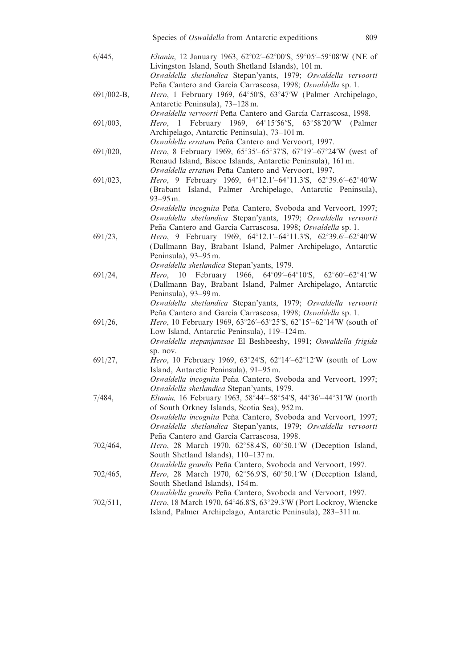| Oswaldella shetlandica Stepan'yants, 1979; Oswaldella vervoorti<br>Peña Cantero and García Carrascosa, 1998; Oswaldella sp. 1.<br>691/002-B,<br>Hero, 1 February 1969, 64°50'S, 63°47'W (Palmer Archipelago,<br>Antarctic Peninsula), 73-128 m.<br>Oswaldella vervoorti Peña Cantero and García Carrascosa, 1998.<br>691/003,<br>Hero, 1 February 1969, 64°15'56"S, 63°58'20"W (Palmer<br>Archipelago, Antarctic Peninsula), 73-101 m.<br>Oswaldella erratum Peña Cantero and Vervoort, 1997.<br>691/020,<br>Hero, 8 February 1969, 65°35′–65°37′S, 67°19′–67°24′W (west of<br>Renaud Island, Biscoe Islands, Antarctic Peninsula), 161 m.<br>Oswaldella erratum Peña Cantero and Vervoort, 1997.<br>691/023,<br><i>Hero</i> , 9 February 1969, $64^{\circ}12.1' - 64^{\circ}11.3'$ S, $62^{\circ}39.6' - 62^{\circ}40'$ W<br>(Brabant Island, Palmer Archipelago, Antarctic Peninsula),<br>93-95 m.<br>Oswaldella incognita Peña Cantero, Svoboda and Vervoort, 1997;<br>Oswaldella shetlandica Stepan'yants, 1979; Oswaldella vervoorti<br>Peña Cantero and García Carrascosa, 1998; Oswaldella sp. 1.<br>Hero, 9 February 1969, 64°12.1'-64°11.3'S, 62°39.6'-62°40'W<br>691/23,<br>(Dallmann Bay, Brabant Island, Palmer Archipelago, Antarctic<br>Peninsula), 93–95 m.<br>Oswaldella shetlandica Stepan'yants, 1979.<br><i>Hero</i> , 10 February 1966, $64^{\circ}09' - 64^{\circ}10'$ S, $62^{\circ}60' - 62^{\circ}41'$ W<br>691/24,<br>(Dallmann Bay, Brabant Island, Palmer Archipelago, Antarctic<br>Peninsula), 93–99 m.<br>Oswaldella shetlandica Stepan'yants, 1979; Oswaldella vervoorti<br>Peña Cantero and García Carrascosa, 1998; Oswaldella sp. 1.<br>Hero, 10 February 1969, 63°26′–63°25′S, 62°15′–62°14′W (south of<br>691/26,<br>Low Island, Antarctic Peninsula), 119–124 m.<br>Oswaldella stepanjantsae El Beshbeeshy, 1991; Oswaldella frigida<br>sp. nov.<br>Hero, 10 February 1969, 63°24′S, 62°14′-62°12′W (south of Low<br>691/27,<br>Island, Antarctic Peninsula), 91-95 m.<br>Oswaldella incognita Peña Cantero, Svoboda and Vervoort, 1997;<br>Oswaldella shetlandica Stepan'yants, 1979.<br>Eltanin, 16 February 1963, 58°44′-58°54′S, 44°36′-44°31′W (north<br>7/484,<br>of South Orkney Islands, Scotia Sea), 952 m.<br>Oswaldella incognita Peña Cantero, Svoboda and Vervoort, 1997;<br>Oswaldella shetlandica Stepan'yants, 1979; Oswaldella vervoorti<br>Peña Cantero and García Carrascosa, 1998.<br>Hero, 28 March 1970, $62^{\circ}58.4\text{/S}$ , $60^{\circ}50.1\text{/W}$ (Deception Island,<br>702/464,<br>South Shetland Islands), 110–137 m.<br>Oswaldella grandis Peña Cantero, Svoboda and Vervoort, 1997.<br>Hero, 28 March 1970, $62^{\circ}56.9^{\prime}$ S, $60^{\circ}50.1^{\prime}$ W (Deception Island,<br>702/465,<br>South Shetland Islands), 154 m.<br>Oswaldella grandis Peña Cantero, Svoboda and Vervoort, 1997.<br>Hero, 18 March 1970, 64°46.8′S, 63°29.3′W (Port Lockroy, Wiencke<br>702/511,<br>Island, Palmer Archipelago, Antarctic Peninsula), 283-311 m. | 6/445, | <i>Eltanin</i> , 12 January 1963, 62°02′–62°00′S, 59°05′–59°08′W (NE of<br>Livingston Island, South Shetland Islands), 101 m. |
|-----------------------------------------------------------------------------------------------------------------------------------------------------------------------------------------------------------------------------------------------------------------------------------------------------------------------------------------------------------------------------------------------------------------------------------------------------------------------------------------------------------------------------------------------------------------------------------------------------------------------------------------------------------------------------------------------------------------------------------------------------------------------------------------------------------------------------------------------------------------------------------------------------------------------------------------------------------------------------------------------------------------------------------------------------------------------------------------------------------------------------------------------------------------------------------------------------------------------------------------------------------------------------------------------------------------------------------------------------------------------------------------------------------------------------------------------------------------------------------------------------------------------------------------------------------------------------------------------------------------------------------------------------------------------------------------------------------------------------------------------------------------------------------------------------------------------------------------------------------------------------------------------------------------------------------------------------------------------------------------------------------------------------------------------------------------------------------------------------------------------------------------------------------------------------------------------------------------------------------------------------------------------------------------------------------------------------------------------------------------------------------------------------------------------------------------------------------------------------------------------------------------------------------------------------------------------------------------------------------------------------------------------------------------------------------------------------------------------------------------------------------------------------------------------------------------------------------------------------------------------------------------------------------------------------------------------------------------------------------------------------------------------------------|--------|-------------------------------------------------------------------------------------------------------------------------------|
|                                                                                                                                                                                                                                                                                                                                                                                                                                                                                                                                                                                                                                                                                                                                                                                                                                                                                                                                                                                                                                                                                                                                                                                                                                                                                                                                                                                                                                                                                                                                                                                                                                                                                                                                                                                                                                                                                                                                                                                                                                                                                                                                                                                                                                                                                                                                                                                                                                                                                                                                                                                                                                                                                                                                                                                                                                                                                                                                                                                                                                   |        |                                                                                                                               |
|                                                                                                                                                                                                                                                                                                                                                                                                                                                                                                                                                                                                                                                                                                                                                                                                                                                                                                                                                                                                                                                                                                                                                                                                                                                                                                                                                                                                                                                                                                                                                                                                                                                                                                                                                                                                                                                                                                                                                                                                                                                                                                                                                                                                                                                                                                                                                                                                                                                                                                                                                                                                                                                                                                                                                                                                                                                                                                                                                                                                                                   |        |                                                                                                                               |
|                                                                                                                                                                                                                                                                                                                                                                                                                                                                                                                                                                                                                                                                                                                                                                                                                                                                                                                                                                                                                                                                                                                                                                                                                                                                                                                                                                                                                                                                                                                                                                                                                                                                                                                                                                                                                                                                                                                                                                                                                                                                                                                                                                                                                                                                                                                                                                                                                                                                                                                                                                                                                                                                                                                                                                                                                                                                                                                                                                                                                                   |        |                                                                                                                               |
|                                                                                                                                                                                                                                                                                                                                                                                                                                                                                                                                                                                                                                                                                                                                                                                                                                                                                                                                                                                                                                                                                                                                                                                                                                                                                                                                                                                                                                                                                                                                                                                                                                                                                                                                                                                                                                                                                                                                                                                                                                                                                                                                                                                                                                                                                                                                                                                                                                                                                                                                                                                                                                                                                                                                                                                                                                                                                                                                                                                                                                   |        |                                                                                                                               |
|                                                                                                                                                                                                                                                                                                                                                                                                                                                                                                                                                                                                                                                                                                                                                                                                                                                                                                                                                                                                                                                                                                                                                                                                                                                                                                                                                                                                                                                                                                                                                                                                                                                                                                                                                                                                                                                                                                                                                                                                                                                                                                                                                                                                                                                                                                                                                                                                                                                                                                                                                                                                                                                                                                                                                                                                                                                                                                                                                                                                                                   |        |                                                                                                                               |
|                                                                                                                                                                                                                                                                                                                                                                                                                                                                                                                                                                                                                                                                                                                                                                                                                                                                                                                                                                                                                                                                                                                                                                                                                                                                                                                                                                                                                                                                                                                                                                                                                                                                                                                                                                                                                                                                                                                                                                                                                                                                                                                                                                                                                                                                                                                                                                                                                                                                                                                                                                                                                                                                                                                                                                                                                                                                                                                                                                                                                                   |        |                                                                                                                               |
|                                                                                                                                                                                                                                                                                                                                                                                                                                                                                                                                                                                                                                                                                                                                                                                                                                                                                                                                                                                                                                                                                                                                                                                                                                                                                                                                                                                                                                                                                                                                                                                                                                                                                                                                                                                                                                                                                                                                                                                                                                                                                                                                                                                                                                                                                                                                                                                                                                                                                                                                                                                                                                                                                                                                                                                                                                                                                                                                                                                                                                   |        |                                                                                                                               |
|                                                                                                                                                                                                                                                                                                                                                                                                                                                                                                                                                                                                                                                                                                                                                                                                                                                                                                                                                                                                                                                                                                                                                                                                                                                                                                                                                                                                                                                                                                                                                                                                                                                                                                                                                                                                                                                                                                                                                                                                                                                                                                                                                                                                                                                                                                                                                                                                                                                                                                                                                                                                                                                                                                                                                                                                                                                                                                                                                                                                                                   |        |                                                                                                                               |
|                                                                                                                                                                                                                                                                                                                                                                                                                                                                                                                                                                                                                                                                                                                                                                                                                                                                                                                                                                                                                                                                                                                                                                                                                                                                                                                                                                                                                                                                                                                                                                                                                                                                                                                                                                                                                                                                                                                                                                                                                                                                                                                                                                                                                                                                                                                                                                                                                                                                                                                                                                                                                                                                                                                                                                                                                                                                                                                                                                                                                                   |        |                                                                                                                               |
|                                                                                                                                                                                                                                                                                                                                                                                                                                                                                                                                                                                                                                                                                                                                                                                                                                                                                                                                                                                                                                                                                                                                                                                                                                                                                                                                                                                                                                                                                                                                                                                                                                                                                                                                                                                                                                                                                                                                                                                                                                                                                                                                                                                                                                                                                                                                                                                                                                                                                                                                                                                                                                                                                                                                                                                                                                                                                                                                                                                                                                   |        |                                                                                                                               |
|                                                                                                                                                                                                                                                                                                                                                                                                                                                                                                                                                                                                                                                                                                                                                                                                                                                                                                                                                                                                                                                                                                                                                                                                                                                                                                                                                                                                                                                                                                                                                                                                                                                                                                                                                                                                                                                                                                                                                                                                                                                                                                                                                                                                                                                                                                                                                                                                                                                                                                                                                                                                                                                                                                                                                                                                                                                                                                                                                                                                                                   |        |                                                                                                                               |
|                                                                                                                                                                                                                                                                                                                                                                                                                                                                                                                                                                                                                                                                                                                                                                                                                                                                                                                                                                                                                                                                                                                                                                                                                                                                                                                                                                                                                                                                                                                                                                                                                                                                                                                                                                                                                                                                                                                                                                                                                                                                                                                                                                                                                                                                                                                                                                                                                                                                                                                                                                                                                                                                                                                                                                                                                                                                                                                                                                                                                                   |        |                                                                                                                               |
|                                                                                                                                                                                                                                                                                                                                                                                                                                                                                                                                                                                                                                                                                                                                                                                                                                                                                                                                                                                                                                                                                                                                                                                                                                                                                                                                                                                                                                                                                                                                                                                                                                                                                                                                                                                                                                                                                                                                                                                                                                                                                                                                                                                                                                                                                                                                                                                                                                                                                                                                                                                                                                                                                                                                                                                                                                                                                                                                                                                                                                   |        |                                                                                                                               |
|                                                                                                                                                                                                                                                                                                                                                                                                                                                                                                                                                                                                                                                                                                                                                                                                                                                                                                                                                                                                                                                                                                                                                                                                                                                                                                                                                                                                                                                                                                                                                                                                                                                                                                                                                                                                                                                                                                                                                                                                                                                                                                                                                                                                                                                                                                                                                                                                                                                                                                                                                                                                                                                                                                                                                                                                                                                                                                                                                                                                                                   |        |                                                                                                                               |
|                                                                                                                                                                                                                                                                                                                                                                                                                                                                                                                                                                                                                                                                                                                                                                                                                                                                                                                                                                                                                                                                                                                                                                                                                                                                                                                                                                                                                                                                                                                                                                                                                                                                                                                                                                                                                                                                                                                                                                                                                                                                                                                                                                                                                                                                                                                                                                                                                                                                                                                                                                                                                                                                                                                                                                                                                                                                                                                                                                                                                                   |        |                                                                                                                               |
|                                                                                                                                                                                                                                                                                                                                                                                                                                                                                                                                                                                                                                                                                                                                                                                                                                                                                                                                                                                                                                                                                                                                                                                                                                                                                                                                                                                                                                                                                                                                                                                                                                                                                                                                                                                                                                                                                                                                                                                                                                                                                                                                                                                                                                                                                                                                                                                                                                                                                                                                                                                                                                                                                                                                                                                                                                                                                                                                                                                                                                   |        |                                                                                                                               |
|                                                                                                                                                                                                                                                                                                                                                                                                                                                                                                                                                                                                                                                                                                                                                                                                                                                                                                                                                                                                                                                                                                                                                                                                                                                                                                                                                                                                                                                                                                                                                                                                                                                                                                                                                                                                                                                                                                                                                                                                                                                                                                                                                                                                                                                                                                                                                                                                                                                                                                                                                                                                                                                                                                                                                                                                                                                                                                                                                                                                                                   |        |                                                                                                                               |
|                                                                                                                                                                                                                                                                                                                                                                                                                                                                                                                                                                                                                                                                                                                                                                                                                                                                                                                                                                                                                                                                                                                                                                                                                                                                                                                                                                                                                                                                                                                                                                                                                                                                                                                                                                                                                                                                                                                                                                                                                                                                                                                                                                                                                                                                                                                                                                                                                                                                                                                                                                                                                                                                                                                                                                                                                                                                                                                                                                                                                                   |        |                                                                                                                               |
|                                                                                                                                                                                                                                                                                                                                                                                                                                                                                                                                                                                                                                                                                                                                                                                                                                                                                                                                                                                                                                                                                                                                                                                                                                                                                                                                                                                                                                                                                                                                                                                                                                                                                                                                                                                                                                                                                                                                                                                                                                                                                                                                                                                                                                                                                                                                                                                                                                                                                                                                                                                                                                                                                                                                                                                                                                                                                                                                                                                                                                   |        |                                                                                                                               |
|                                                                                                                                                                                                                                                                                                                                                                                                                                                                                                                                                                                                                                                                                                                                                                                                                                                                                                                                                                                                                                                                                                                                                                                                                                                                                                                                                                                                                                                                                                                                                                                                                                                                                                                                                                                                                                                                                                                                                                                                                                                                                                                                                                                                                                                                                                                                                                                                                                                                                                                                                                                                                                                                                                                                                                                                                                                                                                                                                                                                                                   |        |                                                                                                                               |
|                                                                                                                                                                                                                                                                                                                                                                                                                                                                                                                                                                                                                                                                                                                                                                                                                                                                                                                                                                                                                                                                                                                                                                                                                                                                                                                                                                                                                                                                                                                                                                                                                                                                                                                                                                                                                                                                                                                                                                                                                                                                                                                                                                                                                                                                                                                                                                                                                                                                                                                                                                                                                                                                                                                                                                                                                                                                                                                                                                                                                                   |        |                                                                                                                               |
|                                                                                                                                                                                                                                                                                                                                                                                                                                                                                                                                                                                                                                                                                                                                                                                                                                                                                                                                                                                                                                                                                                                                                                                                                                                                                                                                                                                                                                                                                                                                                                                                                                                                                                                                                                                                                                                                                                                                                                                                                                                                                                                                                                                                                                                                                                                                                                                                                                                                                                                                                                                                                                                                                                                                                                                                                                                                                                                                                                                                                                   |        |                                                                                                                               |
|                                                                                                                                                                                                                                                                                                                                                                                                                                                                                                                                                                                                                                                                                                                                                                                                                                                                                                                                                                                                                                                                                                                                                                                                                                                                                                                                                                                                                                                                                                                                                                                                                                                                                                                                                                                                                                                                                                                                                                                                                                                                                                                                                                                                                                                                                                                                                                                                                                                                                                                                                                                                                                                                                                                                                                                                                                                                                                                                                                                                                                   |        |                                                                                                                               |
|                                                                                                                                                                                                                                                                                                                                                                                                                                                                                                                                                                                                                                                                                                                                                                                                                                                                                                                                                                                                                                                                                                                                                                                                                                                                                                                                                                                                                                                                                                                                                                                                                                                                                                                                                                                                                                                                                                                                                                                                                                                                                                                                                                                                                                                                                                                                                                                                                                                                                                                                                                                                                                                                                                                                                                                                                                                                                                                                                                                                                                   |        |                                                                                                                               |
|                                                                                                                                                                                                                                                                                                                                                                                                                                                                                                                                                                                                                                                                                                                                                                                                                                                                                                                                                                                                                                                                                                                                                                                                                                                                                                                                                                                                                                                                                                                                                                                                                                                                                                                                                                                                                                                                                                                                                                                                                                                                                                                                                                                                                                                                                                                                                                                                                                                                                                                                                                                                                                                                                                                                                                                                                                                                                                                                                                                                                                   |        |                                                                                                                               |
|                                                                                                                                                                                                                                                                                                                                                                                                                                                                                                                                                                                                                                                                                                                                                                                                                                                                                                                                                                                                                                                                                                                                                                                                                                                                                                                                                                                                                                                                                                                                                                                                                                                                                                                                                                                                                                                                                                                                                                                                                                                                                                                                                                                                                                                                                                                                                                                                                                                                                                                                                                                                                                                                                                                                                                                                                                                                                                                                                                                                                                   |        |                                                                                                                               |
|                                                                                                                                                                                                                                                                                                                                                                                                                                                                                                                                                                                                                                                                                                                                                                                                                                                                                                                                                                                                                                                                                                                                                                                                                                                                                                                                                                                                                                                                                                                                                                                                                                                                                                                                                                                                                                                                                                                                                                                                                                                                                                                                                                                                                                                                                                                                                                                                                                                                                                                                                                                                                                                                                                                                                                                                                                                                                                                                                                                                                                   |        |                                                                                                                               |
|                                                                                                                                                                                                                                                                                                                                                                                                                                                                                                                                                                                                                                                                                                                                                                                                                                                                                                                                                                                                                                                                                                                                                                                                                                                                                                                                                                                                                                                                                                                                                                                                                                                                                                                                                                                                                                                                                                                                                                                                                                                                                                                                                                                                                                                                                                                                                                                                                                                                                                                                                                                                                                                                                                                                                                                                                                                                                                                                                                                                                                   |        |                                                                                                                               |
|                                                                                                                                                                                                                                                                                                                                                                                                                                                                                                                                                                                                                                                                                                                                                                                                                                                                                                                                                                                                                                                                                                                                                                                                                                                                                                                                                                                                                                                                                                                                                                                                                                                                                                                                                                                                                                                                                                                                                                                                                                                                                                                                                                                                                                                                                                                                                                                                                                                                                                                                                                                                                                                                                                                                                                                                                                                                                                                                                                                                                                   |        |                                                                                                                               |
|                                                                                                                                                                                                                                                                                                                                                                                                                                                                                                                                                                                                                                                                                                                                                                                                                                                                                                                                                                                                                                                                                                                                                                                                                                                                                                                                                                                                                                                                                                                                                                                                                                                                                                                                                                                                                                                                                                                                                                                                                                                                                                                                                                                                                                                                                                                                                                                                                                                                                                                                                                                                                                                                                                                                                                                                                                                                                                                                                                                                                                   |        |                                                                                                                               |
|                                                                                                                                                                                                                                                                                                                                                                                                                                                                                                                                                                                                                                                                                                                                                                                                                                                                                                                                                                                                                                                                                                                                                                                                                                                                                                                                                                                                                                                                                                                                                                                                                                                                                                                                                                                                                                                                                                                                                                                                                                                                                                                                                                                                                                                                                                                                                                                                                                                                                                                                                                                                                                                                                                                                                                                                                                                                                                                                                                                                                                   |        |                                                                                                                               |
|                                                                                                                                                                                                                                                                                                                                                                                                                                                                                                                                                                                                                                                                                                                                                                                                                                                                                                                                                                                                                                                                                                                                                                                                                                                                                                                                                                                                                                                                                                                                                                                                                                                                                                                                                                                                                                                                                                                                                                                                                                                                                                                                                                                                                                                                                                                                                                                                                                                                                                                                                                                                                                                                                                                                                                                                                                                                                                                                                                                                                                   |        |                                                                                                                               |
|                                                                                                                                                                                                                                                                                                                                                                                                                                                                                                                                                                                                                                                                                                                                                                                                                                                                                                                                                                                                                                                                                                                                                                                                                                                                                                                                                                                                                                                                                                                                                                                                                                                                                                                                                                                                                                                                                                                                                                                                                                                                                                                                                                                                                                                                                                                                                                                                                                                                                                                                                                                                                                                                                                                                                                                                                                                                                                                                                                                                                                   |        |                                                                                                                               |
|                                                                                                                                                                                                                                                                                                                                                                                                                                                                                                                                                                                                                                                                                                                                                                                                                                                                                                                                                                                                                                                                                                                                                                                                                                                                                                                                                                                                                                                                                                                                                                                                                                                                                                                                                                                                                                                                                                                                                                                                                                                                                                                                                                                                                                                                                                                                                                                                                                                                                                                                                                                                                                                                                                                                                                                                                                                                                                                                                                                                                                   |        |                                                                                                                               |
|                                                                                                                                                                                                                                                                                                                                                                                                                                                                                                                                                                                                                                                                                                                                                                                                                                                                                                                                                                                                                                                                                                                                                                                                                                                                                                                                                                                                                                                                                                                                                                                                                                                                                                                                                                                                                                                                                                                                                                                                                                                                                                                                                                                                                                                                                                                                                                                                                                                                                                                                                                                                                                                                                                                                                                                                                                                                                                                                                                                                                                   |        |                                                                                                                               |
|                                                                                                                                                                                                                                                                                                                                                                                                                                                                                                                                                                                                                                                                                                                                                                                                                                                                                                                                                                                                                                                                                                                                                                                                                                                                                                                                                                                                                                                                                                                                                                                                                                                                                                                                                                                                                                                                                                                                                                                                                                                                                                                                                                                                                                                                                                                                                                                                                                                                                                                                                                                                                                                                                                                                                                                                                                                                                                                                                                                                                                   |        |                                                                                                                               |
|                                                                                                                                                                                                                                                                                                                                                                                                                                                                                                                                                                                                                                                                                                                                                                                                                                                                                                                                                                                                                                                                                                                                                                                                                                                                                                                                                                                                                                                                                                                                                                                                                                                                                                                                                                                                                                                                                                                                                                                                                                                                                                                                                                                                                                                                                                                                                                                                                                                                                                                                                                                                                                                                                                                                                                                                                                                                                                                                                                                                                                   |        |                                                                                                                               |
|                                                                                                                                                                                                                                                                                                                                                                                                                                                                                                                                                                                                                                                                                                                                                                                                                                                                                                                                                                                                                                                                                                                                                                                                                                                                                                                                                                                                                                                                                                                                                                                                                                                                                                                                                                                                                                                                                                                                                                                                                                                                                                                                                                                                                                                                                                                                                                                                                                                                                                                                                                                                                                                                                                                                                                                                                                                                                                                                                                                                                                   |        |                                                                                                                               |
|                                                                                                                                                                                                                                                                                                                                                                                                                                                                                                                                                                                                                                                                                                                                                                                                                                                                                                                                                                                                                                                                                                                                                                                                                                                                                                                                                                                                                                                                                                                                                                                                                                                                                                                                                                                                                                                                                                                                                                                                                                                                                                                                                                                                                                                                                                                                                                                                                                                                                                                                                                                                                                                                                                                                                                                                                                                                                                                                                                                                                                   |        |                                                                                                                               |
|                                                                                                                                                                                                                                                                                                                                                                                                                                                                                                                                                                                                                                                                                                                                                                                                                                                                                                                                                                                                                                                                                                                                                                                                                                                                                                                                                                                                                                                                                                                                                                                                                                                                                                                                                                                                                                                                                                                                                                                                                                                                                                                                                                                                                                                                                                                                                                                                                                                                                                                                                                                                                                                                                                                                                                                                                                                                                                                                                                                                                                   |        |                                                                                                                               |
|                                                                                                                                                                                                                                                                                                                                                                                                                                                                                                                                                                                                                                                                                                                                                                                                                                                                                                                                                                                                                                                                                                                                                                                                                                                                                                                                                                                                                                                                                                                                                                                                                                                                                                                                                                                                                                                                                                                                                                                                                                                                                                                                                                                                                                                                                                                                                                                                                                                                                                                                                                                                                                                                                                                                                                                                                                                                                                                                                                                                                                   |        |                                                                                                                               |
|                                                                                                                                                                                                                                                                                                                                                                                                                                                                                                                                                                                                                                                                                                                                                                                                                                                                                                                                                                                                                                                                                                                                                                                                                                                                                                                                                                                                                                                                                                                                                                                                                                                                                                                                                                                                                                                                                                                                                                                                                                                                                                                                                                                                                                                                                                                                                                                                                                                                                                                                                                                                                                                                                                                                                                                                                                                                                                                                                                                                                                   |        |                                                                                                                               |
|                                                                                                                                                                                                                                                                                                                                                                                                                                                                                                                                                                                                                                                                                                                                                                                                                                                                                                                                                                                                                                                                                                                                                                                                                                                                                                                                                                                                                                                                                                                                                                                                                                                                                                                                                                                                                                                                                                                                                                                                                                                                                                                                                                                                                                                                                                                                                                                                                                                                                                                                                                                                                                                                                                                                                                                                                                                                                                                                                                                                                                   |        |                                                                                                                               |
|                                                                                                                                                                                                                                                                                                                                                                                                                                                                                                                                                                                                                                                                                                                                                                                                                                                                                                                                                                                                                                                                                                                                                                                                                                                                                                                                                                                                                                                                                                                                                                                                                                                                                                                                                                                                                                                                                                                                                                                                                                                                                                                                                                                                                                                                                                                                                                                                                                                                                                                                                                                                                                                                                                                                                                                                                                                                                                                                                                                                                                   |        |                                                                                                                               |
|                                                                                                                                                                                                                                                                                                                                                                                                                                                                                                                                                                                                                                                                                                                                                                                                                                                                                                                                                                                                                                                                                                                                                                                                                                                                                                                                                                                                                                                                                                                                                                                                                                                                                                                                                                                                                                                                                                                                                                                                                                                                                                                                                                                                                                                                                                                                                                                                                                                                                                                                                                                                                                                                                                                                                                                                                                                                                                                                                                                                                                   |        |                                                                                                                               |
|                                                                                                                                                                                                                                                                                                                                                                                                                                                                                                                                                                                                                                                                                                                                                                                                                                                                                                                                                                                                                                                                                                                                                                                                                                                                                                                                                                                                                                                                                                                                                                                                                                                                                                                                                                                                                                                                                                                                                                                                                                                                                                                                                                                                                                                                                                                                                                                                                                                                                                                                                                                                                                                                                                                                                                                                                                                                                                                                                                                                                                   |        |                                                                                                                               |
|                                                                                                                                                                                                                                                                                                                                                                                                                                                                                                                                                                                                                                                                                                                                                                                                                                                                                                                                                                                                                                                                                                                                                                                                                                                                                                                                                                                                                                                                                                                                                                                                                                                                                                                                                                                                                                                                                                                                                                                                                                                                                                                                                                                                                                                                                                                                                                                                                                                                                                                                                                                                                                                                                                                                                                                                                                                                                                                                                                                                                                   |        |                                                                                                                               |
|                                                                                                                                                                                                                                                                                                                                                                                                                                                                                                                                                                                                                                                                                                                                                                                                                                                                                                                                                                                                                                                                                                                                                                                                                                                                                                                                                                                                                                                                                                                                                                                                                                                                                                                                                                                                                                                                                                                                                                                                                                                                                                                                                                                                                                                                                                                                                                                                                                                                                                                                                                                                                                                                                                                                                                                                                                                                                                                                                                                                                                   |        |                                                                                                                               |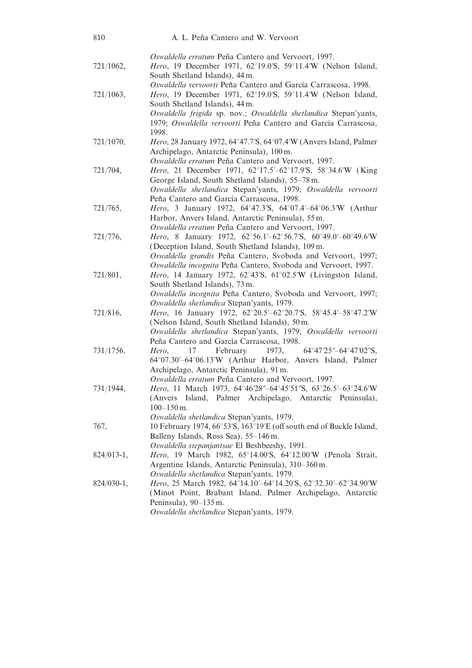| 810          | A. L. Peña Cantero and W. Vervoort                                                                                       |
|--------------|--------------------------------------------------------------------------------------------------------------------------|
|              | Oswaldella erratum Peña Cantero and Vervoort, 1997.                                                                      |
| 721/1062,    | Hero, 19 December 1971, 62°19.0'S, 59°11.4'W (Nelson Island,                                                             |
|              | South Shetland Islands), 44 m.                                                                                           |
|              | Oswaldella vervoorti Peña Cantero and García Carrascosa, 1998.                                                           |
|              |                                                                                                                          |
| 721/1063,    | Hero, 19 December 1971, 62°19.0'S, 59°11.4'W (Nelson Island,                                                             |
|              | South Shetland Islands), 44 m.                                                                                           |
|              | Oswaldella frigida sp. nov.; Oswaldella shetlandica Stepan'yants,                                                        |
|              | 1979; Oswaldella vervoorti Peña Cantero and García Carrascosa,                                                           |
|              | 1998.                                                                                                                    |
| 721/1070,    | Hero, 28 January 1972, 64°47.7'S, 64°07.4'W (Anvers Island, Palmer                                                       |
|              | Archipelago, Antarctic Peninsula), 100 m.                                                                                |
|              | Oswaldella erratum Peña Cantero and Vervoort, 1997.                                                                      |
| 721/704,     | Hero, 21 December 1971, 62°17.5'-62°17.9'S, 58°34.6'W (King                                                              |
|              | George Island, South Shetland Islands), 55–78 m.                                                                         |
|              | Oswaldella shetlandica Stepan'yants, 1979; Oswaldella vervoorti                                                          |
|              | Peña Cantero and García Carrascosa, 1998.                                                                                |
| 721/765,     | Hero, 3 January 1972, 64°47.3'S, 64°07.4'-64°06.3'W (Arthur                                                              |
|              | Harbor, Anvers Island, Antarctic Peninsula), 55 m.                                                                       |
|              | Oswaldella erratum Peña Cantero and Vervoort, 1997.                                                                      |
| 721/776,     | Hero, 8 January 1972, 62°56.1'–62°56.7'S, 60°49.0'–60°49.6'W                                                             |
|              | (Deception Island, South Shetland Islands), 109 m.                                                                       |
|              | Oswaldella grandis Peña Cantero, Svoboda and Vervoort, 1997;                                                             |
|              | Oswaldella incognita Peña Cantero, Svoboda and Vervoort, 1997.                                                           |
| 721/801,     | Hero, 14 January 1972, $62^{\circ}43^{\prime}S$ , $61^{\circ}02.5^{\prime}W$ (Livingston Island,                         |
|              | South Shetland Islands), 73 m.                                                                                           |
|              | Oswaldella incognita Peña Cantero, Svoboda and Vervoort, 1997;                                                           |
|              | Oswaldella shetlandica Stepan'yants, 1979.                                                                               |
| 721/816,     | Hero, 16 January 1972, 62°20.5'-62°20.7'S, 58°45.4'-58°47.2'W                                                            |
|              | (Nelson Island, South Shetland Islands), 50 m.                                                                           |
|              | Oswaldella shetlandica Stepan'yants, 1979; Oswaldella vervoorti                                                          |
|              | Peña Cantero and García Carrascosa, 1998.                                                                                |
| 731/1756,    | 17<br>$64^{\circ}47^{\prime}25^{\prime\prime} - 64^{\circ}47^{\prime}02^{\prime\prime}S$ ,<br>February<br>1973,<br>Hero, |
|              | 64°07.30′–64°06.13′W (Arthur Harbor, Anvers Island, Palmer                                                               |
|              | Archipelago, Antarctic Peninsula), 91 m.                                                                                 |
|              | Oswaldella erratum Peña Cantero and Vervoort, 1997.                                                                      |
| 731/1944,    | Hero, 11 March 1973, 64°46'28"-64°45'51"S, 63°26.5'-63°24.6'W                                                            |
|              | (Anvers Island, Palmer Archipelago, Antarctic Peninsula),                                                                |
|              | $100 - 150$ m.                                                                                                           |
|              | Oswaldella shetlandica Stepan'yants, 1979.                                                                               |
| 767,         | 10 February 1974, 66°53′S, 163°19′E (off south end of Buckle Island,                                                     |
|              | Balleny Islands, Ross Sea), 55-146 m.                                                                                    |
|              | Oswaldella stepanjantsae El Beshbeeshy, 1991.                                                                            |
| $824/013-1,$ | Hero, 19 March 1982, 65°14.00'S, 64°12.00'W (Penola Strait,                                                              |
|              | Argentine Islands, Antarctic Peninsula), 310-360 m.                                                                      |
|              | Oswaldella shetlandica Stepan'yants, 1979.                                                                               |
| $824/030-1,$ | Hero, 25 March 1982, 64°14.10′-64°14.20′S, 62°32.30′-62°34.90′W                                                          |
|              | (Minot Point, Brabant Island, Palmer Archipelago, Antarctic                                                              |
|              | Peninsula), $90-135$ m.                                                                                                  |
|              | Oswaldella shetlandica Stepan'yants, 1979.                                                                               |
|              |                                                                                                                          |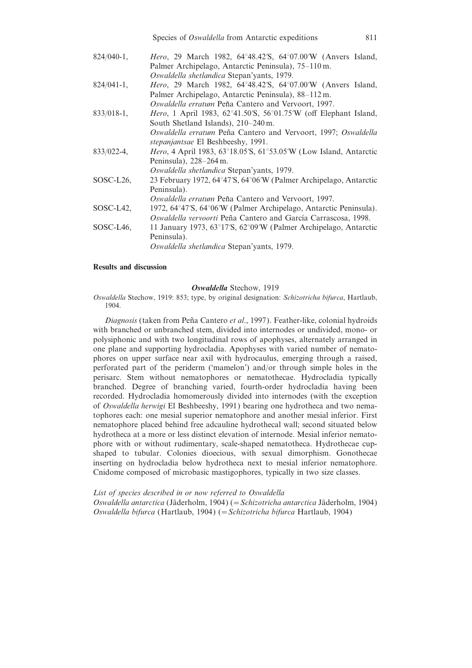| $824/040-1$ ,          | <i>Hero</i> , 29 March 1982, 64°48.42'S, 64°07.00'W (Anvers Island,                               |
|------------------------|---------------------------------------------------------------------------------------------------|
|                        | Palmer Archipelago, Antarctic Peninsula), 75–110 m.<br>Oswaldella shetlandica Stepan'yants, 1979. |
| $824/041-1$ ,          | Hero, 29 March 1982, 64°48.42'S, 64°07.00'W (Anvers Island,                                       |
|                        | Palmer Archipelago, Antarctic Peninsula), 88–112 m.                                               |
|                        | Oswaldella erratum Peña Cantero and Vervoort, 1997.                                               |
| $833/018-1$ ,          | <i>Hero</i> , 1 April 1983, 62°41.50′S, 56°01.75′W (off Elephant Island,                          |
|                        | South Shetland Islands), 210–240 m.                                                               |
|                        | Oswaldella erratum Peña Cantero and Vervoort, 1997; Oswaldella                                    |
|                        | <i>stepanjantsae</i> El Beshbeeshy, 1991.                                                         |
| 833/022-4,             | <i>Hero</i> , 4 April 1983, 63°18.05′S, 61°53.05′W (Low Island, Antarctic                         |
|                        | Peninsula), 228–264 m.                                                                            |
|                        | Oswaldella shetlandica Stepan'yants, 1979.                                                        |
| $SOSC-L26$             | 23 February 1972, 64°47′S, 64°06′W (Palmer Archipelago, Antarctic                                 |
|                        | Peninsula).                                                                                       |
|                        | <i>Oswaldella erratum</i> Peña Cantero and Vervoort, 1997.                                        |
| SOSC-L42,              | 1972, 64°47′S, 64°06′W (Palmer Archipelago, Antarctic Peninsula).                                 |
|                        | Oswaldella vervoorti Peña Cantero and García Carrascosa, 1998.                                    |
| SOSC-L <sub>46</sub> , | 11 January 1973, 63°17′S, 62°09′W (Palmer Archipelago, Antarctic                                  |
|                        | Peninsula).                                                                                       |
|                        | Oswaldella shetlandica Stepan'yants, 1979.                                                        |
|                        |                                                                                                   |

### **Results and discussion**

#### *Oswaldella* Stechow, 1919

*Oswaldella* Stechow, 1919: 853; type, by original designation: *Schizotricha bifurca*, Hartlaub, 1904.

*Diagnosis* (taken from Peña Cantero *et al.*, 1997). Feather-like, colonial hydroids with branched or unbranched stem, divided into internodes or undivided, mono- or polysiphonic and with two longitudinal rows of apophyses, alternately arranged in one plane and supporting hydrocladia. Apophyses with varied number of nematophores on upper surface near axil with hydrocaulus, emerging through a raised, perforated part of the periderm ('mamelon') and/or through simple holes in the perisarc. Stem without nematophores or nematothecae. Hydrocladia typically branched. Degree of branching varied, fourth-order hydrocladia having been recorded. Hydrocladia homomerously divided into internodes (with the exception of *Oswaldella herwigi* El Beshbeeshy, 1991) bearing one hydrotheca and two nematophores each: one mesial superior nematophore and another mesial inferior. First nematophore placed behind free adcauline hydrothecal wall; second situated below hydrotheca at a more or less distinct elevation of internode. Mesial inferior nematophore with or without rudimentary, scale-shaped nematotheca. Hydrothecae cupshaped to tubular. Colonies dioecious, with sexual dimorphism. Gonothecae inserting on hydrocladia below hydrotheca next to mesial inferior nematophore. Cnidome composed of microbasic mastigophores, typically in two size classes.

#### *List of species described in or now referred to Oswaldella*

Oswaldella antarctica (Jäderholm, 1904) (= Schizotricha antarctica Jäderholm, 1904) *Oswaldella bifurca* (Hartlaub, 1904) (=*Schizotricha bifurca* Hartlaub, 1904)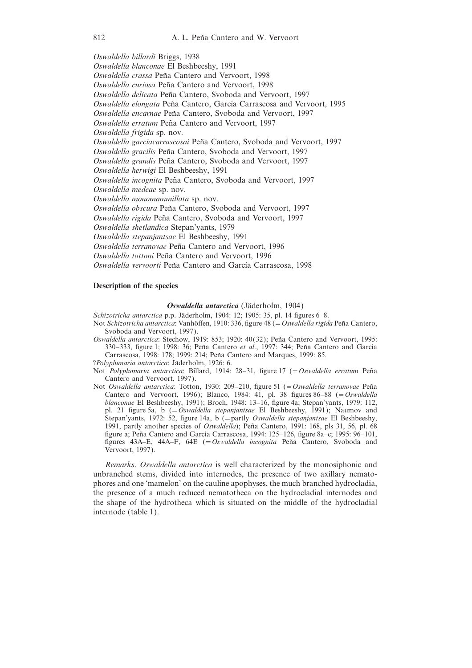*Oswaldella billardi* Briggs, 1938 *Oswaldella blanconae* El Beshbeeshy, 1991 Oswaldella crassa Peña Cantero and Vervoort, 1998 *Oswaldella curiosa* Peña Cantero and Vervoort, 1998 Oswaldella delicata Peña Cantero, Svoboda and Vervoort, 1997 Oswaldella elongata Peña Cantero, García Carrascosa and Vervoort, 1995 Oswaldella encarnae Peña Cantero, Svoboda and Vervoort, 1997 Oswaldella erratum Peña Cantero and Vervoort, 1997 *Oswaldella frigida* sp. nov. Oswaldella garciacarrascosai Peña Cantero, Svoboda and Vervoort, 1997 Oswaldella gracilis Peña Cantero, Svoboda and Vervoort, 1997 Oswaldella grandis Peña Cantero, Svoboda and Vervoort, 1997 *Oswaldella herwigi* El Beshbeeshy, 1991 Oswaldella incognita Peña Cantero, Svoboda and Vervoort, 1997 *Oswaldella medeae* sp. nov. *Oswaldella monomammillata* sp. nov. Oswaldella obscura Peña Cantero, Svoboda and Vervoort, 1997 *Oswaldella rigida* Peña Cantero, Svoboda and Vervoort, 1997 *Oswaldella shetlandica* Stepan'yants, 1979 *Oswaldella stepanjantsae* El Beshbeeshy, 1991 Oswaldella terranovae Peña Cantero and Vervoort, 1996 Oswaldella tottoni Peña Cantero and Vervoort, 1996 Oswaldella vervoorti Peña Cantero and García Carrascosa, 1998

#### **Description of the species**

#### **Oswaldella antarctica** (Jäderholm, 1904)

*Schizotricha antarctica* p.p. Jäderholm, 1904: 12; 1905: 35, pl. 14 figures 6–8.

Not *Schizotricha antarctica*: Vanhöffen, 1910: 336, figure 48 (= Oswaldella rigida Peña Cantero, Svoboda and Vervoort, 1997).

Oswaldella antarctica: Stechow, 1919: 853; 1920: 40(32); Peña Cantero and Vervoort, 1995: 330–333, figure 1; 1998: 36; Peña Cantero *et al.*, 1997: 344; Peña Cantero and García Carrascosa, 1998: 178; 1999: 214; Peña Cantero and Marques, 1999: 85.

?*Polyplumaria antarctica*: Jäderholm, 1926: 6.

Not *Polyplumaria antarctica*: Billard, 1914: 28–31, figure 17 (= Oswaldella erratum Peña Cantero and Vervoort, 1997).

Not *Oswaldella antarctica*: Totton, 1930: 209–210, figure 51 (= *Oswaldella terranovae* Peña Cantero and Vervoort, 1996); Blanco, 1984:  $4\overline{1}$ , pl. 38 figures 86–88 (= Oswaldella *blanconae* El Beshbeeshy, 1991); Broch, 1948: 13–16, figure 4a; Stepan'yants, 1979: 112, pl. 21 figure 5a, b (=*Oswaldella stepanjantsae* El Beshbeeshy, 1991); Naumov and Stepan'yants, 1972: 52, figure 14a, b (=partly *Oswaldella stepanjantsae* El Beshbeeshy, 1991, partly another species of *Oswaldella*); Peña Cantero, 1991: 168, pls 31, 56, pl. 68 figure a; Peña Cantero and García Carrascosa, 1994: 125-126, figure 8a-c; 1995: 96-101, figures 43A–E, 44A–F, 64E (= *Oswaldella incognita* Peña Cantero, Svoboda and Vervoort, 1997).

*Remarks*. *Oswaldella antarctica* is well characterized by the monosiphonic and unbranched stems, divided into internodes, the presence of two axillary nematophores and one 'mamelon' on the cauline apophyses, the much branched hydrocladia, the presence of a much reduced nematotheca on the hydrocladial internodes and the shape of the hydrotheca which is situated on the middle of the hydrocladial internode (table 1).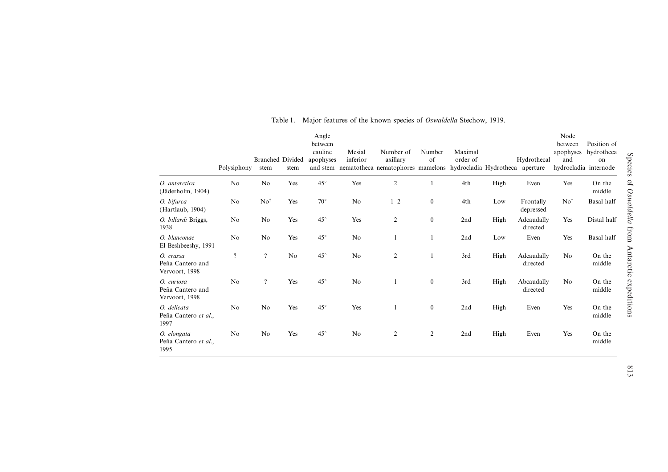|                                                  | Polysiphony    | <b>Branched Divided</b><br>stem | stem | Angle<br>between<br>cauline<br>apophyses | Mesial<br>inferior | Number of<br>axillary<br>and stem nematotheca nematophores mamelons | Number<br>of     | Maximal<br>order of<br>hydrocladia Hydrotheca aperture |      | Hydrothecal            | Node<br>between<br>apophyses<br>and<br>hydrocladia internode | Position of<br>hydrotheca<br>on |
|--------------------------------------------------|----------------|---------------------------------|------|------------------------------------------|--------------------|---------------------------------------------------------------------|------------------|--------------------------------------------------------|------|------------------------|--------------------------------------------------------------|---------------------------------|
| O. antarctica<br>(Jäderholm, 1904)               | N <sub>o</sub> | No                              | Yes  | $45^{\circ}$                             | Yes                | $\mathfrak{2}$                                                      | $\mathbf{1}$     | 4th                                                    | High | Even                   | Yes                                                          | On the<br>middle                |
| O. bifurca<br>(Hartlaub, 1904)                   | No             | $No^{\dagger}$                  | Yes  | $70^{\circ}$                             | No                 | $1 - 2$                                                             | $\mathbf{0}$     | 4th                                                    | Low  | Frontally<br>depressed | No <sup>†</sup>                                              | Basal half                      |
| O. billardi Briggs,<br>1938                      | No             | No                              | Yes  | $45^{\circ}$                             | Yes                | 2                                                                   | $\boldsymbol{0}$ | 2nd                                                    | High | Adcaudally<br>directed | Yes                                                          | Distal half                     |
| O. blanconae<br>El Beshbeeshy, 1991              | No             | No                              | Yes  | $45^{\circ}$                             | No                 |                                                                     | 1                | 2nd                                                    | Low  | Even                   | Yes                                                          | Basal half                      |
| O. crassa<br>Peña Cantero and<br>Vervoort, 1998  | $\gamma$       | $\ddot{?}$                      | No   | $45^{\circ}$                             | No                 | $\mathfrak{2}$                                                      | $\mathbf{1}$     | 3rd                                                    | High | Adcaudally<br>directed | No                                                           | On the<br>middle                |
| O. curiosa<br>Peña Cantero and<br>Vervoort, 1998 | No             | $\overline{?}$                  | Yes  | $45^{\circ}$                             | No                 |                                                                     | $\overline{0}$   | 3rd                                                    | High | Abcaudally<br>directed | N <sub>0</sub>                                               | On the<br>middle                |
| O. delicata<br>Peña Cantero et al.,<br>1997      | No             | No                              | Yes  | $45^{\circ}$                             | Yes                |                                                                     | $\overline{0}$   | 2nd                                                    | High | Even                   | Yes                                                          | On the<br>middle                |
| O. elongata<br>Peña Cantero et al.,<br>1995      | No             | N <sub>0</sub>                  | Yes  | $45^\circ$                               | N <sub>o</sub>     | 2                                                                   | 2                | 2nd                                                    | High | Even                   | Yes                                                          | On the<br>middle                |

Table 1. Major features of the known species of *Oswaldella* Stechow, 1919.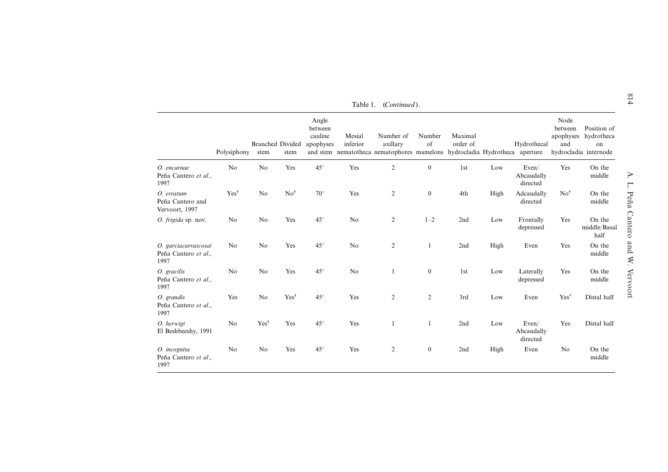|                                                      |                  |                                 |                 |                                          | Table 1.           | (Continued).                                                                                        |                  |                     |      |                                 |                                                              |                                 |
|------------------------------------------------------|------------------|---------------------------------|-----------------|------------------------------------------|--------------------|-----------------------------------------------------------------------------------------------------|------------------|---------------------|------|---------------------------------|--------------------------------------------------------------|---------------------------------|
|                                                      | Polysiphony      | <b>Branched Divided</b><br>stem | stem            | Angle<br>between<br>cauline<br>apophyses | Mesial<br>inferior | Number of<br>axillary<br>and stem nematotheca nematophores mamelons hydrocladia Hydrotheca aperture | Number<br>of     | Maximal<br>order of |      | Hydrothecal                     | Node<br>between<br>apophyses<br>and<br>hydrocladia internode | Position of<br>hydrotheca<br>on |
| O. encarnae<br>Peña Cantero et al.,<br>1997          | No               | No                              | Yes             | $45^{\circ}$                             | Yes                | 2                                                                                                   | $\boldsymbol{0}$ | 1st                 | Low  | Even/<br>Abcaudally<br>directed | Yes                                                          | On the<br>middle                |
| O. erratum<br>Peña Cantero and<br>Vervoort, 1997     | Yes <sup>†</sup> | No                              | No <sup>†</sup> | $70^{\circ}$                             | Yes                | $\overline{2}$                                                                                      | $\boldsymbol{0}$ | 4th                 | High | Adcaudally<br>directed          | No <sup>†</sup>                                              | On the<br>middle                |
| O. frigida sp. nov.                                  | No               | No                              | Yes             | $45^{\circ}$                             | No                 | $\overline{2}$                                                                                      | $1 - 2$          | 2nd                 | Low  | Frontally<br>depressed          | Yes                                                          | On the<br>middle/Basal<br>half  |
| O. garciacarrascosai<br>Peña Cantero et al.,<br>1997 | No               | No                              | Yes             | $45^{\circ}$                             | No                 | $\mathfrak{2}$                                                                                      | -1               | 2nd                 | High | Even                            | Yes                                                          | On the<br>middle                |
| O. gracilis<br>Peña Cantero et al.,<br>1997          | No               | No                              | Yes             | $45^{\circ}$                             | No                 |                                                                                                     | $\boldsymbol{0}$ | 1st                 | Low  | Laterally<br>depressed          | Yes                                                          | On the<br>middle                |
| O. grandis<br>Peña Cantero et al.,<br>1997           | Yes              | No                              | $Yes^{\dagger}$ | $45^\circ$                               | Yes                | $\overline{2}$                                                                                      | 2                | 3rd                 | Low  | Even                            | Yest                                                         | Distal half                     |
| O. herwigi<br>El Beshbeeshy, 1991                    | No               | Yes <sup>†</sup>                | Yes             | $45^{\circ}$                             | Yes                |                                                                                                     | 1                | 2nd                 | Low  | Even/<br>Abcaudally<br>directed | Yes                                                          | Distal half                     |
| O. incognita<br>Peña Cantero et al.,<br>1997         | No               | N <sub>0</sub>                  | Yes             | $45^\circ$                               | Yes                | 2                                                                                                   | $\boldsymbol{0}$ | 2nd                 | High | Even                            | No                                                           | On the<br>middle                |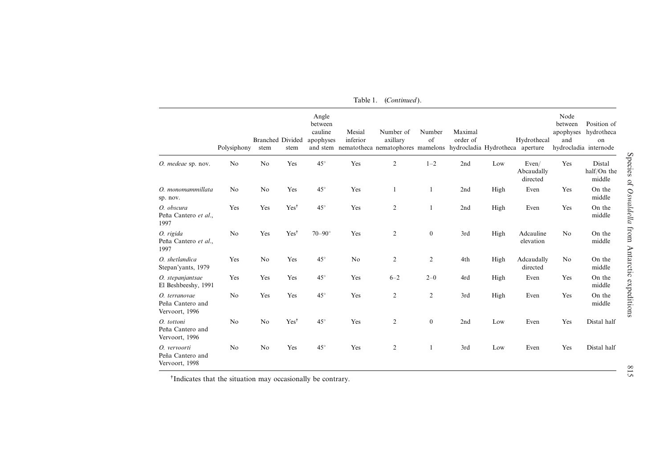|                                                     | Polysiphony    | <b>Branched Divided</b><br>stem | stem             | Angle<br>between<br>cauline<br>apophyses | Mesial<br>inferior | Number of<br>axillary<br>and stem nematotheca nematophores mamelons hydrocladia Hydrotheca aperture | Number<br>of   | Maximal<br>order of |      | Hydrothecal                     | Node<br>between<br>apophyses<br>and | Position of<br>hydrotheca<br>on<br>hydrocladia internode |
|-----------------------------------------------------|----------------|---------------------------------|------------------|------------------------------------------|--------------------|-----------------------------------------------------------------------------------------------------|----------------|---------------------|------|---------------------------------|-------------------------------------|----------------------------------------------------------|
| O. medeae sp. nov.                                  | No             | No                              | Yes              | $45^{\circ}$                             | Yes                | $\overline{c}$                                                                                      | $1 - 2$        | 2nd                 | Low  | Even/<br>Abcaudally<br>directed | Yes                                 | Distal<br>half/On the<br>middle                          |
| O. monomammillata<br>sp. nov.                       | N <sub>o</sub> | N <sub>0</sub>                  | Yes              | $45^{\circ}$                             | Yes                | -1                                                                                                  | 1              | 2nd                 | High | Even                            | Yes                                 | On the<br>middle                                         |
| O. obscura<br>Peña Cantero et al.,<br>1997          | Yes            | Yes                             | Yes <sup>†</sup> | $45^{\circ}$                             | Yes                | $\mathfrak{2}$                                                                                      | 1              | 2nd                 | High | Even                            | Yes                                 | On the<br>middle                                         |
| O. rigida<br>Peña Cantero et al.,<br>1997           | No             | Yes                             | $Yes^{\dagger}$  | $70 - 90^{\circ}$                        | Yes                | $\overline{c}$                                                                                      | $\bf{0}$       | 3rd                 | High | Adcauline<br>elevation          | N <sub>o</sub>                      | On the<br>middle                                         |
| O. shetlandica<br>Stepan'yants, 1979                | Yes            | N <sub>0</sub>                  | Yes              | $45^{\circ}$                             | No                 | $\overline{c}$                                                                                      | $\overline{c}$ | 4th                 | High | Adcaudally<br>directed          | No                                  | On the<br>middle                                         |
| O. stepanjantsae<br>El Beshbeeshy, 1991             | Yes            | Yes                             | Yes              | $45^{\circ}$                             | Yes                | $6 - 2$                                                                                             | $2 - 0$        | 4rd                 | High | Even                            | Yes                                 | On the<br>middle                                         |
| O. terranovae<br>Peña Cantero and<br>Vervoort, 1996 | No             | Yes                             | Yes              | $45^{\circ}$                             | Yes                | $\overline{c}$                                                                                      | $\overline{c}$ | 3rd                 | High | Even                            | Yes                                 | On the<br>middle                                         |
| O. tottoni<br>Peña Cantero and<br>Vervoort, 1996    | No             | No                              | Yes <sup>†</sup> | $45^{\circ}$                             | Yes                | $\overline{c}$                                                                                      | $\bf{0}$       | 2nd                 | Low  | Even                            | Yes                                 | Distal half                                              |
| O. vervoorti<br>Peña Cantero and<br>Vervoort, 1998  | No             | No                              | Yes              | $45^{\circ}$                             | Yes                | 2                                                                                                   | -1             | 3rd                 | Low  | Even                            | Yes                                 | Distal half                                              |

Table 1. (*Continued*).

†Indicates that the situation may occasionally be contrary.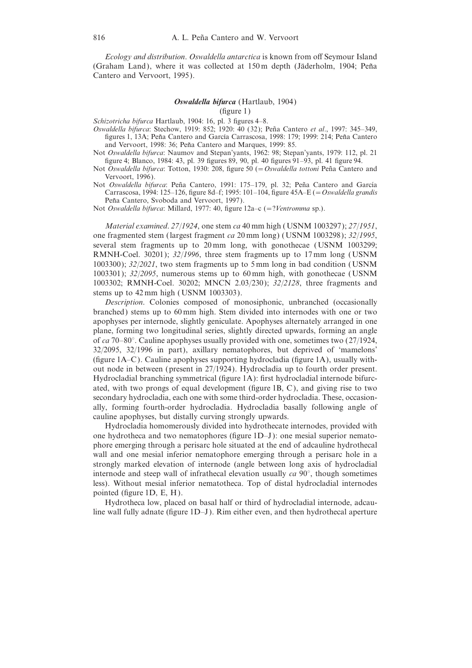*Ecology and distribution*. *Oswaldella antarctica* is known from off Seymour Island (Graham Land), where it was collected at  $150 \text{ m}$  depth (Jäderholm, 1904; Peña Cantero and Vervoort, 1995).

### *Oswaldella bifurca* (Hartlaub, 1904)

(figure 1)

*Schizotricha bifurca* Hartlaub, 1904: 16, pl. 3 figures 4–8.

- *Oswaldella bifurca*: Stechow, 1919: 852; 1920: 40 (32); Pen˜a Cantero *et al*., 1997: 345–349, figures 1, 13A; Peña Cantero and García Carrascosa, 1998: 179; 1999: 214; Peña Cantero and Vervoort, 1998: 36; Peña Cantero and Marques, 1999: 85.
- Not *Oswaldella bifurca*: Naumov and Stepan'yants, 1962: 98; Stepan'yants, 1979: 112, pl. 21 figure 4; Blanco, 1984: 43, pl. 39 figures 89, 90, pl. 40 figures 91–93, pl. 41 figure 94.
- Not *Oswaldella bifurca*: Totton, 1930: 208, figure 50 (= *Oswaldella tottoni* Peña Cantero and Vervoort, 1996).
- Not *Oswaldella bifurca*: Peña Cantero, 1991: 175-179, pl. 32; Peña Cantero and García Carrascosa, 1994: 125–126, figure 8d–f; 1995: 101–104, figure 45A–E (=*Oswaldella grandis* Peña Cantero, Svoboda and Vervoort, 1997).

Not *Oswaldella bifurca*: Millard, 1977: 40, figure 12a–c (=?*Ventromma* sp.).

*Material examined*. *27*/*1924*, one stem *ca* 40 mm high (USNM 1003297); *27*/*1951*, one fragmented stem (largest fragment *ca* 20 mm long) (USNM 1003298); *32*/*1995*, several stem fragments up to 20 mm long, with gonothecae (USNM 1003299; RMNH-Coel. 30201); *32*/*1996*, three stem fragments up to 17 mm long (USNM 1003300); *32*/*2021*, two stem fragments up to 5 mm long in bad condition (USNM 1003301); *32*/*2095*, numerous stems up to 60 mm high, with gonothecae (USNM 1003302; RMNH-Coel. 30202; MNCN 2.03/230); *32*/*2128*, three fragments and stems up to 42 mm high (USNM 1003303).

*Description*. Colonies composed of monosiphonic, unbranched (occasionally branched) stems up to 60 mm high. Stem divided into internodes with one or two apophyses per internode, slightly geniculate. Apophyses alternately arranged in one plane, forming two longitudinal series, slightly directed upwards, forming an angle of *ca* 70–80°. Cauline apophyses usually provided with one, sometimes two (27/1924, 32/2095, 32/1996 in part), axillary nematophores, but deprived of 'mamelons' (figure 1A–C). Cauline apophyses supporting hydrocladia (figure 1A), usually without node in between (present in 27/1924). Hydrocladia up to fourth order present. Hydrocladial branching symmetrical (figure 1A): first hydrocladial internode bifurcated, with two prongs of equal development (figure 1B, C), and giving rise to two secondary hydrocladia, each one with some third-order hydrocladia. These, occasionally, forming fourth-order hydrocladia. Hydrocladia basally following angle of cauline apophyses, but distally curving strongly upwards.

Hydrocladia homomerously divided into hydrothecate internodes, provided with one hydrotheca and two nematophores (figure 1D–J): one mesial superior nematophore emerging through a perisarc hole situated at the end of adcauline hydrothecal wall and one mesial inferior nematophore emerging through a perisarc hole in a strongly marked elevation of internode (angle between long axis of hydrocladial internode and steep wall of infrathecal elevation usually *ca* 90°, though sometimes less). Without mesial inferior nematotheca. Top of distal hydrocladial internodes pointed (figure 1D, E, H).

Hydrotheca low, placed on basal half or third of hydrocladial internode, adcauline wall fully adnate (figure 1D–J). Rim either even, and then hydrothecal aperture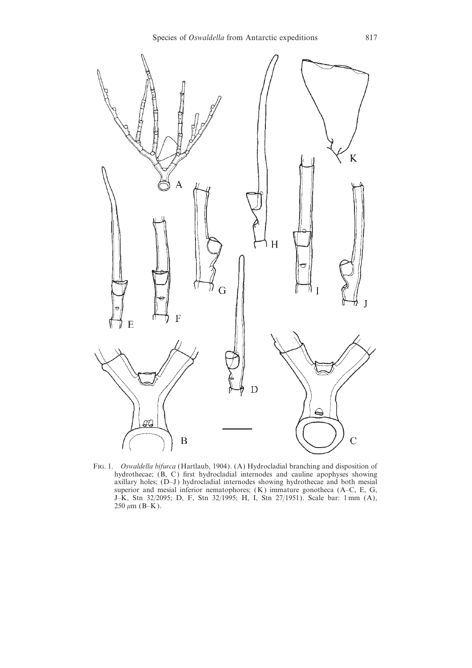

F. 1. *Oswaldella bifurca* (Hartlaub, 1904). (A) Hydrocladial branching and disposition of hydrothecae; (B, C) first hydrocladial internodes and cauline apophyses showing axillary holes; (D–J) hydrocladial internodes showing hydrothecae and both mesial superior and mesial inferior nematophores;  $(K)$  immature gonotheca  $(A-C, E, G,$ J–K, Stn 32/2095; D, F, Stn 32/1995; H, I, Stn 27/1951). Scale bar: 1 mm (A),  $250 \mu m$  (B–K).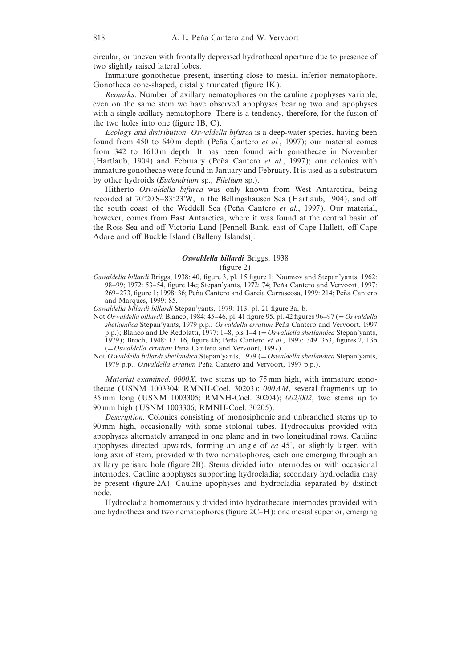circular, or uneven with frontally depressed hydrothecal aperture due to presence of two slightly raised lateral lobes.

Immature gonothecae present, inserting close to mesial inferior nematophore. Gonotheca cone-shaped, distally truncated (figure 1K).

*Remarks*. Number of axillary nematophores on the cauline apophyses variable; even on the same stem we have observed apophyses bearing two and apophyses with a single axillary nematophore. There is a tendency, therefore, for the fusion of the two holes into one (figure 1B, C).

*Ecology and distribution*. *Oswaldella bifurca* is a deep-water species, having been found from 450 to 640 m depth (Peña Cantero *et al.*, 1997); our material comes from 342 to 1610 m depth. It has been found with gonothecae in November (Hartlaub, 1904) and February (Peña Cantero *et al.*, 1997); our colonies with immature gonothecae were found in January and February. It is used as a substratum by other hydroids (*Eudendrium* sp., *Filellum* sp.).

Hitherto *Oswaldella bifurca* was only known from West Antarctica, being recorded at 70°20′S–83°23′W, in the Bellingshausen Sea (Hartlaub, 1904), and off the south coast of the Weddell Sea (Peña Cantero *et al.*, 1997). Our material, however, comes from East Antarctica, where it was found at the central basin of the Ross Sea and off Victoria Land [Pennell Bank, east of Cape Hallett, off Cape Adare and off Buckle Island (Balleny Islands)].

# *Oswaldella billardi* Briggs, 1938

(figure 2)

*Oswaldella billardi* Briggs, 1938: 40, figure 3, pl. 15 figure 1; Naumov and Stepan'yants, 1962: 98–99; 1972: 53–54, figure 14c; Stepan'yants, 1972: 74; Peña Cantero and Vervoort, 1997: 269–273, figure 1; 1998: 36; Peña Cantero and García Carrascosa, 1999: 214; Peña Cantero and Marques, 1999: 85.

*Oswaldella billardi billardi* Stepan'yants, 1979: 113, pl. 21 figure 3a, b.

- Not *Oswaldella billardi*: Blanco, 1984: 45–46, pl. 41 figure 95, pl. 42 figures 96–97 (=*Oswaldella* shetlandica Stepan'yants, 1979 p.p.; Oswaldella erratum Peña Cantero and Vervoort, 1997 p.p.); Blanco and De Redolatti, 1977: 1–8, pls 1–4 (=*Oswaldella shetlandica* Stepan'yants, 1979); Broch, 1948: 13–16, figure 4b; Peña Cantero *et al.*, 1997: 349–353, figures 2, 13b (= Oswaldella erratum Peña Cantero and Vervoort, 1997).
- Not *Oswaldella billardi shetlandica* Stepan'yants, 1979 (=*Oswaldella shetlandica* Stepan'yants, 1979 p.p.; *Oswaldella erratum* Peña Cantero and Vervoort, 1997 p.p.).

*Material examined*. *0000X*, two stems up to 75 mm high, with immature gonothecae (USNM 1003304; RMNH-Coel. 30203); *000AM*, several fragments up to 35 mm long (USNM 1003305; RMNH-Coel. 30204); *002*/*002*, two stems up to 90 mm high (USNM 1003306; RMNH-Coel. 30205).

*Description*. Colonies consisting of monosiphonic and unbranched stems up to 90 mm high, occasionally with some stolonal tubes. Hydrocaulus provided with apophyses alternately arranged in one plane and in two longitudinal rows. Cauline apophyses directed upwards, forming an angle of *ca* 45°, or slightly larger, with long axis of stem, provided with two nematophores, each one emerging through an axillary perisarc hole (figure 2B). Stems divided into internodes or with occasional internodes. Cauline apophyses supporting hydrocladia; secondary hydrocladia may be present (figure 2A). Cauline apophyses and hydrocladia separated by distinct node.

Hydrocladia homomerously divided into hydrothecate internodes provided with one hydrotheca and two nematophores (figure 2C–H): one mesial superior, emerging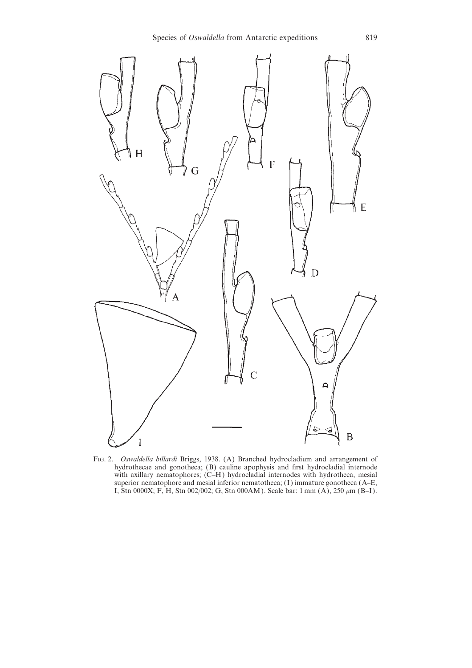

FIG. 2. Oswaldella billardi Briggs, 1938. (A) Branched hydrocladium and arrangement of hydrothecae and gonotheca; (B) cauline apophysis and first hydrocladial internode with axillary nematophores; (C–H) hydrocladial internodes with hydrotheca, mesial superior nematophore and mesial inferior nematotheca; (I) immature gonotheca (A–E, I, Stn 0000X; F, H, Stn 002/002; G, Stn 000AM). Scale bar: 1 mm (A), 250  $\mu$ m (B–I).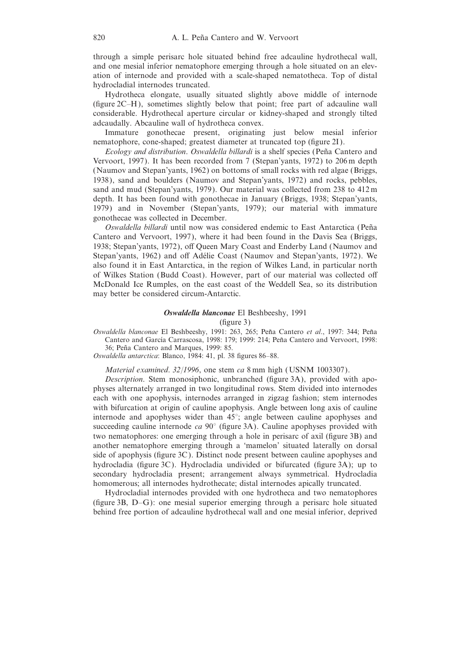through a simple perisarc hole situated behind free adcauline hydrothecal wall, and one mesial inferior nematophore emerging through a hole situated on an elevation of internode and provided with a scale-shaped nematotheca. Top of distal hydrocladial internodes truncated.

Hydrotheca elongate, usually situated slightly above middle of internode (figure 2C–H), sometimes slightly below that point; free part of adcauline wall considerable. Hydrothecal aperture circular or kidney-shaped and strongly tilted adcaudally. Abcauline wall of hydrotheca convex.

Immature gonothecae present, originating just below mesial inferior nematophore, cone-shaped; greatest diameter at truncated top (figure 2I).

*Ecology and distribution. Oswaldella billardi* is a shelf species (Peña Cantero and Vervoort, 1997). It has been recorded from 7 (Stepan'yants, 1972) to 206 m depth (Naumov and Stepan'yants, 1962) on bottoms of small rocks with red algae (Briggs, 1938), sand and boulders (Naumov and Stepan'yants, 1972) and rocks, pebbles, sand and mud (Stepan'yants, 1979). Our material was collected from 238 to 412 m depth. It has been found with gonothecae in January (Briggs, 1938; Stepan'yants, 1979) and in November (Stepan'yants, 1979); our material with immature gonothecae was collected in December.

Oswaldella billardi until now was considered endemic to East Antarctica (Peña Cantero and Vervoort, 1997), where it had been found in the Davis Sea (Briggs, 1938; Stepan'yants, 1972), off Queen Mary Coast and Enderby Land (Naumov and Stepan'yants, 1962) and off Adélie Coast (Naumov and Stepan'yants, 1972). We also found it in East Antarctica, in the region of Wilkes Land, in particular north of Wilkes Station (Budd Coast). However, part of our material was collected off McDonald Ice Rumples, on the east coast of the Weddell Sea, so its distribution may better be considered circum-Antarctic.

# *Oswaldella blanconae* El Beshbeeshy, 1991

(figure 3)

Oswaldella blanconae El Beshbeeshy, 1991: 263, 265; Peña Cantero et al., 1997: 344; Peña Cantero and García Carrascosa, 1998: 179; 1999: 214; Peña Cantero and Vervoort, 1998: 36; Peña Cantero and Marques, 1999: 85.

*Oswaldella antarctica*: Blanco, 1984: 41, pl. 38 figures 86–88.

*Material examined*. *32*/*1996*, one stem *ca* 8 mm high (USNM 1003307).

*Description*. Stem monosiphonic, unbranched (figure 3A), provided with apophyses alternately arranged in two longitudinal rows. Stem divided into internodes each with one apophysis, internodes arranged in zigzag fashion; stem internodes with bifurcation at origin of cauline apophysis. Angle between long axis of cauline internode and apophyses wider than 45°; angle between cauline apophyses and succeeding cauline internode *ca* 90° (figure 3A). Cauline apophyses provided with two nematophores: one emerging through a hole in perisarc of axil (figure 3B) and another nematophore emerging through a 'mamelon' situated laterally on dorsal side of apophysis (figure 3C). Distinct node present between cauline apophyses and hydrocladia (figure 3C). Hydrocladia undivided or bifurcated (figure 3A); up to secondary hydrocladia present; arrangement always symmetrical. Hydrocladia homomerous; all internodes hydrothecate; distal internodes apically truncated.

Hydrocladial internodes provided with one hydrotheca and two nematophores (figure 3B, D–G): one mesial superior emerging through a perisarc hole situated behind free portion of adcauline hydrothecal wall and one mesial inferior, deprived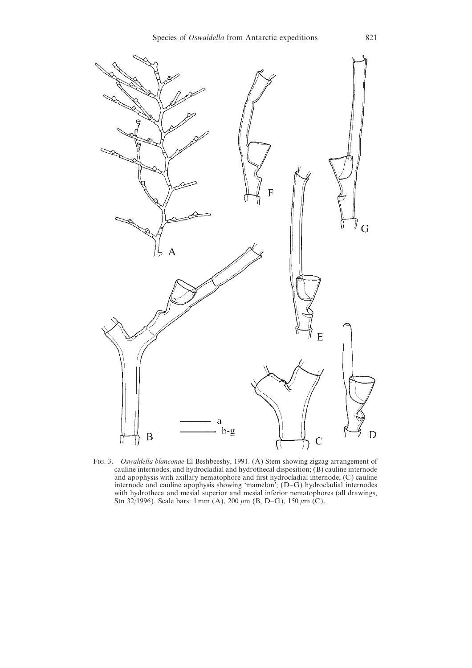

F. 3. *Oswaldella blanconae* El Beshbeeshy, 1991. (A) Stem showing zigzag arrangement of cauline internodes, and hydrocladial and hydrothecal disposition; (B) cauline internode and apophysis with axillary nematophore and first hydrocladial internode; (C) cauline internode and cauline apophysis showing 'mamelon'; (D–G) hydrocladial internodes with hydrotheca and mesial superior and mesial inferior nematophores (all drawings, Stn 32/1996). Scale bars: 1 mm (A), 200  $\mu$ m (B, D–G), 150  $\mu$ m (C).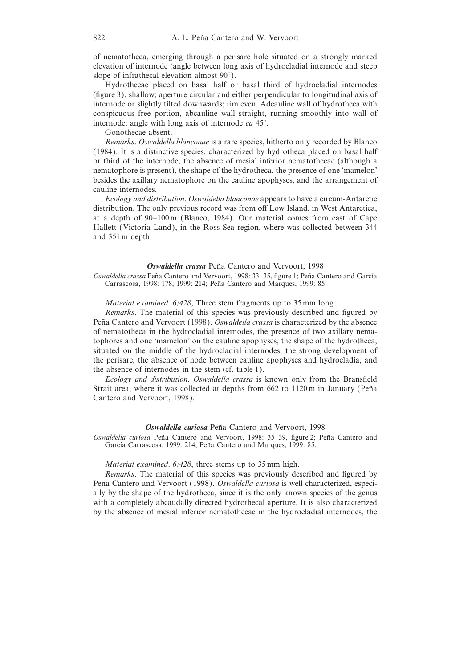of nematotheca, emerging through a perisarc hole situated on a strongly marked elevation of internode (angle between long axis of hydrocladial internode and steep slope of infrathecal elevation almost 90°).

Hydrothecae placed on basal half or basal third of hydrocladial internodes (figure 3), shallow; aperture circular and either perpendicular to longitudinal axis of internode or slightly tilted downwards; rim even. Adcauline wall of hydrotheca with conspicuous free portion, abcauline wall straight, running smoothly into wall of internode; angle with long axis of internode *ca* 45°.

Gonothecae absent.

*Remarks*. *Oswaldella blanconae* is a rare species, hitherto only recorded by Blanco (1984). It is a distinctive species, characterized by hydrotheca placed on basal half or third of the internode, the absence of mesial inferior nematothecae (although a nematophore is present), the shape of the hydrotheca, the presence of one 'mamelon' besides the axillary nematophore on the cauline apophyses, and the arrangement of cauline internodes.

*Ecology and distribution*. *Oswaldella blanconae* appears to have a circum-Antarctic distribution. The only previous record was from off Low Island, in West Antarctica, at a depth of 90–100 m (Blanco, 1984). Our material comes from east of Cape Hallett (Victoria Land), in the Ross Sea region, where was collected between 344 and 351 m depth.

#### **Oswaldella crassa Peña Cantero and Vervoort, 1998**

Oswaldella crassa Peña Cantero and Vervoort, 1998: 33–35, figure 1; Peña Cantero and García Carrascosa, 1998: 178; 1999: 214; Peña Cantero and Marques, 1999: 85.

*Material examined*. *6*/*428*, Three stem fragments up to 35 mm long.

*Remarks*. The material of this species was previously described and figured by Peña Cantero and Vervoort (1998). *Oswaldella crassa* is characterized by the absence of nematotheca in the hydrocladial internodes, the presence of two axillary nematophores and one 'mamelon' on the cauline apophyses, the shape of the hydrotheca, situated on the middle of the hydrocladial internodes, the strong development of the perisarc, the absence of node between cauline apophyses and hydrocladia, and the absence of internodes in the stem (cf. table 1).

*Ecology and distribution*. *Oswaldella crassa* is known only from the Bransfield Strait area, where it was collected at depths from 662 to 1120 m in January (Peña Cantero and Vervoort, 1998).

#### **Oswaldella curiosa** Peña Cantero and Vervoort, 1998

*Oswaldella curiosa* Peña Cantero and Vervoort, 1998: 35–39, figure 2; Peña Cantero and García Carrascosa, 1999: 214; Peña Cantero and Marques, 1999: 85.

### *Material examined*. *6*/*428*, three stems up to 35 mm high.

*Remarks*. The material of this species was previously described and figured by Peña Cantero and Vervoort (1998). *Oswaldella curiosa* is well characterized, especially by the shape of the hydrotheca, since it is the only known species of the genus with a completely abcaudally directed hydrothecal aperture. It is also characterized by the absence of mesial inferior nematothecae in the hydrocladial internodes, the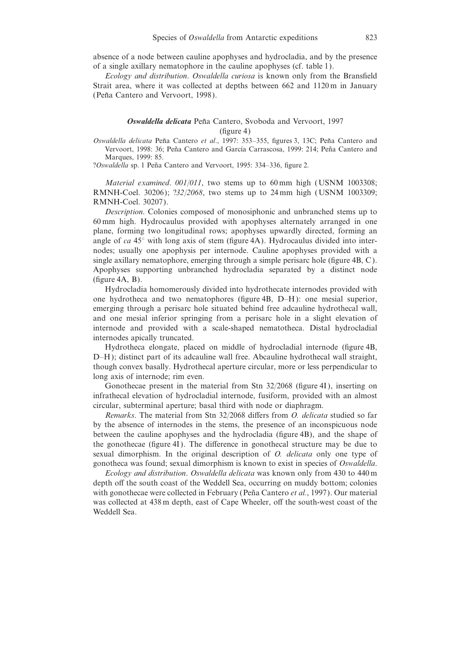absence of a node between cauline apophyses and hydrocladia, and by the presence of a single axillary nematophore in the cauline apophyses (cf. table 1).

*Ecology and distribution*. *Oswaldella curiosa* is known only from the Bransfield Strait area, where it was collected at depths between 662 and 1120 m in January (Peña Cantero and Vervoort, 1998).

# **Oswaldella delicata** Peña Cantero, Svoboda and Vervoort, 1997 (figure 4)

Oswaldella delicata Peña Cantero et al., 1997: 353-355, figures 3, 13C; Peña Cantero and Vervoort, 1998: 36; Peña Cantero and García Carrascosa, 1999: 214; Peña Cantero and Marques, 1999: 85.

?Oswaldella sp. 1 Peña Cantero and Vervoort, 1995: 334-336, figure 2.

*Material examined*. *001*/*011*, two stems up to 60 mm high (USNM 1003308; RMNH-Coel. 30206); ?*32*/*2068*, two stems up to 24 mm high (USNM 1003309; RMNH-Coel. 30207).

*Description*. Colonies composed of monosiphonic and unbranched stems up to 60 mm high. Hydrocaulus provided with apophyses alternately arranged in one plane, forming two longitudinal rows; apophyses upwardly directed, forming an angle of *ca* 45° with long axis of stem (figure 4A). Hydrocaulus divided into internodes; usually one apophysis per internode. Cauline apophyses provided with a single axillary nematophore, emerging through a simple perisarc hole (figure 4B, C). Apophyses supporting unbranched hydrocladia separated by a distinct node (figure 4A, B).

Hydrocladia homomerously divided into hydrothecate internodes provided with one hydrotheca and two nematophores (figure 4B, D–H): one mesial superior, emerging through a perisarc hole situated behind free adcauline hydrothecal wall, and one mesial inferior springing from a perisarc hole in a slight elevation of internode and provided with a scale-shaped nematotheca. Distal hydrocladial internodes apically truncated.

Hydrotheca elongate, placed on middle of hydrocladial internode (figure 4B, D–H); distinct part of its adcauline wall free. Abcauline hydrothecal wall straight, though convex basally. Hydrothecal aperture circular, more or less perpendicular to long axis of internode; rim even.

Gonothecae present in the material from Stn 32/2068 (figure 4I), inserting on infrathecal elevation of hydrocladial internode, fusiform, provided with an almost circular, subterminal aperture; basal third with node or diaphragm.

*Remarks*. The material from Stn 32/2068 differs from *O. delicata* studied so far by the absence of internodes in the stems, the presence of an inconspicuous node between the cauline apophyses and the hydrocladia (figure 4B), and the shape of the gonothecae (figure 4I). The difference in gonothecal structure may be due to sexual dimorphism. In the original description of *O. delicata* only one type of gonotheca was found; sexual dimorphism is known to exist in species of *Oswaldella*.

*Ecology and distribution*. *Oswaldella delicata* was known only from 430 to 440 m depth off the south coast of the Weddell Sea, occurring on muddy bottom; colonies with gonothecae were collected in February (Peña Cantero et al., 1997). Our material was collected at 438 m depth, east of Cape Wheeler, off the south-west coast of the Weddell Sea.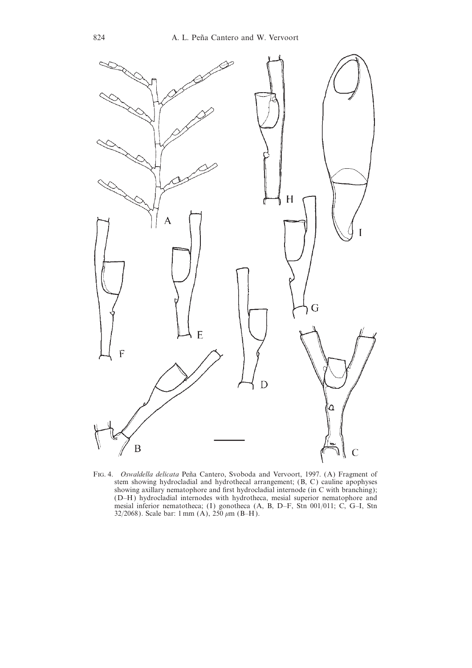

FIG. 4. *Oswaldella delicata* Peña Cantero, Svoboda and Vervoort, 1997. (A) Fragment of stem showing hydrocladial and hydrothecal arrangement; (B, C) cauline apophyses showing axillary nematophore and first hydrocladial internode (in C with branching); (D–H) hydrocladial internodes with hydrotheca, mesial superior nematophore and mesial inferior nematotheca; (I) gonotheca (A, B, D–F, Stn 001/011; C, G–I, Stn 32/2068). Scale bar: 1 mm (A),  $250 \mu m$  (B-H).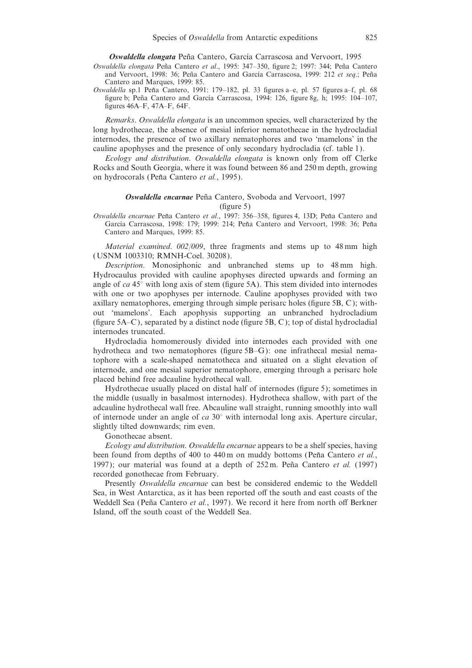#### **Oswaldella elongata** Peña Cantero, García Carrascosa and Vervoort, 1995

- Oswaldella elongata Peña Cantero et al., 1995: 347-350, figure 2; 1997: 344; Peña Cantero and Vervoort, 1998: 36; Peña Cantero and García Carrascosa, 1999: 212 et seq.; Peña Cantero and Marques, 1999: 85.
- Oswaldella sp.1 Peña Cantero, 1991: 179-182, pl. 33 figures a-e, pl. 57 figures a-f, pl. 68 figure b; Peña Cantero and García Carrascosa, 1994: 126, figure 8g, h; 1995: 104-107, figures 46A–F, 47A–F, 64F.

*Remarks*. *Oswaldella elongata* is an uncommon species, well characterized by the long hydrothecae, the absence of mesial inferior nematothecae in the hydrocladial internodes, the presence of two axillary nematophores and two 'mamelons' in the cauline apophyses and the presence of only secondary hydrocladia (cf. table 1).

*Ecology and distribution*. *Oswaldella elongata* is known only from off Clerke Rocks and South Georgia, where it was found between 86 and 250 m depth, growing on hydrocorals (Peña Cantero *et al.*, 1995).

## **Oswaldella encarnae** Peña Cantero, Svoboda and Vervoort, 1997 (figure 5)

*Oswaldella encarnae* Peña Cantero *et al.*, 1997; 356–358, figures 4, 13D; Peña Cantero and García Carrascosa, 1998: 179; 1999: 214; Peña Cantero and Vervoort, 1998: 36; Peña Cantero and Marques, 1999: 85.

*Material examined*. *002*/*009*, three fragments and stems up to 48 mm high (USNM 1003310; RMNH-Coel. 30208).

*Description*. Monosiphonic and unbranched stems up to 48 mm high. Hydrocaulus provided with cauline apophyses directed upwards and forming an angle of *ca* 45° with long axis of stem (figure 5A). This stem divided into internodes with one or two apophyses per internode. Cauline apophyses provided with two axillary nematophores, emerging through simple perisarc holes (figure 5B, C); without 'mamelons'. Each apophysis supporting an unbranched hydrocladium (figure 5A–C), separated by a distinct node (figure 5B, C); top of distal hydrocladial internodes truncated.

Hydrocladia homomerously divided into internodes each provided with one hydrotheca and two nematophores (figure 5B–G): one infrathecal mesial nematophore with a scale-shaped nematotheca and situated on a slight elevation of internode, and one mesial superior nematophore, emerging through a perisarc hole placed behind free adcauline hydrothecal wall.

Hydrothecae usually placed on distal half of internodes (figure 5); sometimes in the middle (usually in basalmost internodes). Hydrotheca shallow, with part of the adcauline hydrothecal wall free. Abcauline wall straight, running smoothly into wall of internode under an angle of *ca* 30° with internodal long axis. Aperture circular, slightly tilted downwards; rim even.

Gonothecae absent.

*Ecology and distribution*. *Oswaldella encarnae* appears to be a shelf species, having been found from depths of 400 to 440 m on muddy bottoms (Peña Cantero et al., 1997); our material was found at a depth of 252 m. Peña Cantero *et al.* (1997) recorded gonothecae from February.

Presently *Oswaldella encarnae* can best be considered endemic to the Weddell Sea, in West Antarctica, as it has been reported off the south and east coasts of the Weddell Sea (Peña Cantero et al., 1997). We record it here from north off Berkner Island, off the south coast of the Weddell Sea.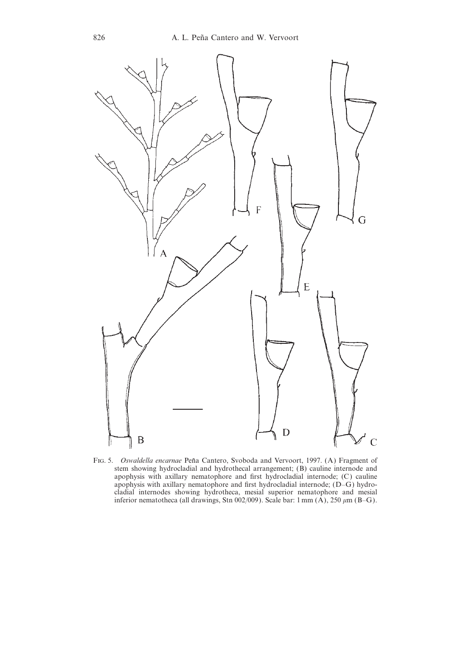

FIG. 5. Oswaldella encarnae Peña Cantero, Svoboda and Vervoort, 1997. (A) Fragment of stem showing hydrocladial and hydrothecal arrangement; (B) cauline internode and apophysis with axillary nematophore and first hydrocladial internode; (C) cauline apophysis with axillary nematophore and first hydrocladial internode; (D–G) hydrocladial internodes showing hydrotheca, mesial superior nematophore and mesial inferior nematotheca (all drawings, Stn 002/009). Scale bar: 1 mm  $(A)$ , 250  $\mu$ m (B–G).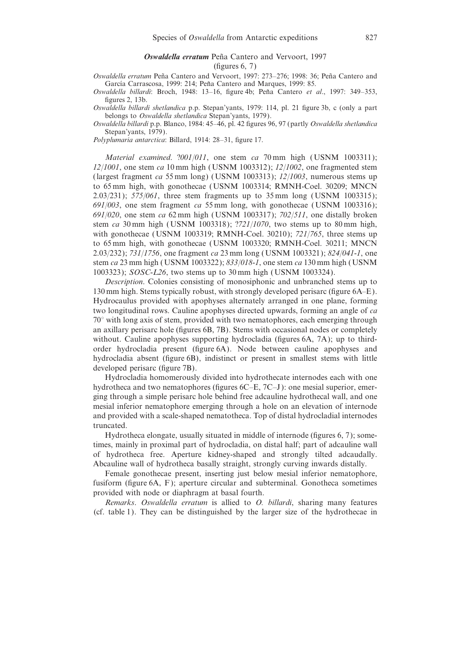# **Oswaldella erratum Peña Cantero and Vervoort, 1997**

(figures 6, 7)

*Oswaldella erratum* Peña Cantero and Vervoort, 1997; 273–276; 1998; 36; Peña Cantero and García Carrascosa, 1999: 214; Peña Cantero and Marques, 1999: 85.

*Oswaldella billardi*: Broch, 1948: 13–16, figure 4b; Pen˜a Cantero *et al*., 1997: 349–353, figures 2, 13b.

*Oswaldella billardi shetlandica* p.p. Stepan'yants, 1979: 114, pl. 21 figure 3b, c (only a part belongs to *Oswaldella shetlandica* Stepan'yants, 1979).

*Oswaldella billardi* p.p. Blanco, 1984: 45–46, pl. 42 figures 96, 97 (partly *Oswaldella shetlandica* Stepan'yants, 1979).

*Polyplumaria antarctica*: Billard, 1914: 28–31, figure 17.

*Material examined*. ?*001*/*011*, one stem *ca* 70 mm high (USNM 1003311); *12*/*1001*, one stem *ca* 10 mm high (USNM 1003312); *12*/*1002*, one fragmented stem (largest fragment *ca* 55 mm long) (USNM 1003313); *12*/*1003*, numerous stems up to 65 mm high, with gonothecae (USNM 1003314; RMNH-Coel. 30209; MNCN 2.03/231); *575*/*061*, three stem fragments up to 35 mm long (USNM 1003315); *691*/*003*, one stem fragment *ca* 55 mm long, with gonothecae (USNM 1003316); *691*/*020*, one stem *ca* 62 mm high (USNM 1003317); *702*/*511*, one distally broken stem *ca* 30 mm high (USNM 1003318); ?*721*/*1070*, two stems up to 80 mm high, with gonothecae (USNM 1003319; RMNH-Coel. 30210); *721*/*765*, three stems up to 65 mm high, with gonothecae (USNM 1003320; RMNH-Coel. 30211; MNCN 2.03/232); *731*/*1756*, one fragment *ca* 23 mm long (USNM 1003321); *824*/*041-1*, one stem *ca* 23 mm high (USNM 1003322); *833*/*018-1*, one stem *ca* 130 mm high (USNM 1003323); *SOSC-L26*, two stems up to 30 mm high (USNM 1003324).

*Description*. Colonies consisting of monosiphonic and unbranched stems up to 130 mm high. Stems typically robust, with strongly developed perisarc (figure 6A–E). Hydrocaulus provided with apophyses alternately arranged in one plane, forming two longitudinal rows. Cauline apophyses directed upwards, forming an angle of *ca* 70° with long axis of stem, provided with two nematophores, each emerging through an axillary perisarc hole (figures 6B, 7B). Stems with occasional nodes or completely without. Cauline apophyses supporting hydrocladia (figures 6A, 7A); up to thirdorder hydrocladia present (figure 6A). Node between cauline apophyses and hydrocladia absent (figure 6B), indistinct or present in smallest stems with little developed perisarc (figure 7B).

Hydrocladia homomerously divided into hydrothecate internodes each with one hydrotheca and two nematophores (figures 6C–E, 7C–J): one mesial superior, emerging through a simple perisarc hole behind free adcauline hydrothecal wall, and one mesial inferior nematophore emerging through a hole on an elevation of internode and provided with a scale-shaped nematotheca. Top of distal hydrocladial internodes truncated.

Hydrotheca elongate, usually situated in middle of internode (figures 6, 7); sometimes, mainly in proximal part of hydrocladia, on distal half; part of adcauline wall of hydrotheca free. Aperture kidney-shaped and strongly tilted adcaudally. Abcauline wall of hydrotheca basally straight, strongly curving inwards distally.

Female gonothecae present, inserting just below mesial inferior nematophore, fusiform (figure 6A, F); aperture circular and subterminal. Gonotheca sometimes provided with node or diaphragm at basal fourth.

*Remarks*. *Oswaldella erratum* is allied to *O. billardi*, sharing many features (cf. table 1). They can be distinguished by the larger size of the hydrothecae in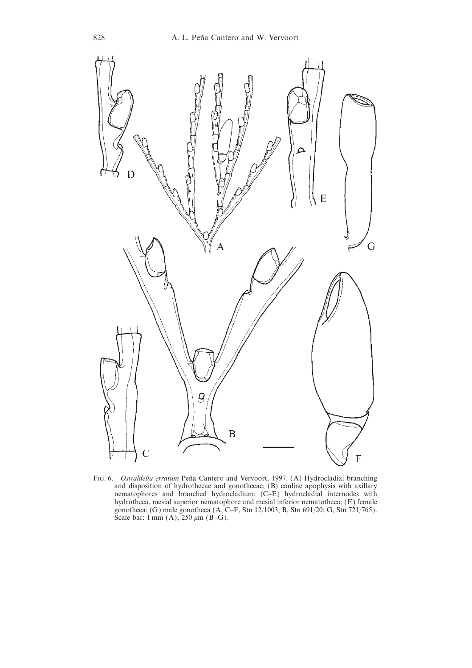

FIG. 6. *Oswaldella erratum* Peña Cantero and Vervoort, 1997. (A) Hydrocladial branching and disposition of hydrothecae and gonothecae; (B) cauline apophysis with axillary nematophores and branched hydrocladium; (C–E) hydrocladial internodes with hydrotheca, mesial superior nematophore and mesial inferior nematotheca; (F) female gonotheca; (G) male gonotheca (A, C–F, Stn 12/1003; B, Stn 691/20; G, Stn 721/765). Scale bar: 1 mm (A),  $250 \mu m$  (B–G).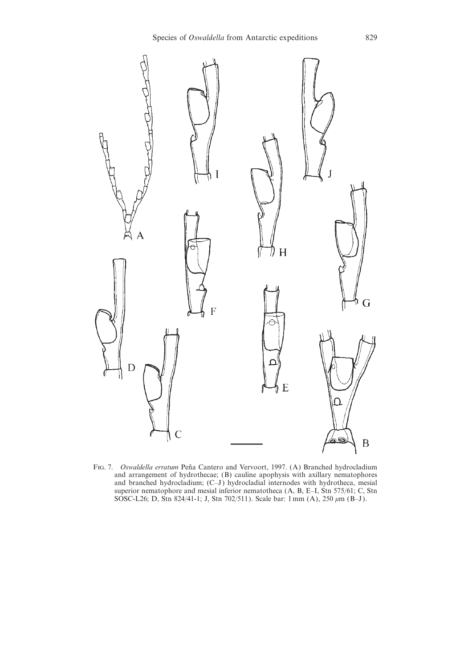

FIG. 7. *Oswaldella erratum* Peña Cantero and Vervoort, 1997. (A) Branched hydrocladium and arrangement of hydrothecae; (B) cauline apophysis with axillary nematophores and branched hydrocladium; (C–J) hydrocladial internodes with hydrotheca, mesial superior nematophore and mesial inferior nematotheca (A, B, E–I, Stn 575/61; C, Stn SOSC-L26; D, Stn 824/41-1; J, Stn 702/511). Scale bar:  $1 \text{ mm (A)}$ , 250  $\mu$ m (B-J).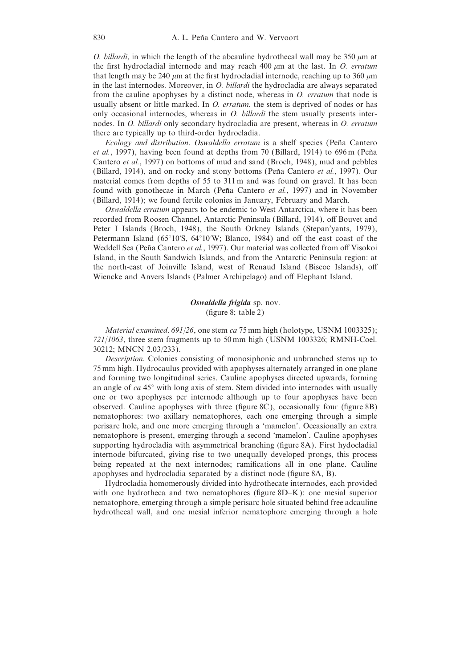*O. billardi*, in which the length of the abcauline hydrothecal wall may be  $350 \mu m$  at the first hydrocladial internode and may reach 400 mm at the last. In *O. erratum* that length may be 240  $\mu$ m at the first hydrocladial internode, reaching up to 360  $\mu$ m in the last internodes. Moreover, in *O. billardi* the hydrocladia are always separated from the cauline apophyses by a distinct node, whereas in *O. erratum* that node is usually absent or little marked. In *O. erratum*, the stem is deprived of nodes or has only occasional internodes, whereas in *O. billardi* the stem usually presents internodes. In *O. billardi* only secondary hydrocladia are present, whereas in *O. erratum* there are typically up to third-order hydrocladia.

*Ecology and distribution. Oswaldella erratum* is a shelf species (Peña Cantero *et al.*, 1997), having been found at depths from 70 (Billard, 1914) to 696 m (Peña Cantero *et al.*, 1997) on bottoms of mud and sand (Broch, 1948), mud and pebbles (Billard, 1914), and on rocky and stony bottoms (Peña Cantero *et al.*, 1997). Our material comes from depths of 55 to 311 m and was found on gravel. It has been found with gonothecae in March (Peña Cantero *et al.*, 1997) and in November (Billard, 1914); we found fertile colonies in January, February and March.

*Oswaldella erratum* appears to be endemic to West Antarctica, where it has been recorded from Roosen Channel, Antarctic Peninsula (Billard, 1914), off Bouvet and Peter I Islands (Broch, 1948), the South Orkney Islands (Stepan'yants, 1979), Petermann Island (65°10∞S, 64°10∞W; Blanco, 1984) and off the east coast of the Weddell Sea (Peña Cantero et al., 1997). Our material was collected from off Visokoi Island, in the South Sandwich Islands, and from the Antarctic Peninsula region: at the north-east of Joinville Island, west of Renaud Island (Biscoe Islands), off Wiencke and Anvers Islands (Palmer Archipelago) and off Elephant Island.

# *Oswaldella frigida* sp. nov. (figure 8; table 2)

*Material examined*. *691*/*26*, one stem *ca* 75 mm high (holotype, USNM 1003325); *721*/*1063*, three stem fragments up to 50 mm high (USNM 1003326; RMNH-Coel. 30212; MNCN 2.03/233).

*Description*. Colonies consisting of monosiphonic and unbranched stems up to 75 mm high. Hydrocaulus provided with apophyses alternately arranged in one plane and forming two longitudinal series. Cauline apophyses directed upwards, forming an angle of *ca* 45° with long axis of stem. Stem divided into internodes with usually one or two apophyses per internode although up to four apophyses have been observed. Cauline apophyses with three (figure 8C), occasionally four (figure 8B) nematophores: two axillary nematophores, each one emerging through a simple perisarc hole, and one more emerging through a 'mamelon'. Occasionally an extra nematophore is present, emerging through a second 'mamelon'. Cauline apophyses supporting hydrocladia with asymmetrical branching (figure 8A). First hydocladial internode bifurcated, giving rise to two unequally developed prongs, this process being repeated at the next internodes; ramifications all in one plane. Cauline apophyses and hydrocladia separated by a distinct node (figure 8A, B).

Hydrocladia homomerously divided into hydrothecate internodes, each provided with one hydrotheca and two nematophores (figure 8D–K): one mesial superior nematophore, emerging through a simple perisarc hole situated behind free adcauline hydrothecal wall, and one mesial inferior nematophore emerging through a hole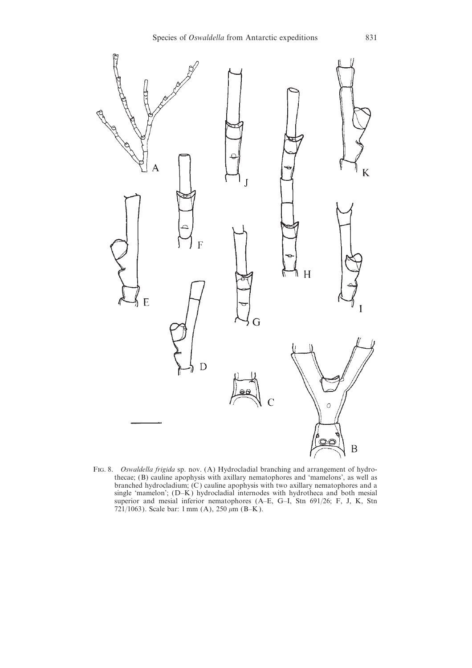

FIG. 8. *Oswaldella frigida* sp. nov. (A) Hydrocladial branching and arrangement of hydrothecae; (B) cauline apophysis with axillary nematophores and 'mamelons', as well as branched hydrocladium; (C) cauline apophysis with two axillary nematophores and a single 'mamelon'; (D–K) hydrocladial internodes with hydrotheca and both mesial superior and mesial inferior nematophores (A–E, G–I, Stn 691/26; F, J, K, Stn 721/1063). Scale bar: 1 mm (A), 250  $\mu$ m (B–K).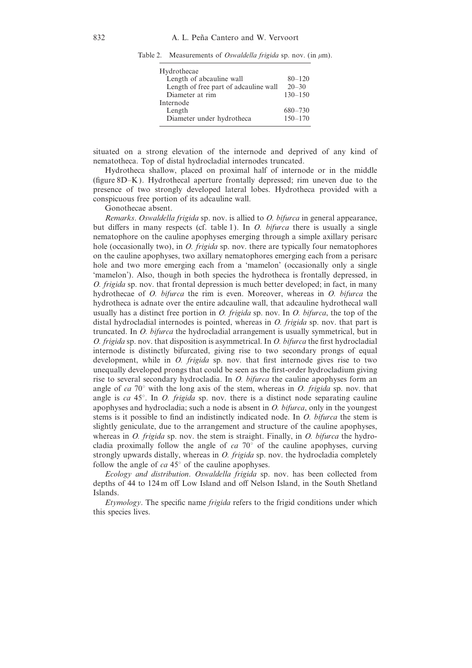| Table 2.<br>Measurements of <i>Oswaldella frigida</i> sp. nov. (in $\mu$ m). |  |  |  |  |  |  |
|------------------------------------------------------------------------------|--|--|--|--|--|--|
|------------------------------------------------------------------------------|--|--|--|--|--|--|

| Hydrothecae                           |             |
|---------------------------------------|-------------|
| Length of abcauline wall              | $80 - 120$  |
| Length of free part of adcauline wall | $20 - 30$   |
| Diameter at rim                       | $130 - 150$ |
| Internode                             |             |
| Length                                | 680-730     |
| Diameter under hydrotheca             | $150 - 170$ |

situated on a strong elevation of the internode and deprived of any kind of nematotheca. Top of distal hydrocladial internodes truncated.

Hydrotheca shallow, placed on proximal half of internode or in the middle (figure 8D–K). Hydrothecal aperture frontally depressed; rim uneven due to the presence of two strongly developed lateral lobes. Hydrotheca provided with a conspicuous free portion of its adcauline wall.

Gonothecae absent.

*Remarks*. *Oswaldella frigida* sp. nov. is allied to *O. bifurca* in general appearance, but differs in many respects (cf. table 1). In *O. bifurca* there is usually a single nematophore on the cauline apophyses emerging through a simple axillary perisarc hole (occasionally two), in *O. frigida* sp. nov. there are typically four nematophores on the cauline apophyses, two axillary nematophores emerging each from a perisarc hole and two more emerging each from a 'mamelon' (occasionally only a single 'mamelon'). Also, though in both species the hydrotheca is frontally depressed, in *O. frigida* sp. nov. that frontal depression is much better developed; in fact, in many hydrothecae of *O. bifurca* the rim is even. Moreover, whereas in *O. bifurca* the hydrotheca is adnate over the entire adcauline wall, that adcauline hydrothecal wall usually has a distinct free portion in *O. frigida* sp. nov. In *O. bifurca*, the top of the distal hydrocladial internodes is pointed, whereas in *O. frigida* sp. nov. that part is truncated. In *O. bifurca* the hydrocladial arrangement is usually symmetrical, but in *O. frigida* sp. nov. that disposition is asymmetrical. In *O. bifurca* the first hydrocladial internode is distinctly bifurcated, giving rise to two secondary prongs of equal development, while in *O. frigida* sp. nov. that first internode gives rise to two unequally developed prongs that could be seen as the first-order hydrocladium giving rise to several secondary hydrocladia. In *O. bifurca* the cauline apophyses form an angle of *ca* 70° with the long axis of the stem, whereas in *O. frigida* sp. nov. that angle is *ca* 45°. In *O. frigida* sp. nov. there is a distinct node separating cauline apophyses and hydrocladia; such a node is absent in *O. bifurca*, only in the youngest stems is it possible to find an indistinctly indicated node. In *O. bifurca* the stem is slightly geniculate, due to the arrangement and structure of the cauline apophyses, whereas in *O. frigida* sp. nov. the stem is straight. Finally, in *O. bifurca* the hydrocladia proximally follow the angle of *ca* 70° of the cauline apophyses, curving strongly upwards distally, whereas in *O. frigida* sp. nov. the hydrocladia completely follow the angle of *ca* 45° of the cauline apophyses.

*Ecology and distribution*. *Oswaldella frigida* sp. nov. has been collected from depths of 44 to 124 m off Low Island and off Nelson Island, in the South Shetland Islands.

*Etymology*. The specific name *frigida* refers to the frigid conditions under which this species lives.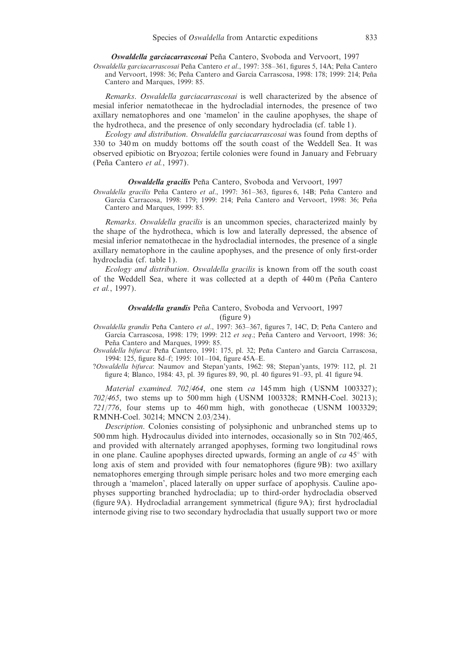## Oswaldella garciacarrascosai Peña Cantero, Svoboda and Vervoort, 1997

Oswaldella garciacarrascosai Peña Cantero et al., 1997: 358–361, figures 5, 14A; Peña Cantero and Vervoort, 1998: 36; Peña Cantero and García Carrascosa, 1998: 178; 1999: 214; Peña Cantero and Marques, 1999: 85.

*Remarks*. *Oswaldella garciacarrascosai* is well characterized by the absence of mesial inferior nematothecae in the hydrocladial internodes, the presence of two axillary nematophores and one 'mamelon' in the cauline apophyses, the shape of the hydrotheca, and the presence of only secondary hydrocladia (cf. table 1).

*Ecology and distribution*. *Oswaldella garciacarrascosai* was found from depths of 330 to 340 m on muddy bottoms off the south coast of the Weddell Sea. It was observed epibiotic on Bryozoa; fertile colonies were found in January and February (Peña Cantero *et al.*, 1997).

#### **Oswaldella gracilis Peña Cantero, Svoboda and Vervoort, 1997**

Oswaldella gracilis Peña Cantero et al., 1997: 361-363, figures 6, 14B; Peña Cantero and García Carracosa, 1998: 179; 1999: 214; Peña Cantero and Vervoort, 1998: 36; Peña Cantero and Marques, 1999: 85.

*Remarks*. *Oswaldella gracilis* is an uncommon species, characterized mainly by the shape of the hydrotheca, which is low and laterally depressed, the absence of mesial inferior nematothecae in the hydrocladial internodes, the presence of a single axillary nematophore in the cauline apophyses, and the presence of only first-order hydrocladia (cf. table 1).

*Ecology and distribution*. *Oswaldella gracilis* is known from off the south coast of the Weddell Sea, where it was collected at a depth of 440 m (Peña Cantero *et al.*, 1997).

# Oswaldella grandis Peña Cantero, Svoboda and Vervoort, 1997 (figure 9)

Oswaldella grandis Peña Cantero et al., 1997: 363-367, figures 7, 14C, D; Peña Cantero and García Carrascosa, 1998: 179; 1999: 212 et seq.; Peña Cantero and Vervoort, 1998: 36; Peña Cantero and Marques, 1999: 85.

Oswaldella bifurca: Peña Cantero, 1991: 175, pl. 32; Peña Cantero and García Carrascosa, 1994: 125, figure 8d–f; 1995: 101–104, figure 45A–E.

?*Oswaldella bifurca*: Naumov and Stepan'yants, 1962: 98; Stepan'yants, 1979: 112, pl. 21 figure 4; Blanco, 1984: 43, pl. 39 figures 89, 90, pl. 40 figures 91–93, pl. 41 figure 94.

*Material examined*. *702*/*464*, one stem *ca* 145 mm high (USNM 1003327); *702*/*465*, two stems up to 500 mm high (USNM 1003328; RMNH-Coel. 30213); *721*/*776*, four stems up to 460 mm high, with gonothecae (USNM 1003329; RMNH-Coel. 30214; MNCN 2.03/234).

*Description*. Colonies consisting of polysiphonic and unbranched stems up to 500 mm high. Hydrocaulus divided into internodes, occasionally so in Stn 702/465, and provided with alternately arranged apophyses, forming two longitudinal rows in one plane. Cauline apophyses directed upwards, forming an angle of *ca* 45° with long axis of stem and provided with four nematophores (figure 9B): two axillary nematophores emerging through simple perisarc holes and two more emerging each through a 'mamelon', placed laterally on upper surface of apophysis. Cauline apophyses supporting branched hydrocladia; up to third-order hydrocladia observed (figure 9A). Hydrocladial arrangement symmetrical (figure 9A); first hydrocladial internode giving rise to two secondary hydrocladia that usually support two or more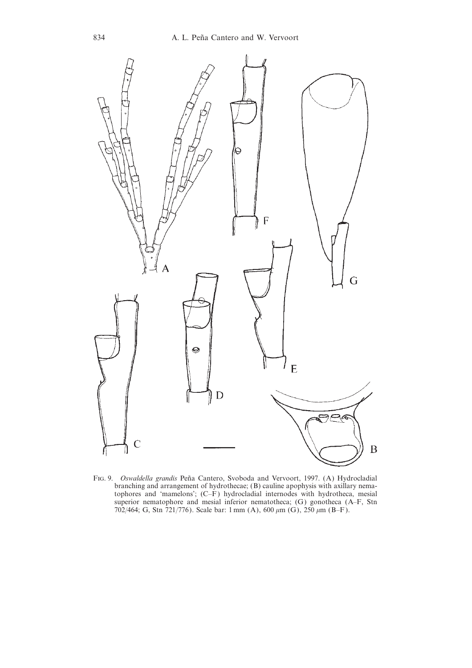

FIG. 9. Oswaldella grandis Peña Cantero, Svoboda and Vervoort, 1997. (A) Hydrocladial branching and arrangement of hydrothecae; (B) cauline apophysis with axillary nematophores and 'mamelons'; (C–F) hydrocladial internodes with hydrotheca, mesial superior nematophore and mesial inferior nematotheca; (G) gonotheca (A–F, Stn  $702/464$ ; G, Stn 721/776). Scale bar: 1 mm (A), 600  $\mu$ m (G), 250  $\mu$ m (B–F).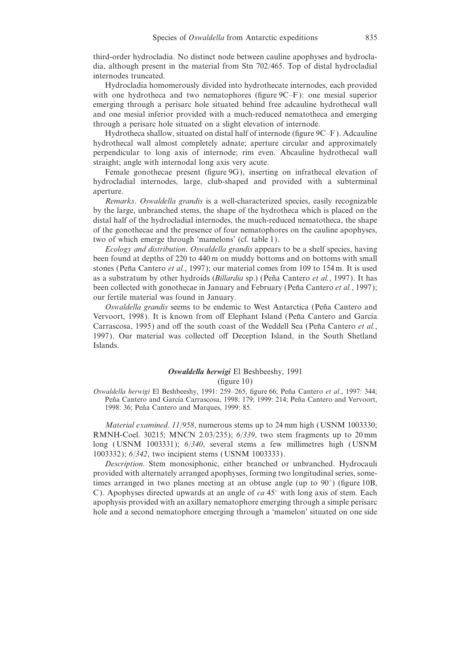third-order hydrocladia. No distinct node between cauline apophyses and hydrocladia, although present in the material from Stn 702/465. Top of distal hydrocladial internodes truncated.

Hydrocladia homomerously divided into hydrothecate internodes, each provided with one hydrotheca and two nematophores (figure 9C–F): one mesial superior emerging through a perisarc hole situated behind free adcauline hydrothecal wall and one mesial inferior provided with a much-reduced nematotheca and emerging through a perisarc hole situated on a slight elevation of internode.

Hydrotheca shallow, situated on distal half of internode (figure 9C–F). Adcauline hydrothecal wall almost completely adnate; aperture circular and approximately perpendicular to long axis of internode; rim even. Abcauline hydrothecal wall straight; angle with internodal long axis very acute.

Female gonothecae present (figure 9G), inserting on infrathecal elevation of hydrocladial internodes, large, club-shaped and provided with a subterminal aperture.

*Remarks*. *Oswaldella grandis* is a well-characterized species, easily recognizable by the large, unbranched stems, the shape of the hydrotheca which is placed on the distal half of the hydrocladial internodes, the much-reduced nematotheca, the shape of the gonothecae and the presence of four nematophores on the cauline apophyses, two of which emerge through 'mamelons' (cf. table 1).

*Ecology and distribution*. *Oswaldella grandis* appears to be a shelf species, having been found at depths of 220 to 440 m on muddy bottoms and on bottoms with small stones (Peña Cantero *et al.*, 1997); our material comes from 109 to 154 m. It is used as a substratum by other hydroids *(Billardia* sp.) (Peña Cantero *et al.*, 1997). It has been collected with gonothecae in January and February (Peña Cantero *et al.*, 1997); our fertile material was found in January.

Oswaldella grandis seems to be endemic to West Antarctica (Peña Cantero and Vervoort, 1998). It is known from off Elephant Island (Peña Cantero and García Carrascosa, 1995) and off the south coast of the Weddell Sea (Peña Cantero *et al.*, 1997). Our material was collected off Deception Island, in the South Shetland Islands.

## *Oswaldella herwigi* El Beshbeeshy, 1991 (figure 10)

*Oswaldella herwigi* El Beshbeeshy, 1991: 259–265, figure 66; Pen˜a Cantero *et al*., 1997: 344; Peña Cantero and García Carrascosa, 1998: 179; 1999: 214; Peña Cantero and Vervoort, 1998: 36; Peña Cantero and Marques, 1999: 85.

*Material examined*. *11*/*958*, numerous stems up to 24 mm high (USNM 1003330; RMNH-Coel. 30215; MNCN 2.03/235); *6*/*339*, two stem fragments up to 20 mm long (USNM 1003331); *6*/*340*, several stems a few millimetres high (USNM 1003332); *6*/*342*, two incipient stems (USNM 1003333).

*Description*. Stem monosiphonic, either branched or unbranched. Hydrocauli provided with alternately arranged apophyses, forming two longitudinal series, sometimes arranged in two planes meeting at an obtuse angle (up to  $90^{\circ}$ ) (figure 10B, C). Apophyses directed upwards at an angle of *ca* 45° with long axis of stem. Each apophysis provided with an axillary nematophore emerging through a simple perisarc hole and a second nematophore emerging through a 'mamelon' situated on one side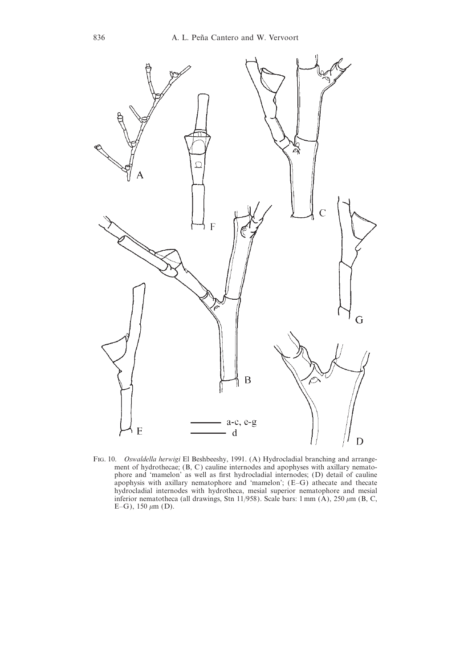

FIG. 10. *Oswaldella herwigi* El Beshbeeshy, 1991. (A) Hydrocladial branching and arrangement of hydrothecae; (B, C) cauline internodes and apophyses with axillary nematophore and 'mamelon' as well as first hydrocladial internodes; (D) detail of cauline apophysis with axillary nematophore and 'mamelon'; (E–G) athecate and thecate hydrocladial internodes with hydrotheca, mesial superior nematophore and mesial inferior nematotheca (all drawings, Stn 11/958). Scale bars: 1 mm (A), 250  $\mu$ m (B, C, E–G), 150  $\mu$ m (D).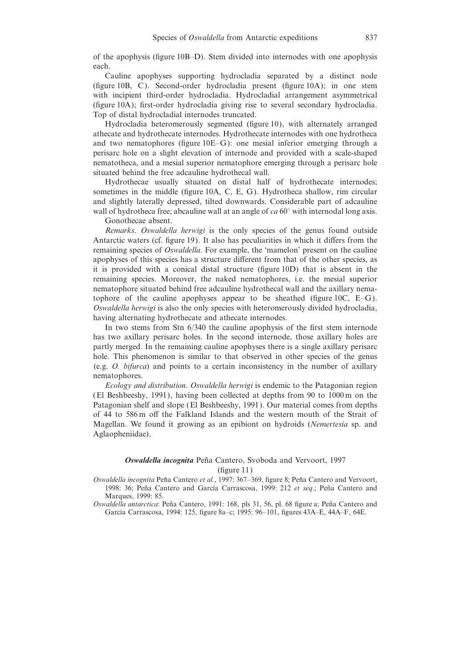of the apophysis (figure 10B–D). Stem divided into internodes with one apophysis each.

Cauline apophyses supporting hydrocladia separated by a distinct node (figure 10B, C). Second-order hydrocladia present (figure 10A); in one stem with incipient third-order hydrocladia. Hydrocladial arrangement asymmetrical (figure 10A); first-order hydrocladia giving rise to several secondary hydrocladia. Top of distal hydrocladial internodes truncated.

Hydrocladia heteromerously segmented (figure 10), with alternately arranged athecate and hydrothecate internodes. Hydrothecate internodes with one hydrotheca and two nematophores (figure 10E–G): one mesial inferior emerging through a perisarc hole on a slight elevation of internode and provided with a scale-shaped nematotheca, and a mesial superior nematophore emerging through a perisarc hole situated behind the free adcauline hydrothecal wall.

Hydrothecae usually situated on distal half of hydrothecate internodes; sometimes in the middle (figure 10A, C, E, G). Hydrotheca shallow, rim circular and slightly laterally depressed, tilted downwards. Considerable part of adcauline wall of hydrotheca free; abcauline wall at an angle of *ca* 60° with internodal long axis.

# Gonothecae absent.

*Remarks*. *Oswaldella herwigi* is the only species of the genus found outside Antarctic waters (cf. figure 19). It also has peculiarities in which it differs from the remaining species of *Oswaldella*. For example, the 'mamelon' present on the cauline apophyses of this species has a structure different from that of the other species, as it is provided with a conical distal structure (figure 10D) that is absent in the remaining species. Moreover, the naked nematophores, i.e. the mesial superior nematophore situated behind free adcauline hydrothecal wall and the axillary nematophore of the cauline apophyses appear to be sheathed (figure 10C, E–G). *Oswaldella herwigi* is also the only species with heteromerously divided hydrocladia, having alternating hydrothecate and athecate internodes.

In two stems from Stn 6/340 the cauline apophysis of the first stem internode has two axillary perisarc holes. In the second internode, those axillary holes are partly merged. In the remaining cauline apophyses there is a single axillary perisarc hole. This phenomenon is similar to that observed in other species of the genus (e.g. *O. bifurca*) and points to a certain inconsistency in the number of axillary nematophores.

*Ecology and distribution*. *Oswaldella herwigi* is endemic to the Patagonian region (El Beshbeeshy, 1991), having been collected at depths from 90 to 1000 m on the Patagonian shelf and slope (El Beshbeeshy, 1991). Our material comes from depths of 44 to 586 m off the Falkland Islands and the western mouth of the Strait of Magellan. We found it growing as an epibiont on hydroids (*Nemertesia* sp. and Aglaopheniidae).

## Oswaldella incognita Peña Cantero, Svoboda and Vervoort, 1997 (figure 11)

Oswaldella incognita Peña Cantero et al., 1997: 367-369, figure 8; Peña Cantero and Vervoort, 1998: 36; Peña Cantero and García Carrascosa, 1999: 212 et seq.; Peña Cantero and Marques, 1999: 85.

Oswaldella antarctica: Peña Cantero, 1991: 168, pls 31, 56, pl. 68 figure a; Peña Cantero and García Carrascosa, 1994: 125, figure 8a–c; 1995: 96–101, figures 43A–E, 44A–F, 64E.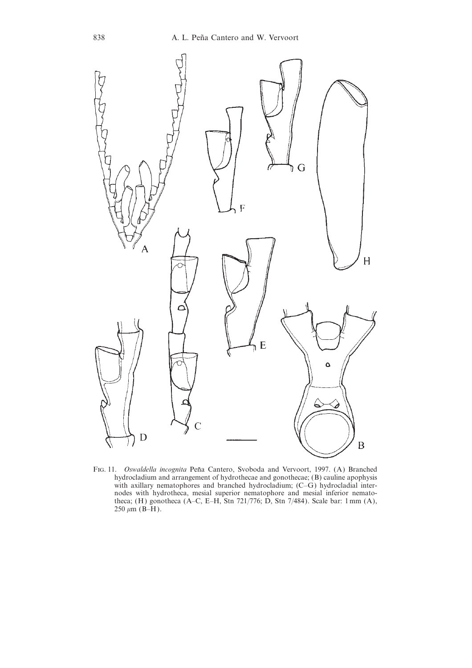

FIG. 11. *Oswaldella incognita* Peña Cantero, Svoboda and Vervoort, 1997. (A) Branched hydrocladium and arrangement of hydrothecae and gonothecae; (B) cauline apophysis with axillary nematophores and branched hydrocladium; (C–G) hydrocladial internodes with hydrotheca, mesial superior nematophore and mesial inferior nematotheca; (H) gonotheca (A–C, E–H, Stn 721/776; D, Stn 7/484). Scale bar: 1 mm (A),  $250 \mu m$  (B-H).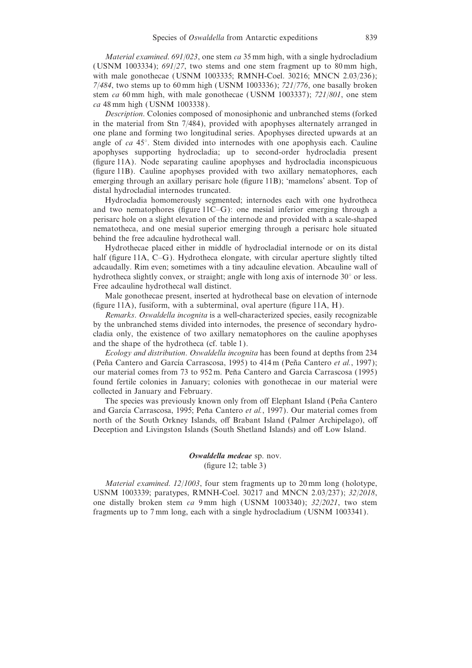*Material examined*. *691*/*023*, one stem *ca* 35 mm high, with a single hydrocladium (USNM 1003334);  $691/27$ , two stems and one stem fragment up to 80 mm high, with male gonothecae (USNM 1003335; RMNH-Coel. 30216; MNCN 2.03/236); *7*/*484*, two stems up to 60 mm high (USNM 1003336); *721*/*776*, one basally broken stem *ca* 60 mm high, with male gonothecae (USNM 1003337); *721*/*801*, one stem *ca* 48 mm high (USNM 1003338).

*Description*. Colonies composed of monosiphonic and unbranched stems (forked in the material from Stn 7/484), provided with apophyses alternately arranged in one plane and forming two longitudinal series. Apophyses directed upwards at an angle of *ca* 45°. Stem divided into internodes with one apophysis each. Cauline apophyses supporting hydrocladia; up to second-order hydrocladia present (figure 11A). Node separating cauline apophyses and hydrocladia inconspicuous (figure 11B). Cauline apophyses provided with two axillary nematophores, each emerging through an axillary perisarc hole (figure 11B); 'mamelons' absent. Top of distal hydrocladial internodes truncated.

Hydrocladia homomerously segmented; internodes each with one hydrotheca and two nematophores (figure 11C–G): one mesial inferior emerging through a perisarc hole on a slight elevation of the internode and provided with a scale-shaped nematotheca, and one mesial superior emerging through a perisarc hole situated behind the free adcauline hydrothecal wall.

Hydrothecae placed either in middle of hydrocladial internode or on its distal half (figure 11A, C–G). Hydrotheca elongate, with circular aperture slightly tilted adcaudally. Rim even; sometimes with a tiny adcauline elevation. Abcauline wall of hydrotheca slightly convex, or straight; angle with long axis of internode 30° or less. Free adcauline hydrothecal wall distinct.

Male gonothecae present, inserted at hydrothecal base on elevation of internode (figure 11A), fusiform, with a subterminal, oval aperture (figure 11A, H).

*Remarks*. *Oswaldella incognita* is a well-characterized species, easily recognizable by the unbranched stems divided into internodes, the presence of secondary hydrocladia only, the existence of two axillary nematophores on the cauline apophyses and the shape of the hydrotheca (cf. table 1).

*Ecology and distribution*. *Oswaldella incognita* has been found at depths from 234 (Peña Cantero and García Carrascosa, 1995) to 414 m (Peña Cantero *et al.*, 1997); our material comes from 73 to 952 m. Peña Cantero and García Carrascosa (1995) found fertile colonies in January; colonies with gonothecae in our material were collected in January and February.

The species was previously known only from off Elephant Island (Peña Cantero and García Carrascosa, 1995; Peña Cantero *et al.*, 1997). Our material comes from north of the South Orkney Islands, off Brabant Island (Palmer Archipelago), off Deception and Livingston Islands (South Shetland Islands) and off Low Island.

## *Oswaldella medeae* sp. nov. (figure 12; table 3)

*Material examined*. *12*/*1003*, four stem fragments up to 20 mm long (holotype, USNM 1003339; paratypes, RMNH-Coel. 30217 and MNCN 2.03/237); *32*/*2018*, one distally broken stem *ca* 9 mm high (USNM 1003340); *32*/*2021*, two stem fragments up to 7 mm long, each with a single hydrocladium (USNM 1003341).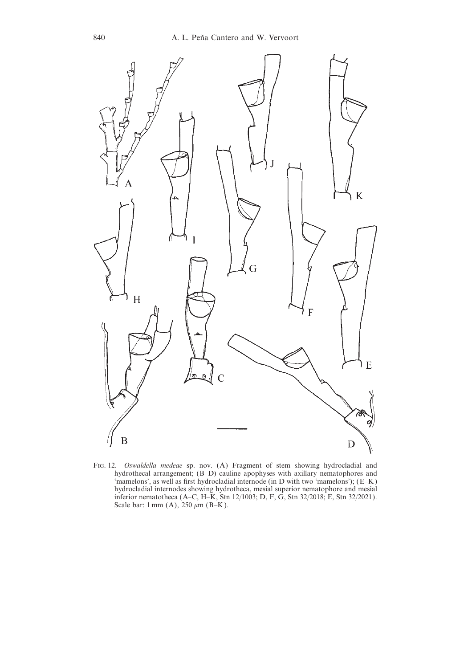

FIG. 12. Oswaldella medeae sp. nov. (A) Fragment of stem showing hydrocladial and hydrothecal arrangement; (B–D) cauline apophyses with axillary nematophores and 'mamelons', as well as first hydrocladial internode (in D with two 'mamelons'); (E–K) hydrocladial internodes showing hydrotheca, mesial superior nematophore and mesial inferior nematotheca (A–C, H–K, Stn 12/1003; D, F, G, Stn 32/2018; E, Stn 32/2021). Scale bar: 1 mm (A),  $250 \mu m$  (B–K).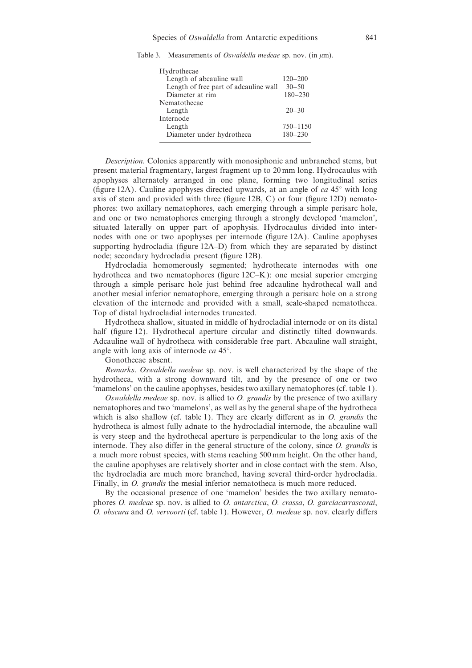| Hydrothecae                           |              |
|---------------------------------------|--------------|
| Length of abcauline wall              | $120 - 200$  |
| Length of free part of adcauline wall | $30 - 50$    |
| Diameter at rim                       | $180 - 230$  |
| Nematothecae                          |              |
| Length                                | $20 - 30$    |
| Internode                             |              |
| Length                                | $750 - 1150$ |
| Diameter under hydrotheca             | $180 - 230$  |
|                                       |              |

Table 3. Measurements of *Oswaldella medeae* sp. nov. (in  $\mu$ m).

*Description*. Colonies apparently with monosiphonic and unbranched stems, but present material fragmentary, largest fragment up to 20 mm long. Hydrocaulus with apophyses alternately arranged in one plane, forming two longitudinal series (figure 12A). Cauline apophyses directed upwards, at an angle of *ca* 45° with long axis of stem and provided with three (figure 12B, C) or four (figure 12D) nematophores: two axillary nematophores, each emerging through a simple perisarc hole, and one or two nematophores emerging through a strongly developed 'mamelon', situated laterally on upper part of apophysis. Hydrocaulus divided into internodes with one or two apophyses per internode (figure 12A). Cauline apophyses supporting hydrocladia (figure 12A–D) from which they are separated by distinct node; secondary hydrocladia present (figure 12B).

Hydrocladia homomerously segmented; hydrothecate internodes with one hydrotheca and two nematophores (figure 12C–K): one mesial superior emerging through a simple perisarc hole just behind free adcauline hydrothecal wall and another mesial inferior nematophore, emerging through a perisarc hole on a strong elevation of the internode and provided with a small, scale-shaped nematotheca. Top of distal hydrocladial internodes truncated.

Hydrotheca shallow, situated in middle of hydrocladial internode or on its distal half (figure 12). Hydrothecal aperture circular and distinctly tilted downwards. Adcauline wall of hydrotheca with considerable free part. Abcauline wall straight, angle with long axis of internode *ca* 45°.

# Gonothecae absent.

*Remarks*. *Oswaldella medeae* sp. nov. is well characterized by the shape of the hydrotheca, with a strong downward tilt, and by the presence of one or two 'mamelons' on the cauline apophyses, besides two axillary nematophores (cf. table 1).

*Oswaldella medeae* sp. nov. is allied to *O. grandis* by the presence of two axillary nematophores and two 'mamelons', as well as by the general shape of the hydrotheca which is also shallow (cf. table 1). They are clearly different as in *O. grandis* the hydrotheca is almost fully adnate to the hydrocladial internode, the abcauline wall is very steep and the hydrothecal aperture is perpendicular to the long axis of the internode. They also differ in the general structure of the colony, since *O. grandis* is a much more robust species, with stems reaching 500 mm height. On the other hand, the cauline apophyses are relatively shorter and in close contact with the stem. Also, the hydrocladia are much more branched, having several third-order hydrocladia. Finally, in *O. grandis* the mesial inferior nematotheca is much more reduced.

By the occasional presence of one 'mamelon' besides the two axillary nematophores *O. medeae* sp. nov. is allied to *O. antarctica*, *O. crassa*, *O. garciacarrascosai*, *O. obscura* and *O. vervoorti* (cf. table 1). However, *O. medeae* sp. nov. clearly differs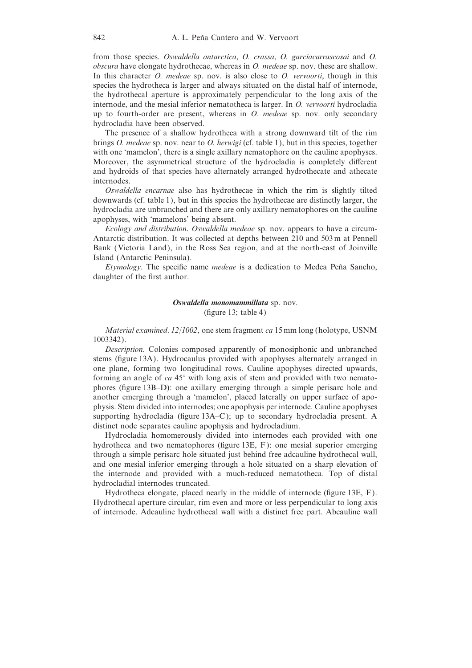from those species. *Oswaldella antarctica*, *O. crassa*, *O. garciacarrascosai* and *O. obscura* have elongate hydrothecae, whereas in *O. medeae* sp. nov. these are shallow. In this character *O. medeae* sp. nov. is also close to *O. vervoorti*, though in this species the hydrotheca is larger and always situated on the distal half of internode, the hydrothecal aperture is approximately perpendicular to the long axis of the internode, and the mesial inferior nematotheca is larger. In *O. vervoorti* hydrocladia up to fourth-order are present, whereas in *O. medeae* sp. nov. only secondary hydrocladia have been observed.

The presence of a shallow hydrotheca with a strong downward tilt of the rim brings *O. medeae* sp. nov. near to *O. herwigi* (cf. table 1), but in this species, together with one 'mamelon', there is a single axillary nematophore on the cauline apophyses. Moreover, the asymmetrical structure of the hydrocladia is completely different and hydroids of that species have alternately arranged hydrothecate and athecate internodes.

*Oswaldella encarnae* also has hydrothecae in which the rim is slightly tilted downwards (cf. table 1), but in this species the hydrothecae are distinctly larger, the hydrocladia are unbranched and there are only axillary nematophores on the cauline apophyses, with 'mamelons' being absent.

*Ecology and distribution*. *Oswaldella medeae* sp. nov. appears to have a circum-Antarctic distribution. It was collected at depths between 210 and 503 m at Pennell Bank (Victoria Land), in the Ross Sea region, and at the north-east of Joinville Island (Antarctic Peninsula).

*Etymology*. The specific name *medeae* is a dedication to Medea Peña Sancho, daughter of the first author.

# *Oswaldella monomammillata* sp. nov.

(figure 13; table 4)

*Material examined*. *12*/*1002*, one stem fragment *ca* 15 mm long (holotype, USNM 1003342).

*Description*. Colonies composed apparently of monosiphonic and unbranched stems (figure 13A). Hydrocaulus provided with apophyses alternately arranged in one plane, forming two longitudinal rows. Cauline apophyses directed upwards, forming an angle of *ca* 45° with long axis of stem and provided with two nematophores (figure 13B–D): one axillary emerging through a simple perisarc hole and another emerging through a 'mamelon', placed laterally on upper surface of apophysis. Stem divided into internodes; one apophysis per internode. Cauline apophyses supporting hydrocladia (figure 13A–C); up to secondary hydrocladia present. A distinct node separates cauline apophysis and hydrocladium.

Hydrocladia homomerously divided into internodes each provided with one hydrotheca and two nematophores (figure 13E, F): one mesial superior emerging through a simple perisarc hole situated just behind free adcauline hydrothecal wall, and one mesial inferior emerging through a hole situated on a sharp elevation of the internode and provided with a much-reduced nematotheca. Top of distal hydrocladial internodes truncated.

Hydrotheca elongate, placed nearly in the middle of internode (figure 13E, F). Hydrothecal aperture circular, rim even and more or less perpendicular to long axis of internode. Adcauline hydrothecal wall with a distinct free part. Abcauline wall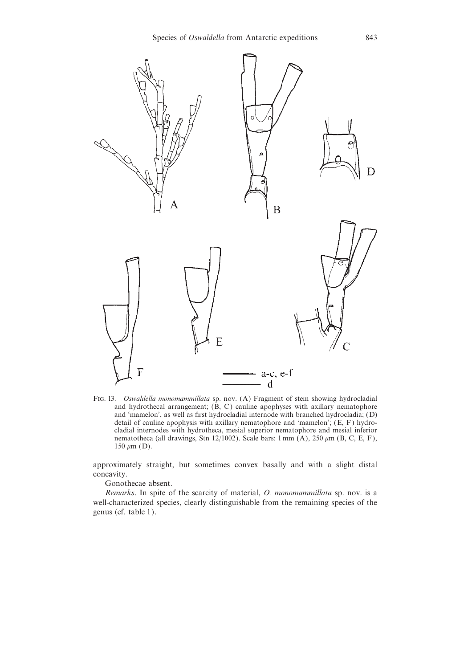

FIG. 13. *Oswaldella monomammillata* sp. nov. (A) Fragment of stem showing hydrocladial and hydrothecal arrangement; (B, C) cauline apophyses with axillary nematophore and 'mamelon', as well as first hydrocladial internode with branched hydrocladia; (D) detail of cauline apophysis with axillary nematophore and 'mamelon'; (E, F) hydrocladial internodes with hydrotheca, mesial superior nematophore and mesial inferior nematotheca (all drawings, Stn 12/1002). Scale bars: 1 mm (A), 250  $\mu$ m (B, C, E, F), 150  $\mu$ m (D).

approximately straight, but sometimes convex basally and with a slight distal concavity.

Gonothecae absent.

*Remarks*. In spite of the scarcity of material, *O. monomammillata* sp. nov. is a well-characterized species, clearly distinguishable from the remaining species of the genus (cf. table 1).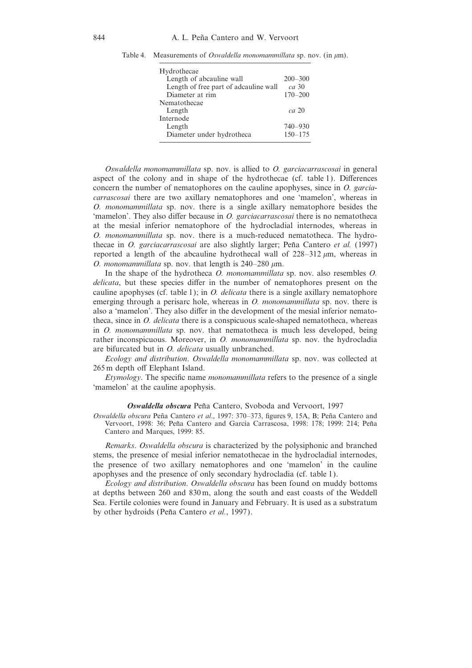Table 4. Measurements of *Oswaldella monomammillata* sp. nov. (in  $\mu$ m).

*Oswaldella monomammillata* sp. nov. is allied to *O. garciacarrascosai* in general aspect of the colony and in shape of the hydrothecae (cf. table 1). Differences concern the number of nematophores on the cauline apophyses, since in *O. garciacarrascosai* there are two axillary nematophores and one 'mamelon', whereas in *O. monomammillata* sp. nov. there is a single axillary nematophore besides the 'mamelon'. They also differ because in *O. garciacarrascosai* there is no nematotheca at the mesial inferior nematophore of the hydrocladial internodes, whereas in *O. monomammillata* sp. nov. there is a much-reduced nematotheca. The hydrothecae in *O. garciacarrascosai* are also slightly larger; Peña Cantero *et al.* (1997) reported a length of the abcauline hydrothecal wall of  $228-312 \mu m$ , whereas in *O. monomammillata* sp. nov. that length is  $240-280 \mu m$ .

In the shape of the hydrotheca *O. monomammillata* sp. nov. also resembles *O. delicata*, but these species differ in the number of nematophores present on the cauline apophyses (cf. table 1); in *O. delicata* there is a single axillary nematophore emerging through a perisarc hole, whereas in *O. monomammillata* sp. nov. there is also a 'mamelon'. They also differ in the development of the mesial inferior nematotheca, since in *O. delicata* there is a conspicuous scale-shaped nematotheca, whereas in *O. monomammillata* sp. nov. that nematotheca is much less developed, being rather inconspicuous. Moreover, in *O. monomammillata* sp. nov. the hydrocladia are bifurcated but in *O. delicata* usually unbranched.

*Ecology and distribution*. *Oswaldella monomammillata* sp. nov. was collected at 265 m depth off Elephant Island.

*Etymology*. The specific name *monomammillata* refers to the presence of a single 'mamelon' at the cauline apophysis.

### Oswaldella obscura Peña Cantero, Svoboda and Vervoort, 1997

Oswaldella obscura Peña Cantero et al., 1997: 370-373, figures 9, 15A, B; Peña Cantero and Vervoort, 1998: 36; Peña Cantero and García Carrascosa, 1998: 178; 1999: 214; Peña Cantero and Marques, 1999: 85.

*Remarks*. *Oswaldella obscura* is characterized by the polysiphonic and branched stems, the presence of mesial inferior nematothecae in the hydrocladial internodes, the presence of two axillary nematophores and one 'mamelon' in the cauline apophyses and the presence of only secondary hydrocladia (cf. table 1).

*Ecology and distribution*. *Oswaldella obscura* has been found on muddy bottoms at depths between 260 and 830 m, along the south and east coasts of the Weddell Sea. Fertile colonies were found in January and February. It is used as a substratum by other hydroids (Peña Cantero *et al.*, 1997).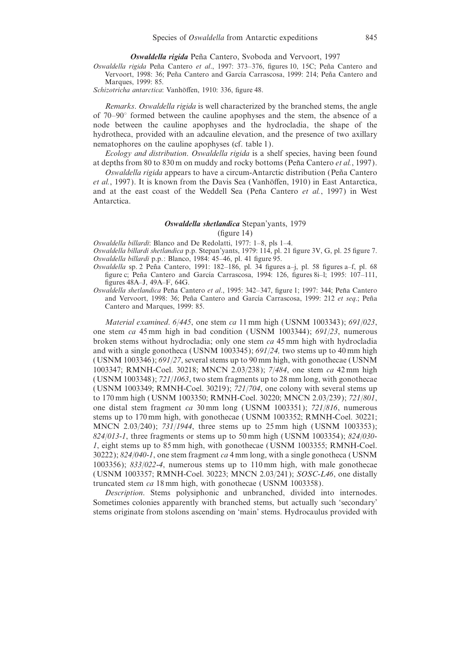#### **Oswaldella rigida Peña Cantero, Svoboda and Vervoort, 1997**

Oswaldella rigida Peña Cantero et al., 1997: 373–376, figures 10, 15C; Peña Cantero and Vervoort, 1998: 36; Peña Cantero and García Carrascosa, 1999: 214; Peña Cantero and Marques, 1999: 85.

*Schizotricha antarctica*: Vanhöffen, 1910: 336, figure 48.

*Remarks*. *Oswaldella rigida* is well characterized by the branched stems, the angle of 70–90° formed between the cauline apophyses and the stem, the absence of a node between the cauline apophyses and the hydrocladia, the shape of the hydrotheca, provided with an adcauline elevation, and the presence of two axillary nematophores on the cauline apophyses (cf. table 1).

*Ecology and distribution*. *Oswaldella rigida* is a shelf species, having been found at depths from 80 to 830 m on muddy and rocky bottoms (Pen˜a Cantero *et al.*, 1997).

*Oswaldella rigida* appears to have a circum-Antarctic distribution (Peña Cantero *et al.*, 1997). It is known from the Davis Sea (Vanhöffen, 1910) in East Antarctica, and at the east coast of the Weddell Sea (Peña Cantero *et al.*, 1997) in West Antarctica.

# *Oswaldella shetlandica* Stepan'yants, 1979

(figure 14)

*Oswaldella billardi*: Blanco and De Redolatti, 1977: 1–8, pls 1–4.

*Oswaldella billardi shetlandica* p.p. Stepan'yants, 1979: 114, pl. 21 figure 3V, G, pl. 25 figure 7. *Oswaldella billardi* p.p.: Blanco, 1984: 45–46, pl. 41 figure 95.

- *Oswaldella* sp. 2 Peña Cantero, 1991: 182–186, pl. 34 figures a–j, pl. 58 figures a–f, pl. 68 figure c; Peña Cantero and García Carrascosa, 1994: 126, figures 8i-l; 1995: 107-111, figures 48A–J, 49A–F, 64G.
- Oswaldella shetlandica Peña Cantero et al., 1995: 342-347, figure 1; 1997: 344; Peña Cantero and Vervoort, 1998: 36; Peña Cantero and García Carrascosa, 1999: 212 et seq.; Peña Cantero and Marques, 1999: 85.

*Material examined*. *6*/*445*, one stem *ca* 11 mm high (USNM 1003343); *691*/*023*, one stem *ca* 45 mm high in bad condition (USNM 1003344); *691*/*23*, numerous broken stems without hydrocladia; only one stem *ca* 45 mm high with hydrocladia and with a single gonotheca (USNM 1003345); *691*/*24,* two stems up to 40 mm high (USNM 1003346); *691*/*27*, several stems up to 90 mm high, with gonothecae (USNM 1003347; RMNH-Coel. 30218; MNCN 2.03/238); *7*/*484*, one stem *ca* 42 mm high (USNM 1003348); *721*/*1063*, two stem fragments up to 28 mm long, with gonothecae (USNM 1003349; RMNH-Coel. 30219); *721*/*704*, one colony with several stems up to 170 mm high (USNM 1003350; RMNH-Coel. 30220; MNCN 2.03/239); *721*/*801*, one distal stem fragment *ca* 30 mm long (USNM 1003351); *721*/*816*, numerous stems up to 170 mm high, with gonothecae (USNM 1003352; RMNH-Coel. 30221; MNCN 2.03/240); *731*/*1944*, three stems up to 25 mm high (USNM 1003353); *824*/*013-1*, three fragments or stems up to 50 mm high (USNM 1003354); *824*/*030- 1*, eight stems up to 85 mm high, with gonothecae (USNM 1003355; RMNH-Coel. 30222); *824*/*040-1*, one stem fragment *ca* 4 mm long, with a single gonotheca (USNM 1003356); *833*/*022-4*, numerous stems up to 110 mm high, with male gonothecae (USNM 1003357; RMNH-Coel. 30223; MNCN 2.03/241); *SOSC-L46*, one distally truncated stem *ca* 18 mm high, with gonothecae (USNM 1003358).

*Description*. Stems polysiphonic and unbranched, divided into internodes. Sometimes colonies apparently with branched stems, but actually such 'secondary' stems originate from stolons ascending on 'main' stems. Hydrocaulus provided with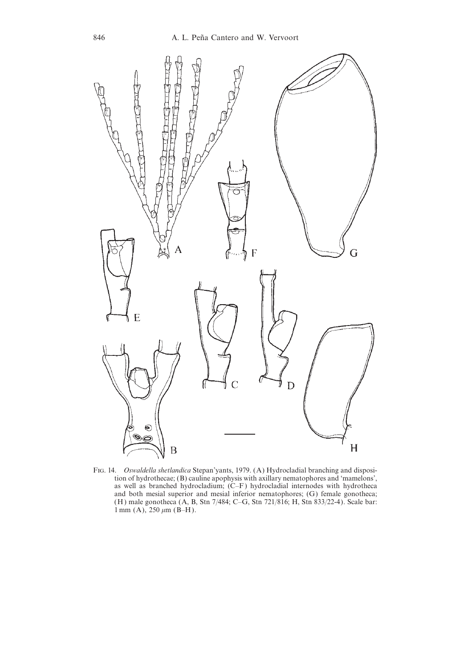

FIG. 14. Oswaldella shetlandica Stepan'yants, 1979. (A) Hydrocladial branching and disposition of hydrothecae; (B) cauline apophysis with axillary nematophores and 'mamelons', as well as branched hydrocladium; (C–F) hydrocladial internodes with hydrotheca and both mesial superior and mesial inferior nematophores; (G) female gonotheca; (H) male gonotheca (A, B, Stn 7/484; C–G, Stn 721/816; H, Stn 833/22-4). Scale bar:  $1 \text{ mm}$  (A), 250  $\mu$ m (B-H).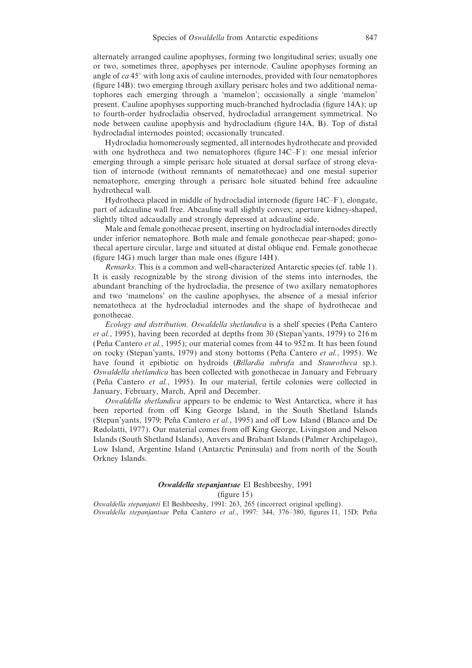alternately arranged cauline apophyses, forming two longitudinal series; usually one or two, sometimes three, apophyses per internode. Cauline apophyses forming an angle of *ca* 45° with long axis of cauline internodes, provided with four nematophores (figure 14B): two emerging through axillary perisarc holes and two additional nematophores each emerging through a 'mamelon'; occasionally a single 'mamelon' present. Cauline apophyses supporting much-branched hydrocladia (figure 14A); up to fourth-order hydrocladia observed, hydrocladial arrangement symmetrical. No node between cauline apophysis and hydrocladium (figure 14A, B). Top of distal hydrocladial internodes pointed; occasionally truncated.

Hydrocladia homomerously segmented, all internodes hydrothecate and provided with one hydrotheca and two nematophores (figure 14C–F): one mesial inferior emerging through a simple perisarc hole situated at dorsal surface of strong elevation of internode (without remnants of nematothecae) and one mesial superior nematophore, emerging through a perisarc hole situated behind free adcauline hydrothecal wall.

Hydrotheca placed in middle of hydrocladial internode (figure 14C–F), elongate, part of adcauline wall free. Abcauline wall slightly convex; aperture kidney-shaped, slightly tilted adcaudally and strongly depressed at adcauline side.

Male and female gonothecae present, inserting on hydrocladial internodes directly under inferior nematophore. Both male and female gonothecae pear-shaped; gonothecal aperture circular, large and situated at distal oblique end. Female gonothecae (figure 14G) much larger than male ones (figure 14H).

*Remarks*. This is a common and well-characterized Antarctic species (cf. table 1). It is easily recognizable by the strong division of the stems into internodes, the abundant branching of the hydrocladia, the presence of two axillary nematophores and two 'mamelons' on the cauline apophyses, the absence of a mesial inferior nematotheca at the hydrocladial internodes and the shape of hydrothecae and gonothecae.

*Ecology and distribution. Oswaldella shetlandica* is a shelf species (Peña Cantero *et al.*, 1995), having been recorded at depths from 30 (Stepan'yants, 1979) to 216 m (Peña Cantero *et al.*, 1995); our material comes from 44 to 952 m. It has been found on rocky (Stepan'yants, 1979) and stony bottoms (Peña Cantero *et al.*, 1995). We have found it epibiotic on hydroids (*Billardia subrufa* and *Staurotheca* sp.). *Oswaldella shetlandica* has been collected with gonothecae in January and February (Peña Cantero *et al.*, 1995). In our material, fertile colonies were collected in January, February, March, April and December.

*Oswaldella shetlandica* appears to be endemic to West Antarctica, where it has been reported from off King George Island, in the South Shetland Islands (Stepan'yants, 1979; Peña Cantero et al., 1995) and off Low Island (Blanco and De Redolatti, 1977). Our material comes from off King George, Livingston and Nelson Islands (South Shetland Islands), Anvers and Brabant Islands (Palmer Archipelago), Low Island, Argentine Island (Antarctic Peninsula) and from north of the South Orkney Islands.

#### *Oswaldella stepanjantsae* El Beshbeeshy, 1991

(figure 15)

*Oswaldella stepanjanti* El Beshbeeshy, 1991: 263, 265 (incorrect original spelling). Oswaldella stepanjantsae Peña Cantero et al., 1997: 344, 376–380, figures 11, 15D; Peña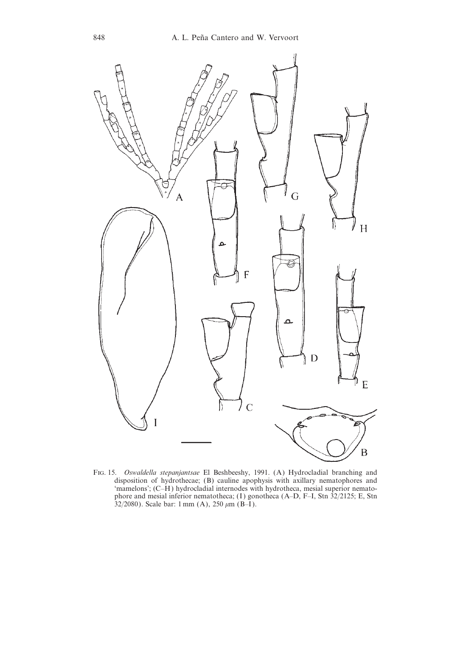

F. 15. *Oswaldella stepanjantsae* El Beshbeeshy, 1991. (A) Hydrocladial branching and disposition of hydrothecae; (B) cauline apophysis with axillary nematophores and 'mamelons'; (C–H) hydrocladial internodes with hydrotheca, mesial superior nematophore and mesial inferior nematotheca; (I) gonotheca (A–D, F–I, Stn 32/2125; E, Stn 32/2080). Scale bar: 1 mm (A), 250  $\mu$ m (B-I).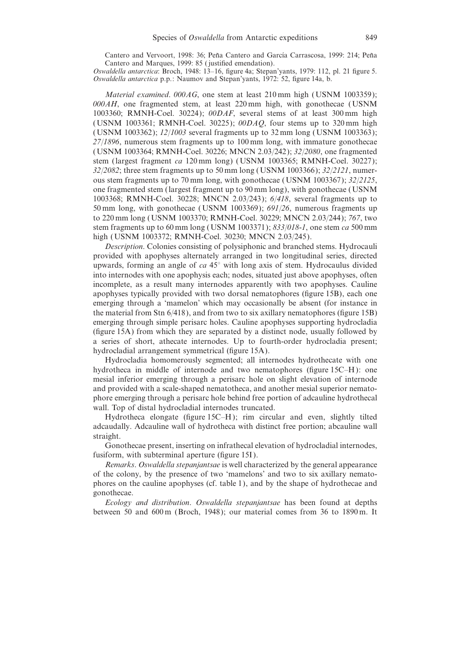Cantero and Vervoort, 1998: 36; Peña Cantero and García Carrascosa, 1999: 214; Peña Cantero and Marques, 1999: 85 ( justified emendation).

*Oswaldella antarctica*: Broch, 1948: 13–16, figure 4a; Stepan'yants, 1979: 112, pl. 21 figure 5. *Oswaldella antarctica* p.p.: Naumov and Stepan'yants, 1972: 52, figure 14a, b.

*Material examined*. *000AG*, one stem at least 210 mm high (USNM 1003359); *000AH*, one fragmented stem, at least 220 mm high, with gonothecae (USNM 1003360; RMNH-Coel. 30224); *00DAF*, several stems of at least 300 mm high (USNM 1003361; RMNH-Coel. 30225); *00DAQ*, four stems up to 320 mm high (USNM 1003362); *12*/*1003* several fragments up to 32 mm long (USNM 1003363); *27*/*1896*, numerous stem fragments up to 100 mm long, with immature gonothecae (USNM 1003364; RMNH-Coel. 30226; MNCN 2.03/242); *32*/*2080*, one fragmented stem (largest fragment *ca* 120 mm long) (USNM 1003365; RMNH-Coel. 30227); *32*/*2082*; three stem fragments up to 50 mm long (USNM 1003366); *32*/*2121*, numerous stem fragments up to 70 mm long, with gonothecae (USNM 1003367); *32*/*2125*, one fragmented stem (largest fragment up to 90 mm long), with gonothecae (USNM 1003368; RMNH-Coel. 30228; MNCN 2.03/243); *6*/*418*, several fragments up to 50 mm long, with gonothecae (USNM 1003369); *691*/*26*, numerous fragments up to 220 mm long (USNM 1003370; RMNH-Coel. 30229; MNCN 2.03/244); *767*, two stem fragments up to 60 mm long (USNM 1003371); *833*/*018-1*, one stem *ca* 500 mm high (USNM 1003372; RMNH-Coel. 30230; MNCN 2.03/245).

*Description*. Colonies consisting of polysiphonic and branched stems. Hydrocauli provided with apophyses alternately arranged in two longitudinal series, directed upwards, forming an angle of *ca* 45° with long axis of stem. Hydrocaulus divided into internodes with one apophysis each; nodes, situated just above apophyses, often incomplete, as a result many internodes apparently with two apophyses. Cauline apophyses typically provided with two dorsal nematophores (figure 15B), each one emerging through a 'mamelon' which may occasionally be absent (for instance in the material from Stn 6/418), and from two to six axillary nematophores (figure 15B) emerging through simple perisarc holes. Cauline apophyses supporting hydrocladia (figure 15A) from which they are separated by a distinct node, usually followed by a series of short, athecate internodes. Up to fourth-order hydrocladia present; hydrocladial arrangement symmetrical (figure 15A).

Hydrocladia homomerously segmented; all internodes hydrothecate with one hydrotheca in middle of internode and two nematophores (figure 15C–H): one mesial inferior emerging through a perisarc hole on slight elevation of internode and provided with a scale-shaped nematotheca, and another mesial superior nematophore emerging through a perisarc hole behind free portion of adcauline hydrothecal wall. Top of distal hydrocladial internodes truncated.

Hydrotheca elongate (figure 15C–H); rim circular and even, slightly tilted adcaudally. Adcauline wall of hydrotheca with distinct free portion; abcauline wall straight.

Gonothecae present, inserting on infrathecal elevation of hydrocladial internodes, fusiform, with subterminal aperture (figure 15I).

*Remarks*. *Oswaldella stepanjantsae* is well characterized by the general appearance of the colony, by the presence of two 'mamelons' and two to six axillary nematophores on the cauline apophyses (cf. table 1), and by the shape of hydrothecae and gonothecae.

*Ecology and distribution*. *Oswaldella stepanjantsae* has been found at depths between 50 and 600 m (Broch, 1948); our material comes from 36 to 1890 m. It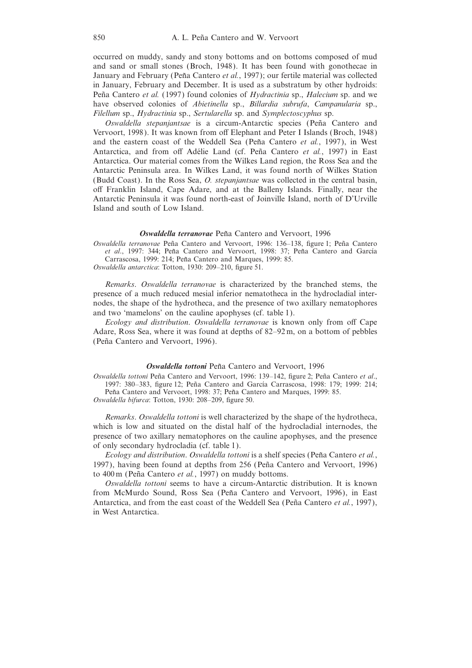occurred on muddy, sandy and stony bottoms and on bottoms composed of mud and sand or small stones (Broch, 1948). It has been found with gonothecae in January and February (Peña Cantero et al., 1997); our fertile material was collected in January, February and December. It is used as a substratum by other hydroids: Peña Cantero *et al.* (1997) found colonies of *Hydractinia* sp., *Halecium* sp. and we have observed colonies of *Abietinella* sp., *Billardia subrufa*, *Campanularia* sp., *Filellum* sp., *Hydractinia* sp., *Sertularella* sp. and *Symplectoscyphus* sp.

Oswaldella stepanjantsae is a circum-Antarctic species (Peña Cantero and Vervoort, 1998). It was known from off Elephant and Peter I Islands (Broch, 1948) and the eastern coast of the Weddell Sea (Peña Cantero *et al.*, 1997), in West Antarctica, and from off Adélie Land (cf. Peña Cantero et al., 1997) in East Antarctica. Our material comes from the Wilkes Land region, the Ross Sea and the Antarctic Peninsula area. In Wilkes Land, it was found north of Wilkes Station (Budd Coast). In the Ross Sea, *O. stepanjantsae* was collected in the central basin, off Franklin Island, Cape Adare, and at the Balleny Islands. Finally, near the Antarctic Peninsula it was found north-east of Joinville Island, north of D'Urville Island and south of Low Island.

### **Oswaldella terranovae** Peña Cantero and Vervoort, 1996

*Oswaldella terranovae* Peña Cantero and Vervoort, 1996; 136–138, figure 1; Peña Cantero *et al.*, 1997: 344; Peña Cantero and Vervoort, 1998: 37; Peña Cantero and García Carrascosa, 1999: 214; Peña Cantero and Marques, 1999: 85. *Oswaldella antarctica*: Totton, 1930: 209–210, figure 51.

*Remarks*. *Oswaldella terranovae* is characterized by the branched stems, the presence of a much reduced mesial inferior nematotheca in the hydrocladial internodes, the shape of the hydrotheca, and the presence of two axillary nematophores and two 'mamelons' on the cauline apophyses (cf. table 1).

*Ecology and distribution*. *Oswaldella terranovae* is known only from off Cape Adare, Ross Sea, where it was found at depths of 82–92 m, on a bottom of pebbles (Peña Cantero and Vervoort, 1996).

#### **Oswaldella tottoni Peña Cantero and Vervoort, 1996**

*Oswaldella tottoni* Peña Cantero and Vervoort, 1996: 139–142, figure 2; Peña Cantero *et al.*, 1997: 380-383, figure 12; Peña Cantero and García Carrascosa, 1998: 179; 1999: 214;

Peña Cantero and Vervoort, 1998: 37; Peña Cantero and Marques, 1999: 85.

*Oswaldella bifurca*: Totton, 1930: 208–209, figure 50.

*Remarks*. *Oswaldella tottoni* is well characterized by the shape of the hydrotheca, which is low and situated on the distal half of the hydrocladial internodes, the presence of two axillary nematophores on the cauline apophyses, and the presence of only secondary hydrocladia (cf. table 1).

*Ecology and distribution. Oswaldella tottoni* is a shelf species (Peña Cantero et al., 1997), having been found at depths from 256 (Peña Cantero and Vervoort, 1996) to 400 m (Peña Cantero *et al.*, 1997) on muddy bottoms.

*Oswaldella tottoni* seems to have a circum-Antarctic distribution. It is known from McMurdo Sound, Ross Sea (Peña Cantero and Vervoort, 1996), in East Antarctica, and from the east coast of the Weddell Sea (Peña Cantero *et al.*, 1997), in West Antarctica.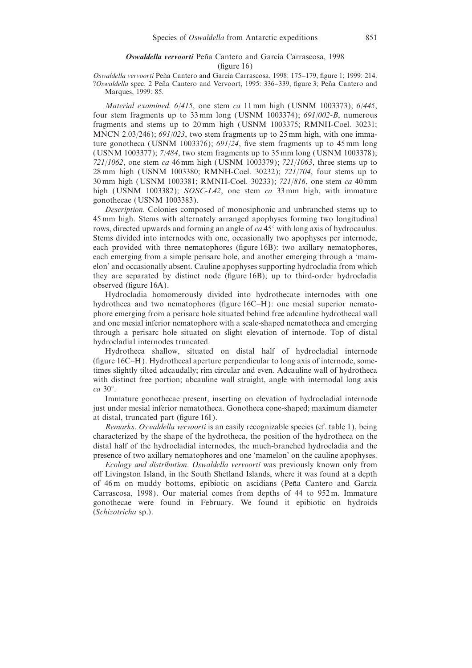## Oswaldella vervoorti Peña Cantero and García Carrascosa, 1998 (figure 16)

*Oswaldella vervoorti* Peña Cantero and García Carrascosa, 1998: 175–179, figure 1; 1999: 214. ?*Oswaldella* spec. 2 Peña Cantero and Vervoort, 1995: 336-339, figure 3; Peña Cantero and Marques, 1999: 85.

*Material examined*. *6*/*415*, one stem *ca* 11 mm high (USNM 1003373); *6*/*445*, four stem fragments up to 33 mm long (USNM 1003374); *691*/*002-B*, numerous fragments and stems up to 20 mm high (USNM 1003375; RMNH-Coel. 30231; MNCN 2.03/246); *691*/*023*, two stem fragments up to 25 mm high, with one immature gonotheca (USNM 1003376); *691*/*24*, five stem fragments up to 45 mm long (USNM 1003377); *7*/*484*, two stem fragments up to 35 mm long (USNM 1003378); *721*/*1062*, one stem *ca* 46 mm high (USNM 1003379); *721*/*1063*, three stems up to 28 mm high (USNM 1003380; RMNH-Coel. 30232); *721*/*704*, four stems up to 30 mm high (USNM 1003381; RMNH-Coel. 30233); *721*/*816*, one stem *ca* 40 mm high (USNM 1003382); *SOSC-L42*, one stem *ca* 33 mm high, with immature gonothecae (USNM 1003383).

*Description*. Colonies composed of monosiphonic and unbranched stems up to 45 mm high. Stems with alternately arranged apophyses forming two longitudinal rows, directed upwards and forming an angle of *ca* 45° with long axis of hydrocaulus. Stems divided into internodes with one, occasionally two apophyses per internode, each provided with three nematophores (figure 16B): two axillary nematophores, each emerging from a simple perisarc hole, and another emerging through a 'mamelon' and occasionally absent. Cauline apophyses supporting hydrocladia from which they are separated by distinct node (figure 16B); up to third-order hydrocladia observed (figure 16A).

Hydrocladia homomerously divided into hydrothecate internodes with one hydrotheca and two nematophores (figure 16C–H): one mesial superior nematophore emerging from a perisarc hole situated behind free adcauline hydrothecal wall and one mesial inferior nematophore with a scale-shaped nematotheca and emerging through a perisarc hole situated on slight elevation of internode. Top of distal hydrocladial internodes truncated.

Hydrotheca shallow, situated on distal half of hydrocladial internode (figure 16C–H). Hydrothecal aperture perpendicular to long axis of internode, sometimes slightly tilted adcaudally; rim circular and even. Adcauline wall of hydrotheca with distinct free portion; abcauline wall straight, angle with internodal long axis *ca* 30°.

Immature gonothecae present, inserting on elevation of hydrocladial internode just under mesial inferior nematotheca. Gonotheca cone-shaped; maximum diameter at distal, truncated part (figure 16I).

*Remarks*. *Oswaldella vervoorti* is an easily recognizable species (cf. table 1), being characterized by the shape of the hydrotheca, the position of the hydrotheca on the distal half of the hydrocladial internodes, the much-branched hydrocladia and the presence of two axillary nematophores and one 'mamelon' on the cauline apophyses.

*Ecology and distribution*. *Oswaldella vervoorti* was previously known only from off Livingston Island, in the South Shetland Islands, where it was found at a depth of 46 m on muddy bottoms, epibiotic on ascidians (Peña Cantero and García Carrascosa, 1998). Our material comes from depths of 44 to 952 m. Immature gonothecae were found in February. We found it epibiotic on hydroids (*Schizotricha* sp.).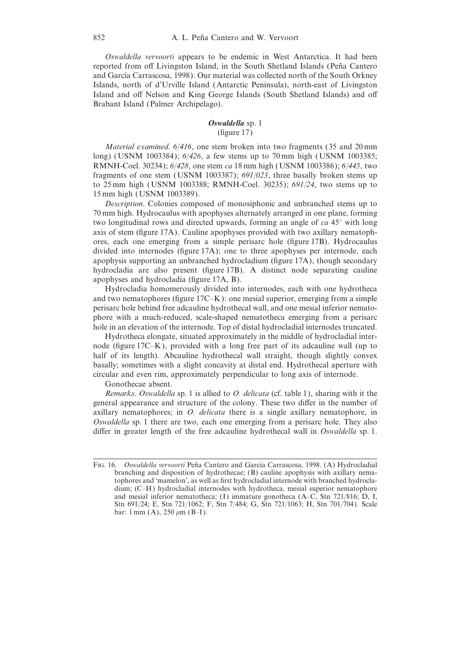*Oswaldella vervoorti* appears to be endemic in West Antarctica. It had been reported from off Livingston Island, in the South Shetland Islands (Peña Cantero and García Carrascosa, 1998). Our material was collected north of the South Orkney Islands, north of d'Urville Island (Antarctic Peninsula), north-east of Livingston Island and off Nelson and King George Islands (South Shetland Islands) and off Brabant Island (Palmer Archipelago).

## *Oswaldella* sp. 1 (figure 17)

*Material examined*. *6*/*416*, one stem broken into two fragments (35 and 20 mm long) (USNM 1003384); *6*/*426*, a few stems up to 70 mm high (USNM 1003385; RMNH-Coel. 30234); *6*/*428*, one stem *ca* 18 mm high (USNM 1003386); *6*/*445*, two fragments of one stem (USNM 1003387); *691*/*023*, three basally broken stems up to 25 mm high (USNM 1003388; RMNH-Coel. 30235); *691*/*24*, two stems up to 15 mm high (USNM 1003389).

*Description*. Colonies composed of monosiphonic and unbranched stems up to 70 mm high. Hydrocaulus with apophyses alternately arranged in one plane, forming two longitudinal rows and directed upwards, forming an angle of *ca* 45° with long axis of stem (figure 17A). Cauline apophyses provided with two axillary nematophores, each one emerging from a simple perisarc hole (figure 17B). Hydrocaulus divided into internodes (figure 17A); one to three apophyses per internode, each apophysis supporting an unbranched hydrocladium (figure 17A), though secondary hydrocladia are also present (figure 17B). A distinct node separating cauline apophyses and hydrocladia (figure 17A, B).

Hydrocladia homomerously divided into internodes, each with one hydrotheca and two nematophores (figure 17C–K): one mesial superior, emerging from a simple perisarc hole behind free adcauline hydrothecal wall, and one mesial inferior nematophore with a much-reduced, scale-shaped nematotheca emerging from a perisarc hole in an elevation of the internode. Top of distal hydrocladial internodes truncated.

Hydrotheca elongate, situated approximately in the middle of hydrocladial internode (figure 17C–K), provided with a long free part of its adcauline wall (up to half of its length). Abcauline hydrothecal wall straight, though slightly convex basally; sometimes with a slight concavity at distal end. Hydrothecal aperture with circular and even rim, approximately perpendicular to long axis of internode.

Gonothecae absent.

*Remarks*. *Oswaldella* sp. 1 is allied to *O. delicata* (cf. table 1), sharing with it the general appearance and structure of the colony. These two differ in the number of axillary nematophores; in *O. delicata* there is a single axillary nematophore, in *Oswaldella* sp. 1 there are two, each one emerging from a perisarc hole. They also differ in greater length of the free adcauline hydrothecal wall in *Oswaldella* sp. 1.

FIG. 16. *Oswaldella vervoorti* Peña Cantero and García Carrascosa, 1998. (A) Hydrocladial branching and disposition of hydrothecae; (B) cauline apophysis with axillary nematophores and 'mamelon', as well as first hydrocladial internode with branched hydrocladium; (C–H) hydrocladial internodes with hydrotheca, mesial superior nematophore and mesial inferior nematotheca; (I) immature gonotheca (A–C, Stn 721/816; D, I, Stn 691/24; E, Stn 721/1062; F, Stn 7/484; G, Stn 721/1063; H, Stn 701/704). Scale bar: 1 mm (A),  $250 \mu m$  (B-I).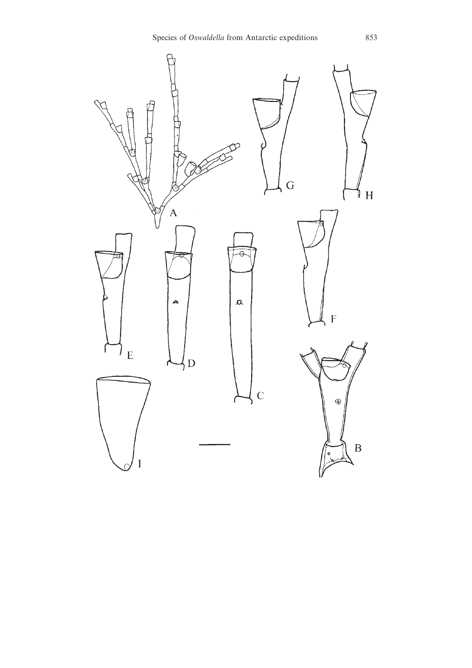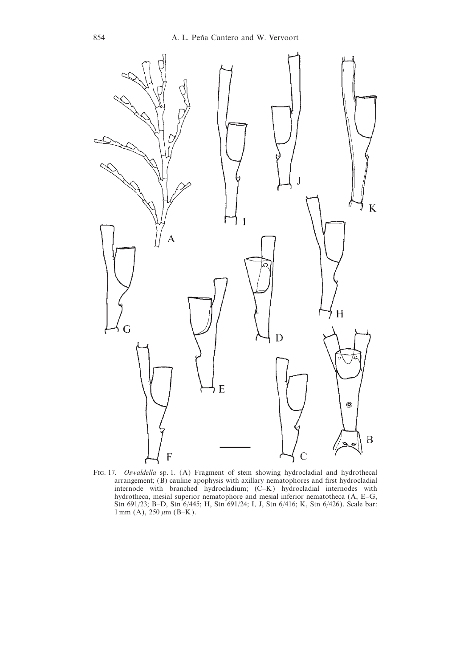

FIG. 17. *Oswaldella* sp. 1. (A) Fragment of stem showing hydrocladial and hydrothecal arrangement; (B) cauline apophysis with axillary nematophores and first hydrocladial internode with branched hydrocladium; (C–K) hydrocladial internodes with hydrotheca, mesial superior nematophore and mesial inferior nematotheca (A, E–G, Stn 691/23; B–D, Stn 6/445; H, Stn 691/24; I, J, Stn 6/416; K, Stn 6/426). Scale bar:  $1 \text{ mm}$  (A), 250  $\mu$ m (B–K).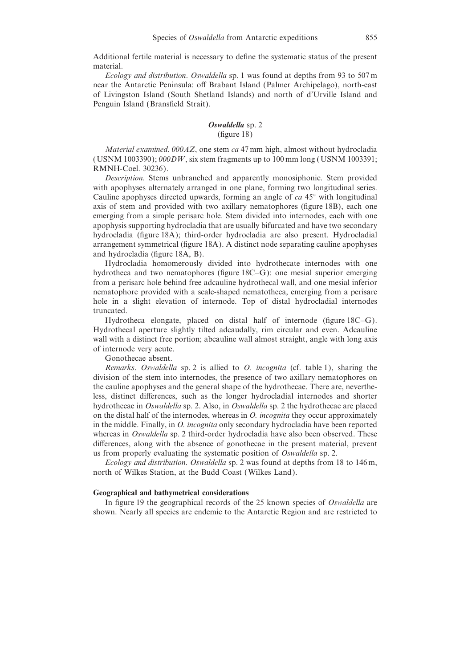Additional fertile material is necessary to define the systematic status of the present material.

*Ecology and distribution*. *Oswaldella* sp. 1 was found at depths from 93 to 507 m near the Antarctic Peninsula: off Brabant Island (Palmer Archipelago), north-east of Livingston Island (South Shetland Islands) and north of d'Urville Island and Penguin Island (Bransfield Strait).

# *Oswaldella* sp. 2 (figure 18)

*Material examined*. *000AZ*, one stem *ca* 47 mm high, almost without hydrocladia (USNM 1003390); *000DW*, six stem fragments up to 100 mm long (USNM 1003391; RMNH-Coel. 30236).

*Description*. Stems unbranched and apparently monosiphonic. Stem provided with apophyses alternately arranged in one plane, forming two longitudinal series. Cauline apophyses directed upwards, forming an angle of *ca* 45° with longitudinal axis of stem and provided with two axillary nematophores (figure 18B), each one emerging from a simple perisarc hole. Stem divided into internodes, each with one apophysis supporting hydrocladia that are usually bifurcated and have two secondary hydrocladia (figure 18A); third-order hydrocladia are also present. Hydrocladial arrangement symmetrical (figure 18A). A distinct node separating cauline apophyses and hydrocladia (figure 18A, B).

Hydrocladia homomerously divided into hydrothecate internodes with one hydrotheca and two nematophores (figure 18C–G): one mesial superior emerging from a perisarc hole behind free adcauline hydrothecal wall, and one mesial inferior nematophore provided with a scale-shaped nematotheca, emerging from a perisarc hole in a slight elevation of internode. Top of distal hydrocladial internodes truncated.

Hydrotheca elongate, placed on distal half of internode (figure 18C–G). Hydrothecal aperture slightly tilted adcaudally, rim circular and even. Adcauline wall with a distinct free portion; abcauline wall almost straight, angle with long axis of internode very acute.

Gonothecae absent.

*Remarks*. *Oswaldella* sp. 2 is allied to *O. incognita* (cf. table 1), sharing the division of the stem into internodes, the presence of two axillary nematophores on the cauline apophyses and the general shape of the hydrothecae. There are, nevertheless, distinct differences, such as the longer hydrocladial internodes and shorter hydrothecae in *Oswaldella* sp. 2. Also, in *Oswaldella* sp. 2 the hydrothecae are placed on the distal half of the internodes, whereas in *O. incognita* they occur approximately in the middle. Finally, in *O. incognita* only secondary hydrocladia have been reported whereas in *Oswaldella* sp. 2 third-order hydrocladia have also been observed. These differences, along with the absence of gonothecae in the present material, prevent us from properly evaluating the systematic position of *Oswaldella* sp. 2.

*Ecology and distribution*. *Oswaldella* sp. 2 was found at depths from 18 to 146 m, north of Wilkes Station, at the Budd Coast ( Wilkes Land).

## **Geographical and bathymetrical considerations**

In figure 19 the geographical records of the 25 known species of *Oswaldella* are shown. Nearly all species are endemic to the Antarctic Region and are restricted to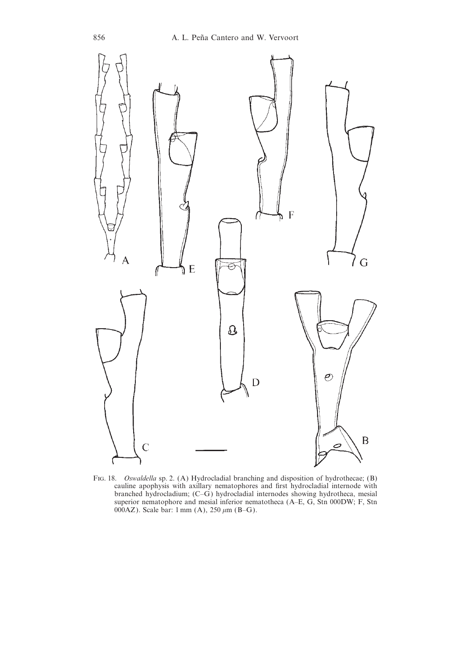

FIG. 18. *Oswaldella* sp. 2. (A) Hydrocladial branching and disposition of hydrothecae; (B) cauline apophysis with axillary nematophores and first hydrocladial internode with branched hydrocladium; (C–G) hydrocladial internodes showing hydrotheca, mesial superior nematophore and mesial inferior nematotheca (A–E, G, Stn 000DW; F, Stn 000AZ). Scale bar: 1 mm (A), 250  $\mu$ m (B–G).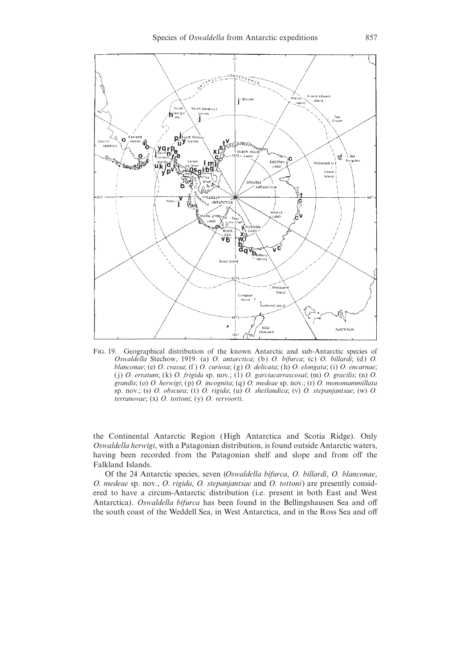

FIG. 19. Geographical distribution of the known Antarctic and sub-Antarctic species of *Oswaldella* Stechow, 1919. (a) *O. antarctica*; (b) *O. bifurca*; (c) *O. billardi*; (d) *O. blanconae*; (e) *O. crassa*; (f ) *O. curiosa*; (g) *O. delicata*; (h) *O. elongata*; (i) *O. encarnae*; (j) *O. erratum*; (k) *O. frigida* sp. nov.; (l ) *O. garciacarrascosai*; (m) *O. gracilis*; (n) *O. grandis*; (o) *O. herwigi*; (p) *O. incognita*; (q) *O. medeae* sp. nov.; (r) *O. monomammillata* sp. nov.; (s) *O. obscura*; (t) *O. rigida*; (u) *O. shetlandica*; (v) *O. stepanjantsae*; (w) *O. terranovae*; (x) *O. tottoni*; (y) *O. vervoorti*.

the Continental Antarctic Region (High Antarctica and Scotia Ridge). Only *Oswaldella herwigi*, with a Patagonian distribution, is found outside Antarctic waters, having been recorded from the Patagonian shelf and slope and from off the Falkland Islands.

Of the 24 Antarctic species, seven (*Oswaldella bifurca*, *O. billardi*, *O. blanconae*, *O. medeae* sp. nov., *O*. *rigida*, *O. stepanjantsae* and *O. tottoni*) are presently considered to have a circum-Antarctic distribution (i.e. present in both East and West Antarctica). *Oswaldella bifurca* has been found in the Bellingshausen Sea and off the south coast of the Weddell Sea, in West Antarctica, and in the Ross Sea and off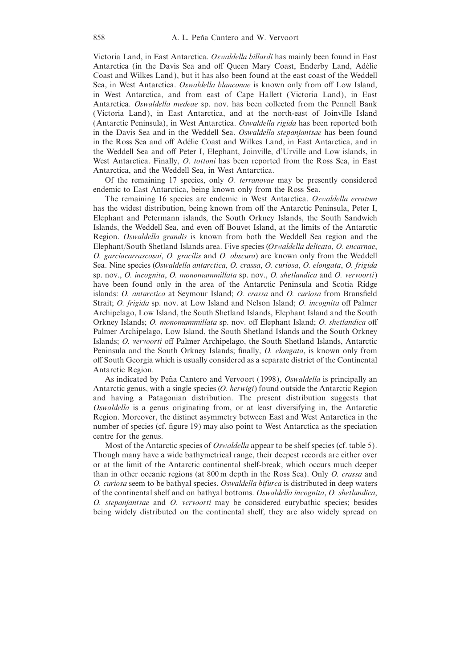Victoria Land, in East Antarctica. *Oswaldella billardi* has mainly been found in East Antarctica (in the Davis Sea and off Queen Mary Coast, Enderby Land, Adélie Coast and Wilkes Land), but it has also been found at the east coast of the Weddell Sea, in West Antarctica. *Oswaldella blanconae* is known only from off Low Island, in West Antarctica, and from east of Cape Hallett (Victoria Land), in East Antarctica. *Oswaldella medeae* sp. nov. has been collected from the Pennell Bank (Victoria Land), in East Antarctica, and at the north-east of Joinville Island (Antarctic Peninsula), in West Antarctica. *Oswaldella rigida* has been reported both in the Davis Sea and in the Weddell Sea. *Oswaldella stepanjantsae* has been found in the Ross Sea and off Adélie Coast and Wilkes Land, in East Antarctica, and in the Weddell Sea and off Peter I, Elephant, Joinville, d'Urville and Low islands, in West Antarctica. Finally, *O*. *tottoni* has been reported from the Ross Sea, in East Antarctica, and the Weddell Sea, in West Antarctica.

Of the remaining 17 species, only *O. terranovae* may be presently considered endemic to East Antarctica, being known only from the Ross Sea.

The remaining 16 species are endemic in West Antarctica. *Oswaldella erratum* has the widest distribution, being known from off the Antarctic Peninsula, Peter I, Elephant and Petermann islands, the South Orkney Islands, the South Sandwich Islands, the Weddell Sea, and even off Bouvet Island, at the limits of the Antarctic Region. *Oswaldella grandis* is known from both the Weddell Sea region and the Elephant/South Shetland Islands area. Five species (*Oswaldella delicata*, *O. encarnae*, *O. garciacarrascosai*, *O. gracilis* and *O. obscura*) are known only from the Weddell Sea. Nine species (*Oswaldella antarctica*, *O. crassa*, *O. curiosa*, *O. elongata*, *O. frigida* sp. nov., *O. incognita*, *O. monomammillata* sp. nov., *O. shetlandica* and *O. vervoorti*) have been found only in the area of the Antarctic Peninsula and Scotia Ridge islands: *O. antarctica* at Seymour Island; *O. crassa* and *O. curiosa* from Bransfield Strait; *O. frigida* sp. nov. at Low Island and Nelson Island; *O. incognita* off Palmer Archipelago, Low Island, the South Shetland Islands, Elephant Island and the South Orkney Islands; *O. monomammillata* sp. nov. off Elephant Island; *O. shetlandica* off Palmer Archipelago, Low Island, the South Shetland Islands and the South Orkney Islands; *O. vervoorti* off Palmer Archipelago, the South Shetland Islands, Antarctic Peninsula and the South Orkney Islands; finally, *O. elongata*, is known only from off South Georgia which is usually considered as a separate district of the Continental Antarctic Region.

As indicated by Peña Cantero and Vervoort (1998), *Oswaldella* is principally an Antarctic genus, with a single species (*O. herwigi*) found outside the Antarctic Region and having a Patagonian distribution. The present distribution suggests that *Oswaldella* is a genus originating from, or at least diversifying in, the Antarctic Region. Moreover, the distinct asymmetry between East and West Antarctica in the number of species (cf. figure 19) may also point to West Antarctica as the speciation centre for the genus.

Most of the Antarctic species of *Oswaldella* appear to be shelf species (cf. table 5). Though many have a wide bathymetrical range, their deepest records are either over or at the limit of the Antarctic continental shelf-break, which occurs much deeper than in other oceanic regions (at 800 m depth in the Ross Sea). Only *O. crassa* and *O. curiosa* seem to be bathyal species. *Oswaldella bifurca* is distributed in deep waters of the continental shelf and on bathyal bottoms. *Oswaldella incognita*, *O. shetlandica*, *O. stepanjantsae* and *O. vervoorti* may be considered eurybathic species; besides being widely distributed on the continental shelf, they are also widely spread on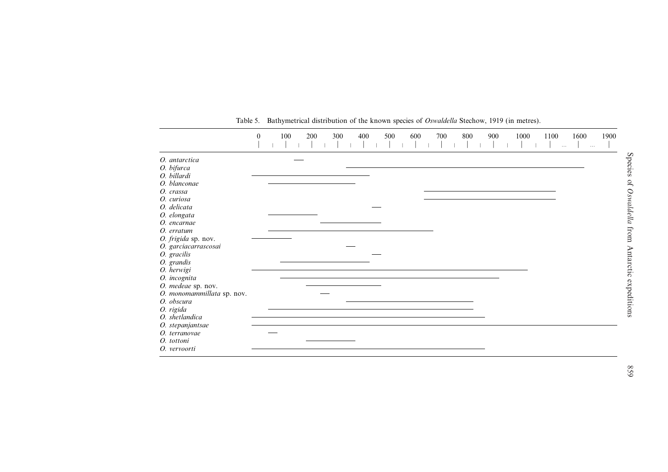|                             | $\overline{0}$ | 100 | 200 | 300 | 400 | 500 | 600 | 700 | 800 | 900 | 1000 | 1100 | $\ldots$ | 1600<br>$\cdots$ | 1900 |
|-----------------------------|----------------|-----|-----|-----|-----|-----|-----|-----|-----|-----|------|------|----------|------------------|------|
| O. antarctica               |                |     |     |     |     |     |     |     |     |     |      |      |          |                  |      |
| O. bifurca                  |                |     |     |     |     |     |     |     |     |     |      |      |          |                  |      |
| O. billardi                 |                |     |     |     |     |     |     |     |     |     |      |      |          |                  |      |
| O. blanconae                |                |     |     |     |     |     |     |     |     |     |      |      |          |                  |      |
| O. crassa                   |                |     |     |     |     |     |     |     |     |     |      |      |          |                  |      |
| O. curiosa                  |                |     |     |     |     |     |     |     |     |     |      |      |          |                  |      |
| O. delicata                 |                |     |     |     |     |     |     |     |     |     |      |      |          |                  |      |
| O. elongata                 |                |     |     |     |     |     |     |     |     |     |      |      |          |                  |      |
| O. encarnae                 |                |     |     |     |     |     |     |     |     |     |      |      |          |                  |      |
| O. erratum                  |                |     |     |     |     |     |     |     |     |     |      |      |          |                  |      |
| O. frigida sp. nov.         |                |     |     |     |     |     |     |     |     |     |      |      |          |                  |      |
| O. garciacarrascosai        |                |     |     |     |     |     |     |     |     |     |      |      |          |                  |      |
| O. gracilis                 |                |     |     |     |     |     |     |     |     |     |      |      |          |                  |      |
| O. grandis                  |                |     |     |     |     |     |     |     |     |     |      |      |          |                  |      |
| O. herwigi                  |                |     |     |     |     |     |     |     |     |     |      |      |          |                  |      |
| O. incognita                |                |     |     |     |     |     |     |     |     |     |      |      |          |                  |      |
| O. medeae sp. nov.          |                |     |     |     |     |     |     |     |     |     |      |      |          |                  |      |
| O. monomammillata sp. nov.  |                |     |     |     |     |     |     |     |     |     |      |      |          |                  |      |
| O. obscura                  |                |     |     |     |     |     |     |     |     |     |      |      |          |                  |      |
| O. rigida                   |                |     |     |     |     |     |     |     |     |     |      |      |          |                  |      |
| O. shetlandica              |                |     |     |     |     |     |     |     |     |     |      |      |          |                  |      |
| O. stepanjantsae            |                |     |     |     |     |     |     |     |     |     |      |      |          |                  |      |
| O. terranovae<br>O. tottoni |                |     |     |     |     |     |     |     |     |     |      |      |          |                  |      |
| O. vervoorti                |                |     |     |     |     |     |     |     |     |     |      |      |          |                  |      |
|                             |                |     |     |     |     |     |     |     |     |     |      |      |          |                  |      |

Table 5. Bathymetrical distribution of the known species of *Oswaldella* Stechow, 1919 (in metres).

Species of

Oswaldella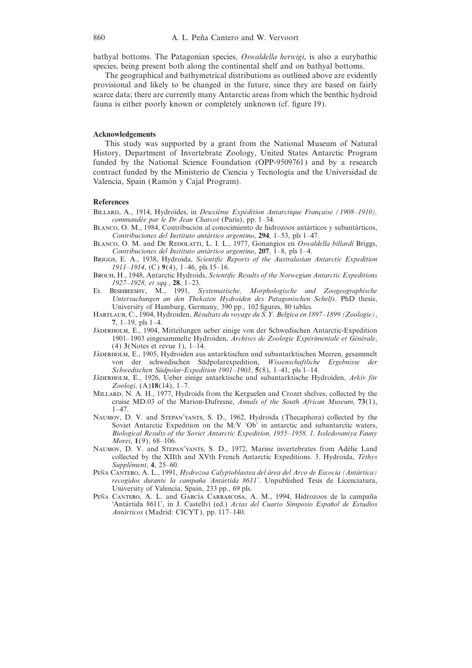bathyal bottoms. The Patagonian species, *Oswaldella herwigi*, is also a eurybathic species, being present both along the continental shelf and on bathyal bottoms.

The geographical and bathymetrical distributions as outlined above are evidently provisional and likely to be changed in the future, since they are based on fairly scarce data; there are currently many Antarctic areas from which the benthic hydroid fauna is either poorly known or completely unknown (cf. figure 19).

## **Acknowledgements**

This study was supported by a grant from the National Museum of Natural History, Department of Invertebrate Zoology, United States Antarctic Program funded by the National Science Foundation (OPP-9509761) and by a research contract funded by the Ministerio de Ciencia y Tecnología and the Universidad de Valencia, Spain (Ramón y Cajal Program).

#### **References**

- BILLARD, A., 1914, Hydroïdes, in *Deuxième Expédition Antarctique Francaise (1908–1910)*, *commande´e par le Dr Jean Charcot* (Paris), pp. 1–34.
- BLANCO, O. M., 1984, Contribución al conocimiento de hidrozoos antárticos y subantárticos, *Contribuciones del Instituto anta´rtico argentino*, **294**, 1–53, pls 1–47.
- BLANCO, O. M. and DE REDOLATTI, L. I. L., 1977, Gonangios en *Oswaldella billardi* Briggs, *Contribuciones del Instituto anta´rtico argentino*, **207**, 1–8, pls 1–4.
- BRIGGS, E. A., 1938, Hydroida, *Scientific Reports of the Australasian Antarctic Expedition 1911–1914*, (C) **9**(4), 1–46, pls 15–16.
- BROCH, H., 1948, Antarctic Hydroids, *Scientific Results of the Norwegian Antarctic Expeditions 1927–1928, et sqq.*, **28**, 1–23.
- EL BESHBEESHY, M., 1991, *Systematische, Morphologische und Zoogeographische Untersuchungen an den Thekaten Hydroiden des Patagonischen Schelfs*. PhD thesis, University of Hamburg, Germany, 390 pp., 102 figures, 80 tables.
- HARTLAUB, C., 1904, Hydroiden, *Résultats du voyage du S.Y. Belgica en 1897-1899 (Zoologie)*, **7**, 1–19, pls 1–4.
- JÄDERHOLM, E., 1904, Mitteilungen ueber einige von der Schwedischen Antarctic-Expedition 1901–1903 eingesammelte Hydroiden, *Archives de Zoologie Expérimentale et Générale*, (4) **3**(Notes et revue 1), 1–14.
- JÄDERHOLM, E., 1905, Hydroiden aus antarktischen und subantarktischen Meeren, gesammelt von der schwedischen Südpolarexpedition, Wissenschaftliche Ergebnisse der *Schwedischen Südpolar-Expedition 1901–1903*, **5**(8), 1–41, pls 1–14.
- JÄDERHOLM, E., 1926, Ueber einige antarktische und subantarktische Hydroiden, Arkiv för *Zoologi*, (A)**18**(14), 1–7.
- MILLARD, N. A. H., 1977, Hydroids from the Kerguelen and Crozet shelves, collected by the cruise MD.03 of the Marion-Dufresne, *Annals of the South African Museum*, **73**(1), 1–47.
- NAUMOV, D. V. and STEPAN'YANTS, S. D., 1962, Hydroida (Thecaphora) collected by the Soviet Antarctic Expedition on the M/V 'Ob' in antarctic and subantarctic waters, *Biological Results of the Soviet Antarctic Expedition, 1955–1958, 1, Issledovaniya Fauny Morei*, **1**(9), 68–106.
- NAUMOV, D. V. and STEPAN'YANTS, S. D., 1972, Marine invertebrates from Adélie Land collected by the XIIth and XVth French Antarctic Expeditions. 3. Hydroida, *Téthys Supple´ment*, **4**, 25–60.
- PEÑA CANTERO, A. L., 1991, *Hydrozoa Calyptoblastea del área del Arco de Escocia (Antártica)* recogidos durante la campaña 'Antártida 8611'. Unpublished Tesis de Licenciatura, University of Valencia, Spain, 233 pp., 69 pls.
- PEÑA CANTERO, A. L. and GARCÍA CARRASCOSA, A. M., 1994, Hidrozoos de la campaña 'Antártida 8611', in J. Castellví (ed.) *Actas del Cuarto Simposio Español de Estudios Anta´rticos* (Madrid: CICYT), pp. 117–140.